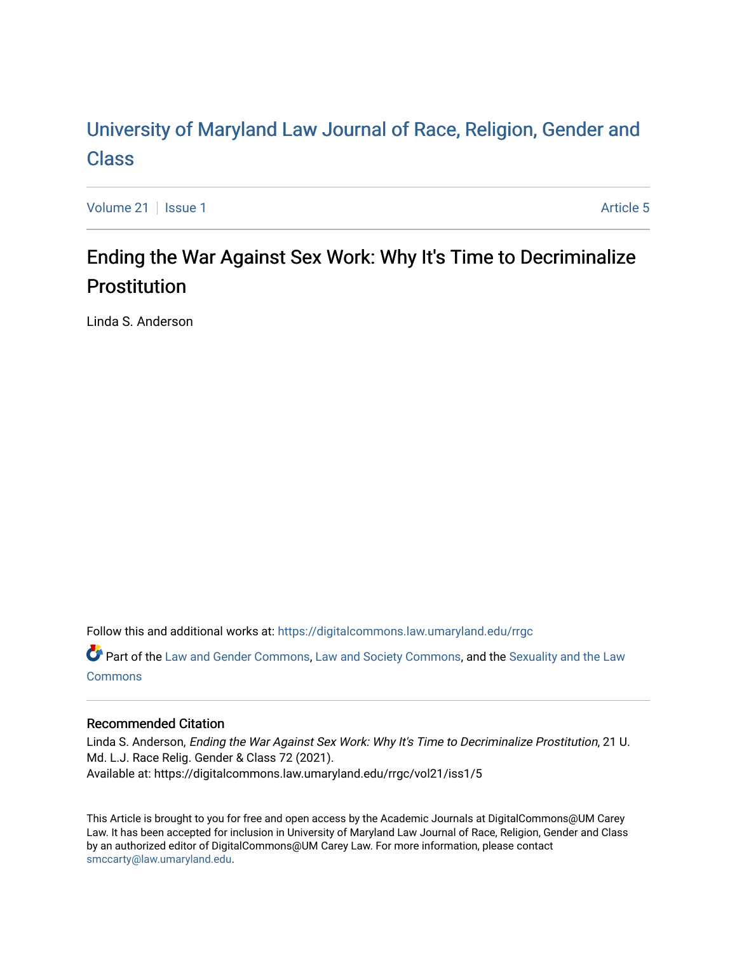# [University of Maryland Law Journal of Race, Religion, Gender and](https://digitalcommons.law.umaryland.edu/rrgc)  [Class](https://digitalcommons.law.umaryland.edu/rrgc)

[Volume 21](https://digitalcommons.law.umaryland.edu/rrgc/vol21) | [Issue 1](https://digitalcommons.law.umaryland.edu/rrgc/vol21/iss1) Article 5

# Ending the War Against Sex Work: Why It's Time to Decriminalize Prostitution

Linda S. Anderson

Follow this and additional works at: [https://digitalcommons.law.umaryland.edu/rrgc](https://digitalcommons.law.umaryland.edu/rrgc?utm_source=digitalcommons.law.umaryland.edu%2Frrgc%2Fvol21%2Fiss1%2F5&utm_medium=PDF&utm_campaign=PDFCoverPages)

Part of the [Law and Gender Commons,](http://network.bepress.com/hgg/discipline/1298?utm_source=digitalcommons.law.umaryland.edu%2Frrgc%2Fvol21%2Fiss1%2F5&utm_medium=PDF&utm_campaign=PDFCoverPages) [Law and Society Commons](http://network.bepress.com/hgg/discipline/853?utm_source=digitalcommons.law.umaryland.edu%2Frrgc%2Fvol21%2Fiss1%2F5&utm_medium=PDF&utm_campaign=PDFCoverPages), and the [Sexuality and the Law](http://network.bepress.com/hgg/discipline/877?utm_source=digitalcommons.law.umaryland.edu%2Frrgc%2Fvol21%2Fiss1%2F5&utm_medium=PDF&utm_campaign=PDFCoverPages)  **[Commons](http://network.bepress.com/hgg/discipline/877?utm_source=digitalcommons.law.umaryland.edu%2Frrgc%2Fvol21%2Fiss1%2F5&utm_medium=PDF&utm_campaign=PDFCoverPages)** 

# Recommended Citation

Linda S. Anderson, Ending the War Against Sex Work: Why It's Time to Decriminalize Prostitution, 21 U. Md. L.J. Race Relig. Gender & Class 72 (2021). Available at: https://digitalcommons.law.umaryland.edu/rrgc/vol21/iss1/5

This Article is brought to you for free and open access by the Academic Journals at DigitalCommons@UM Carey Law. It has been accepted for inclusion in University of Maryland Law Journal of Race, Religion, Gender and Class by an authorized editor of DigitalCommons@UM Carey Law. For more information, please contact [smccarty@law.umaryland.edu](mailto:smccarty@law.umaryland.edu).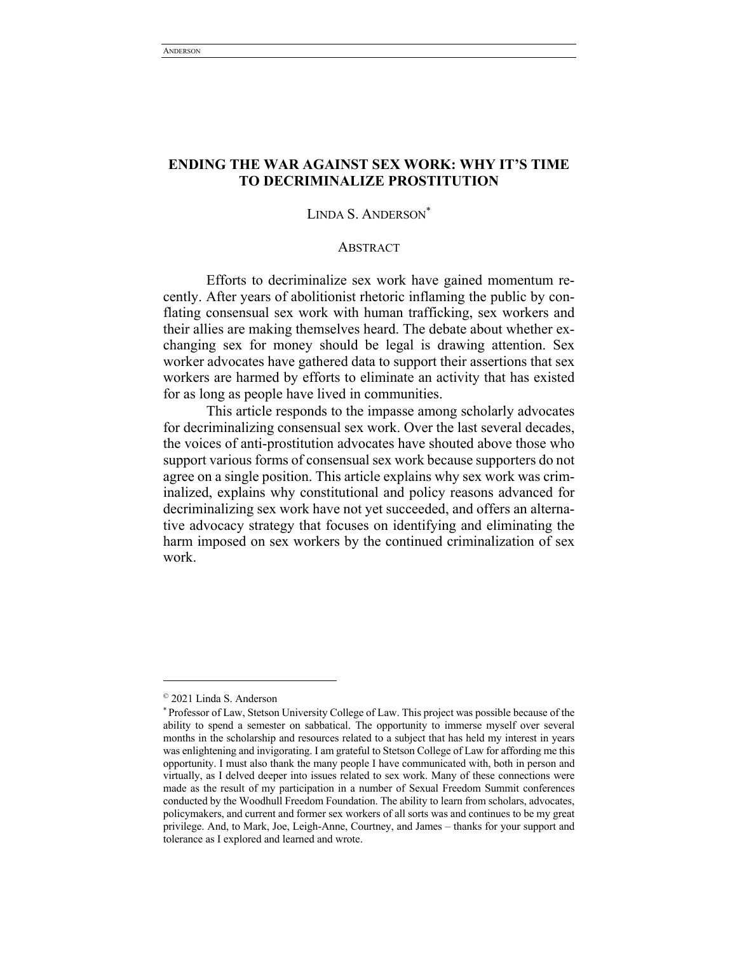# **ENDING THE WAR AGAINST SEX WORK: WHY IT'S TIME TO DECRIMINALIZE PROSTITUTION**

# LINDA S. ANDERSON\*

#### **ABSTRACT**

Efforts to decriminalize sex work have gained momentum recently. After years of abolitionist rhetoric inflaming the public by conflating consensual sex work with human trafficking, sex workers and their allies are making themselves heard. The debate about whether exchanging sex for money should be legal is drawing attention. Sex worker advocates have gathered data to support their assertions that sex workers are harmed by efforts to eliminate an activity that has existed for as long as people have lived in communities.

This article responds to the impasse among scholarly advocates for decriminalizing consensual sex work. Over the last several decades, the voices of anti-prostitution advocates have shouted above those who support various forms of consensual sex work because supporters do not agree on a single position. This article explains why sex work was criminalized, explains why constitutional and policy reasons advanced for decriminalizing sex work have not yet succeeded, and offers an alternative advocacy strategy that focuses on identifying and eliminating the harm imposed on sex workers by the continued criminalization of sex work.

<sup>©</sup> 2021 Linda S. Anderson

<sup>\*</sup> Professor of Law, Stetson University College of Law. This project was possible because of the ability to spend a semester on sabbatical. The opportunity to immerse myself over several months in the scholarship and resources related to a subject that has held my interest in years was enlightening and invigorating. I am grateful to Stetson College of Law for affording me this opportunity. I must also thank the many people I have communicated with, both in person and virtually, as I delved deeper into issues related to sex work. Many of these connections were made as the result of my participation in a number of Sexual Freedom Summit conferences conducted by the Woodhull Freedom Foundation. The ability to learn from scholars, advocates, policymakers, and current and former sex workers of all sorts was and continues to be my great privilege. And, to Mark, Joe, Leigh-Anne, Courtney, and James – thanks for your support and tolerance as I explored and learned and wrote.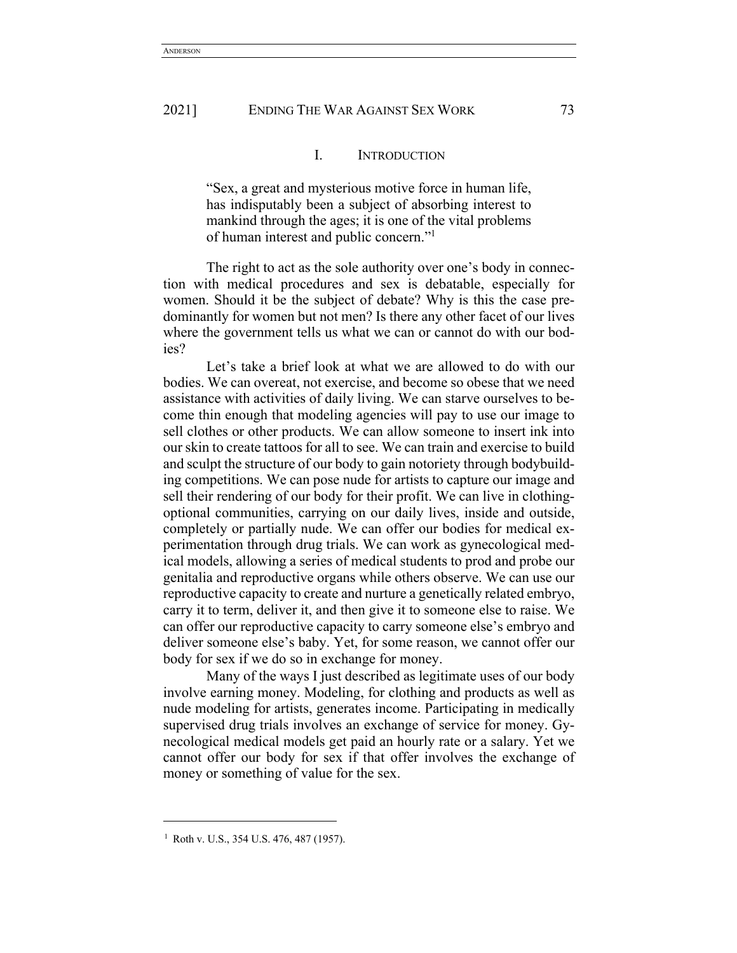# I. INTRODUCTION

"Sex, a great and mysterious motive force in human life, has indisputably been a subject of absorbing interest to mankind through the ages; it is one of the vital problems of human interest and public concern."1

The right to act as the sole authority over one's body in connection with medical procedures and sex is debatable, especially for women. Should it be the subject of debate? Why is this the case predominantly for women but not men? Is there any other facet of our lives where the government tells us what we can or cannot do with our bodies?

Let's take a brief look at what we are allowed to do with our bodies. We can overeat, not exercise, and become so obese that we need assistance with activities of daily living. We can starve ourselves to become thin enough that modeling agencies will pay to use our image to sell clothes or other products. We can allow someone to insert ink into our skin to create tattoos for all to see. We can train and exercise to build and sculpt the structure of our body to gain notoriety through bodybuilding competitions. We can pose nude for artists to capture our image and sell their rendering of our body for their profit. We can live in clothingoptional communities, carrying on our daily lives, inside and outside, completely or partially nude. We can offer our bodies for medical experimentation through drug trials. We can work as gynecological medical models, allowing a series of medical students to prod and probe our genitalia and reproductive organs while others observe. We can use our reproductive capacity to create and nurture a genetically related embryo, carry it to term, deliver it, and then give it to someone else to raise. We can offer our reproductive capacity to carry someone else's embryo and deliver someone else's baby. Yet, for some reason, we cannot offer our body for sex if we do so in exchange for money.

Many of the ways I just described as legitimate uses of our body involve earning money. Modeling, for clothing and products as well as nude modeling for artists, generates income. Participating in medically supervised drug trials involves an exchange of service for money. Gynecological medical models get paid an hourly rate or a salary. Yet we cannot offer our body for sex if that offer involves the exchange of money or something of value for the sex.

<sup>&</sup>lt;sup>1</sup> Roth v. U.S., 354 U.S. 476, 487 (1957).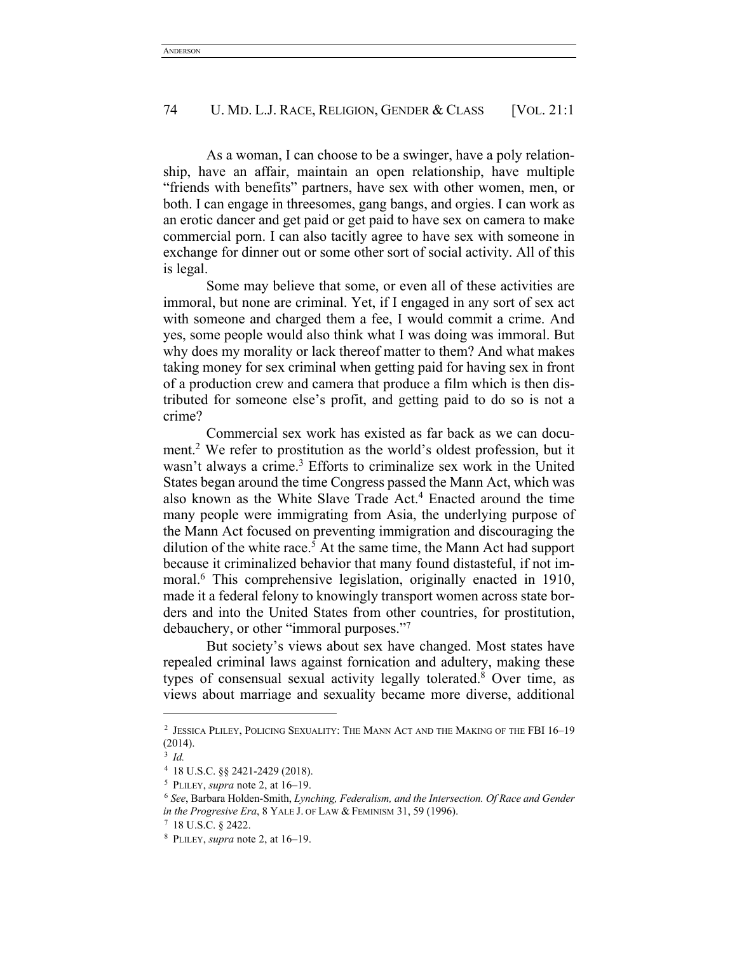As a woman, I can choose to be a swinger, have a poly relationship, have an affair, maintain an open relationship, have multiple "friends with benefits" partners, have sex with other women, men, or both. I can engage in threesomes, gang bangs, and orgies. I can work as an erotic dancer and get paid or get paid to have sex on camera to make commercial porn. I can also tacitly agree to have sex with someone in exchange for dinner out or some other sort of social activity. All of this is legal.

Some may believe that some, or even all of these activities are immoral, but none are criminal. Yet, if I engaged in any sort of sex act with someone and charged them a fee, I would commit a crime. And yes, some people would also think what I was doing was immoral. But why does my morality or lack thereof matter to them? And what makes taking money for sex criminal when getting paid for having sex in front of a production crew and camera that produce a film which is then distributed for someone else's profit, and getting paid to do so is not a crime?

Commercial sex work has existed as far back as we can document.2 We refer to prostitution as the world's oldest profession, but it wasn't always a crime.<sup>3</sup> Efforts to criminalize sex work in the United States began around the time Congress passed the Mann Act, which was also known as the White Slave Trade Act.4 Enacted around the time many people were immigrating from Asia, the underlying purpose of the Mann Act focused on preventing immigration and discouraging the dilution of the white race.<sup>5</sup> At the same time, the Mann Act had support because it criminalized behavior that many found distasteful, if not immoral.<sup>6</sup> This comprehensive legislation, originally enacted in 1910, made it a federal felony to knowingly transport women across state borders and into the United States from other countries, for prostitution, debauchery, or other "immoral purposes."7

But society's views about sex have changed. Most states have repealed criminal laws against fornication and adultery, making these types of consensual sexual activity legally tolerated. <sup>8</sup> Over time, as views about marriage and sexuality became more diverse, additional

<sup>2</sup> JESSICA PLILEY, POLICING SEXUALITY: THE MANN ACT AND THE MAKING OF THE FBI 16–19 (2014).

<sup>3</sup> *Id.*

<sup>4</sup> 18 U.S.C. §§ 2421-2429 (2018).

<sup>5</sup> PLILEY, *supra* note 2, at 16–19.

<sup>6</sup> *See*, Barbara Holden-Smith, *Lynching, Federalism, and the Intersection. Of Race and Gender in the Progresive Era*, 8 YALE J. OF LAW & FEMINISM 31, 59 (1996).

<sup>7</sup> 18 U.S.C. § 2422.

<sup>8</sup> PLILEY, *supra* note 2, at 16–19.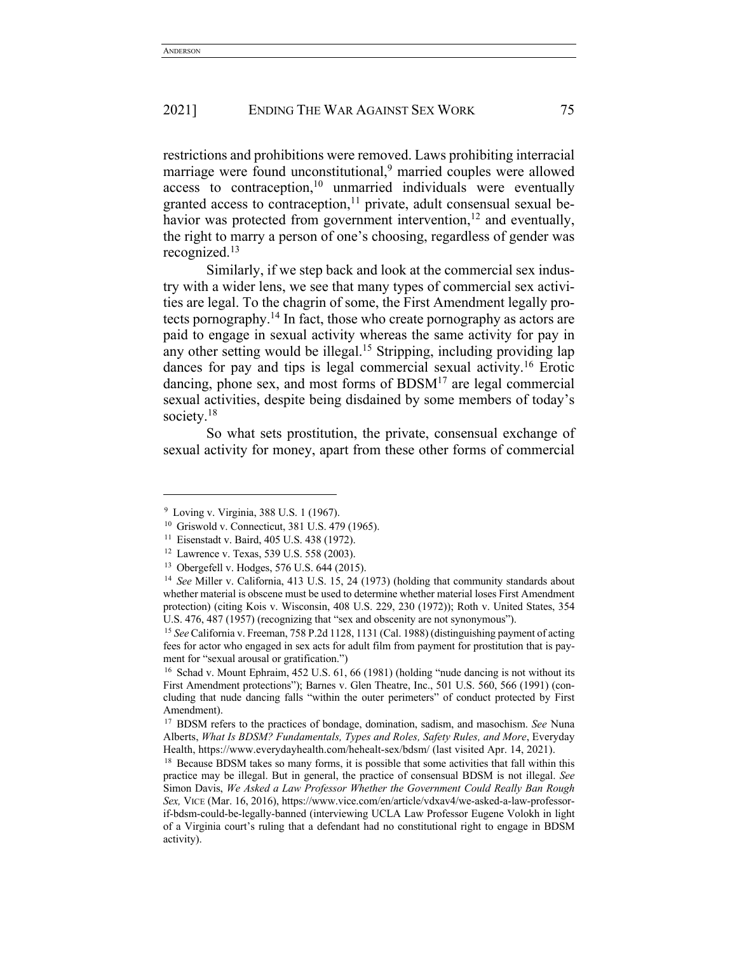restrictions and prohibitions were removed. Laws prohibiting interracial marriage were found unconstitutional,<sup>9</sup> married couples were allowed access to contraception, $10$  unmarried individuals were eventually granted access to contraception, $11$  private, adult consensual sexual behavior was protected from government intervention,  $12$  and eventually, the right to marry a person of one's choosing, regardless of gender was recognized.13

Similarly, if we step back and look at the commercial sex industry with a wider lens, we see that many types of commercial sex activities are legal. To the chagrin of some, the First Amendment legally protects pornography.14 In fact, those who create pornography as actors are paid to engage in sexual activity whereas the same activity for pay in any other setting would be illegal.<sup>15</sup> Stripping, including providing lap dances for pay and tips is legal commercial sexual activity.<sup>16</sup> Erotic dancing, phone sex, and most forms of  $BDSM<sup>17</sup>$  are legal commercial sexual activities, despite being disdained by some members of today's society.<sup>18</sup>

So what sets prostitution, the private, consensual exchange of sexual activity for money, apart from these other forms of commercial

<sup>9</sup> Loving v. Virginia, 388 U.S. 1 (1967).

<sup>10</sup> Griswold v. Connecticut, 381 U.S. 479 (1965).

<sup>11</sup> Eisenstadt v. Baird, 405 U.S. 438 (1972).

<sup>12</sup> Lawrence v. Texas, 539 U.S. 558 (2003).

<sup>13</sup> Obergefell v. Hodges, 576 U.S. 644 (2015).

<sup>14</sup> *See* Miller v. California, 413 U.S. 15, 24 (1973) (holding that community standards about whether material is obscene must be used to determine whether material loses First Amendment protection) (citing Kois v. Wisconsin, 408 U.S. 229, 230 (1972)); Roth v. United States, 354 U.S. 476, 487 (1957) (recognizing that "sex and obscenity are not synonymous").

<sup>15</sup> *See* California v. Freeman, 758 P.2d 1128, 1131 (Cal. 1988) (distinguishing payment of acting fees for actor who engaged in sex acts for adult film from payment for prostitution that is payment for "sexual arousal or gratification.")

<sup>&</sup>lt;sup>16</sup> Schad v. Mount Ephraim, 452 U.S. 61, 66 (1981) (holding "nude dancing is not without its First Amendment protections"); Barnes v. Glen Theatre, Inc., 501 U.S. 560, 566 (1991) (concluding that nude dancing falls "within the outer perimeters" of conduct protected by First Amendment).

<sup>17</sup> BDSM refers to the practices of bondage, domination, sadism, and masochism. *See* Nuna Alberts, *What Is BDSM? Fundamentals, Types and Roles, Safety Rules, and More*, Everyday Health, https://www.everydayhealth.com/hehealt-sex/bdsm/ (last visited Apr. 14, 2021).

<sup>&</sup>lt;sup>18</sup> Because BDSM takes so many forms, it is possible that some activities that fall within this practice may be illegal. But in general, the practice of consensual BDSM is not illegal. *See* Simon Davis, *We Asked a Law Professor Whether the Government Could Really Ban Rough Sex,* VICE (Mar. 16, 2016), https://www.vice.com/en/article/vdxav4/we-asked-a-law-professorif-bdsm-could-be-legally-banned (interviewing UCLA Law Professor Eugene Volokh in light of a Virginia court's ruling that a defendant had no constitutional right to engage in BDSM activity).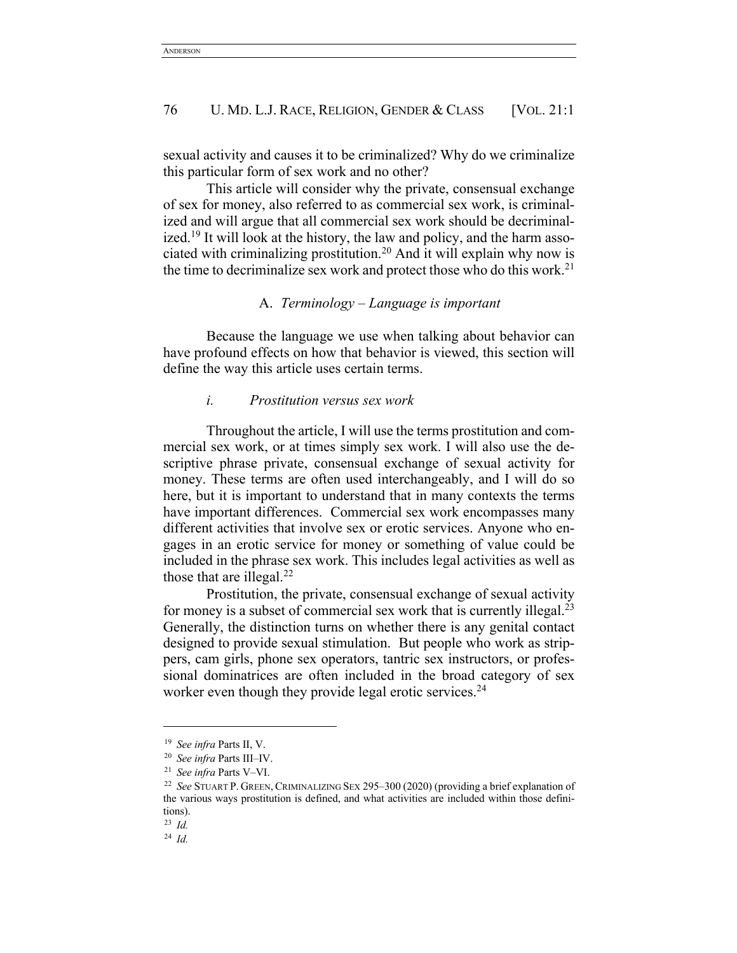sexual activity and causes it to be criminalized? Why do we criminalize this particular form of sex work and no other?

This article will consider why the private, consensual exchange of sex for money, also referred to as commercial sex work, is criminalized and will argue that all commercial sex work should be decriminalized.<sup>19</sup> It will look at the history, the law and policy, and the harm associated with criminalizing prostitution.<sup>20</sup> And it will explain why now is the time to decriminalize sex work and protect those who do this work.<sup>21</sup>

## A. *Terminology – Language is important*

Because the language we use when talking about behavior can have profound effects on how that behavior is viewed, this section will define the way this article uses certain terms.

#### *i. Prostitution versus sex work*

Throughout the article, I will use the terms prostitution and commercial sex work, or at times simply sex work. I will also use the descriptive phrase private, consensual exchange of sexual activity for money. These terms are often used interchangeably, and I will do so here, but it is important to understand that in many contexts the terms have important differences. Commercial sex work encompasses many different activities that involve sex or erotic services. Anyone who engages in an erotic service for money or something of value could be included in the phrase sex work. This includes legal activities as well as those that are illegal. $^{22}$ 

Prostitution, the private, consensual exchange of sexual activity for money is a subset of commercial sex work that is currently illegal.<sup>23</sup> Generally, the distinction turns on whether there is any genital contact designed to provide sexual stimulation. But people who work as strippers, cam girls, phone sex operators, tantric sex instructors, or professional dominatrices are often included in the broad category of sex worker even though they provide legal erotic services.<sup>24</sup>

<sup>19</sup> *See infra* Parts II, V. 20 *See infra* Parts III–IV.

<sup>21</sup> *See infra* Parts V–VI.

<sup>22</sup> *See* STUART P. GREEN, CRIMINALIZING SEX 295–300 (2020) (providing a brief explanation of the various ways prostitution is defined, and what activities are included within those definitions).

<sup>23</sup> *Id.*

<sup>24</sup> *Id.*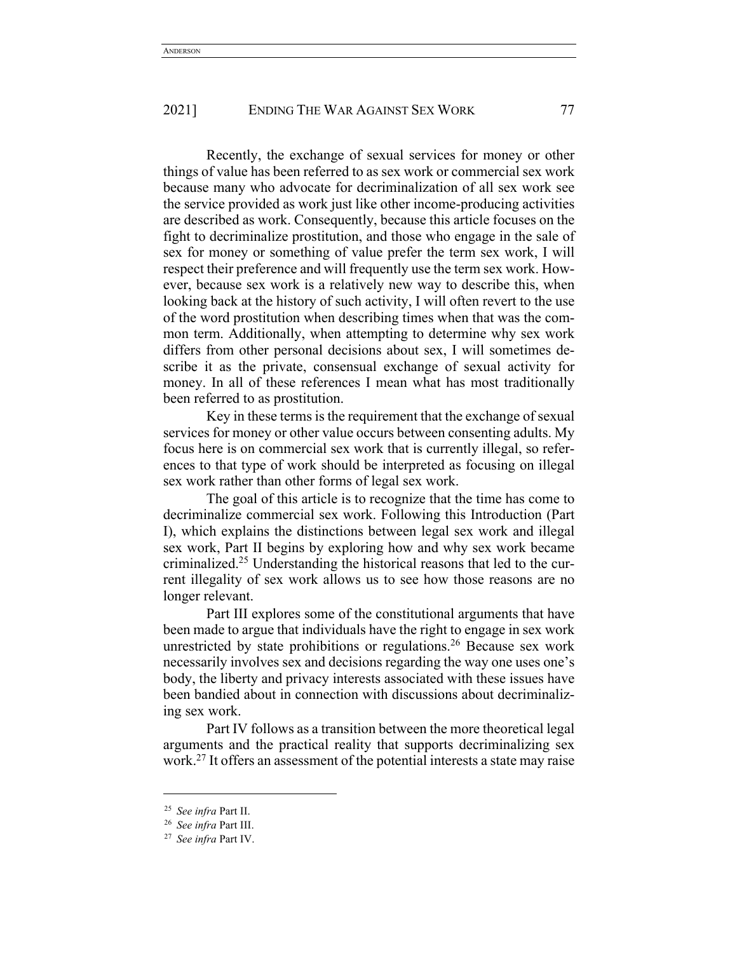Recently, the exchange of sexual services for money or other things of value has been referred to as sex work or commercial sex work because many who advocate for decriminalization of all sex work see the service provided as work just like other income-producing activities are described as work. Consequently, because this article focuses on the fight to decriminalize prostitution, and those who engage in the sale of sex for money or something of value prefer the term sex work, I will respect their preference and will frequently use the term sex work. However, because sex work is a relatively new way to describe this, when looking back at the history of such activity, I will often revert to the use of the word prostitution when describing times when that was the common term. Additionally, when attempting to determine why sex work differs from other personal decisions about sex, I will sometimes describe it as the private, consensual exchange of sexual activity for money. In all of these references I mean what has most traditionally been referred to as prostitution.

Key in these terms is the requirement that the exchange of sexual services for money or other value occurs between consenting adults. My focus here is on commercial sex work that is currently illegal, so references to that type of work should be interpreted as focusing on illegal sex work rather than other forms of legal sex work.

The goal of this article is to recognize that the time has come to decriminalize commercial sex work. Following this Introduction (Part I), which explains the distinctions between legal sex work and illegal sex work, Part II begins by exploring how and why sex work became criminalized.25 Understanding the historical reasons that led to the current illegality of sex work allows us to see how those reasons are no longer relevant.

Part III explores some of the constitutional arguments that have been made to argue that individuals have the right to engage in sex work unrestricted by state prohibitions or regulations.<sup>26</sup> Because sex work necessarily involves sex and decisions regarding the way one uses one's body, the liberty and privacy interests associated with these issues have been bandied about in connection with discussions about decriminalizing sex work.

Part IV follows as a transition between the more theoretical legal arguments and the practical reality that supports decriminalizing sex work.27 It offers an assessment of the potential interests a state may raise

<sup>25</sup> *See infra* Part II.

<sup>26</sup> *See infra* Part III.

<sup>27</sup> *See infra* Part IV.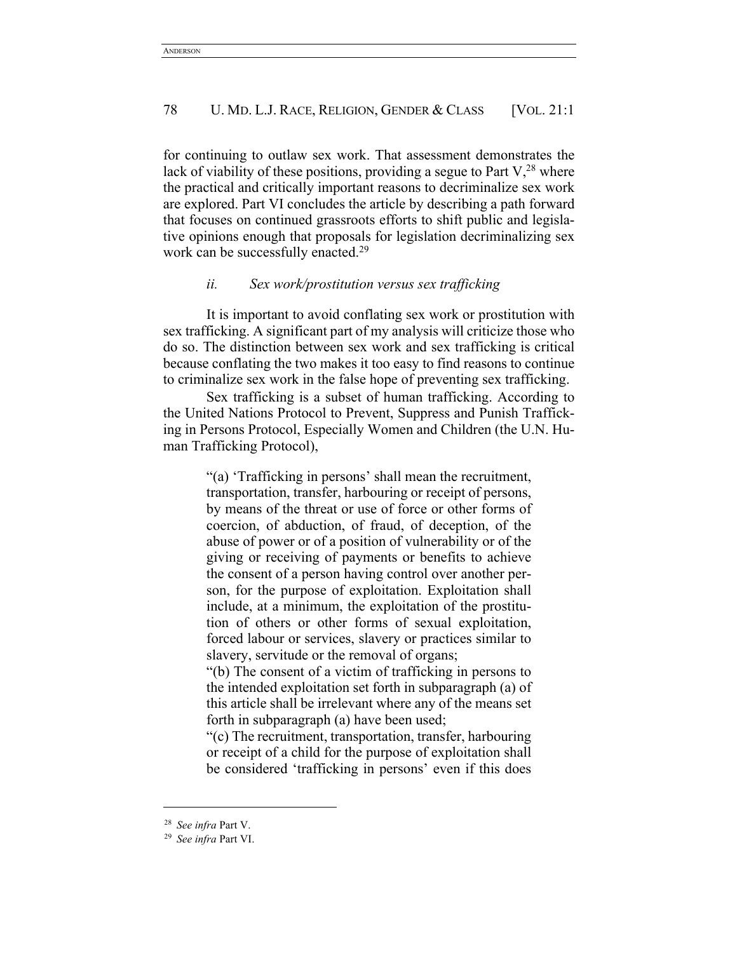for continuing to outlaw sex work. That assessment demonstrates the lack of viability of these positions, providing a segue to Part  $V^{28}$ , where the practical and critically important reasons to decriminalize sex work are explored. Part VI concludes the article by describing a path forward that focuses on continued grassroots efforts to shift public and legislative opinions enough that proposals for legislation decriminalizing sex work can be successfully enacted.<sup>29</sup>

# *ii. Sex work/prostitution versus sex trafficking*

It is important to avoid conflating sex work or prostitution with sex trafficking. A significant part of my analysis will criticize those who do so. The distinction between sex work and sex trafficking is critical because conflating the two makes it too easy to find reasons to continue to criminalize sex work in the false hope of preventing sex trafficking.

Sex trafficking is a subset of human trafficking. According to the United Nations Protocol to Prevent, Suppress and Punish Trafficking in Persons Protocol, Especially Women and Children (the U.N. Human Trafficking Protocol),

> "(a) 'Trafficking in persons' shall mean the recruitment, transportation, transfer, harbouring or receipt of persons, by means of the threat or use of force or other forms of coercion, of abduction, of fraud, of deception, of the abuse of power or of a position of vulnerability or of the giving or receiving of payments or benefits to achieve the consent of a person having control over another person, for the purpose of exploitation. Exploitation shall include, at a minimum, the exploitation of the prostitution of others or other forms of sexual exploitation, forced labour or services, slavery or practices similar to slavery, servitude or the removal of organs;

> "(b) The consent of a victim of trafficking in persons to the intended exploitation set forth in subparagraph (a) of this article shall be irrelevant where any of the means set forth in subparagraph (a) have been used;

> "(c) The recruitment, transportation, transfer, harbouring or receipt of a child for the purpose of exploitation shall be considered 'trafficking in persons' even if this does

<sup>28</sup> *See infra* Part V.

<sup>29</sup> *See infra* Part VI.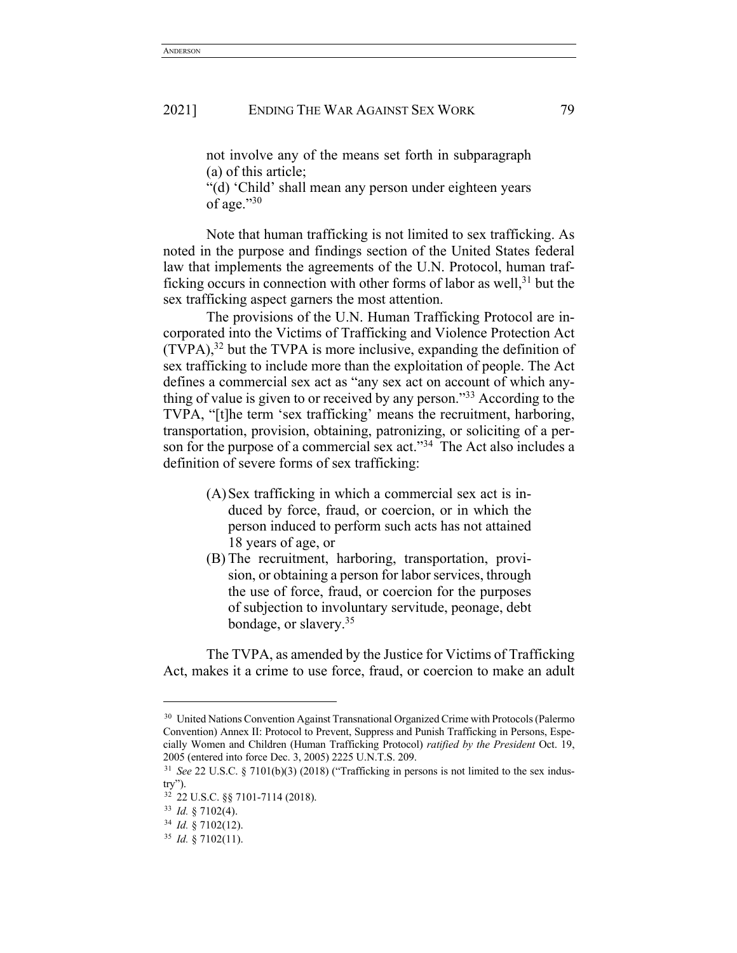not involve any of the means set forth in subparagraph (a) of this article;

"(d) 'Child' shall mean any person under eighteen years of age." $30$ 

Note that human trafficking is not limited to sex trafficking. As noted in the purpose and findings section of the United States federal law that implements the agreements of the U.N. Protocol, human trafficking occurs in connection with other forms of labor as well, $31$  but the sex trafficking aspect garners the most attention.

The provisions of the U.N. Human Trafficking Protocol are incorporated into the Victims of Trafficking and Violence Protection Act (TVPA), <sup>32</sup> but the TVPA is more inclusive, expanding the definition of sex trafficking to include more than the exploitation of people. The Act defines a commercial sex act as "any sex act on account of which anything of value is given to or received by any person."33 According to the TVPA, "[t]he term 'sex trafficking' means the recruitment, harboring, transportation, provision, obtaining, patronizing, or soliciting of a person for the purpose of a commercial sex act."<sup>34</sup> The Act also includes a definition of severe forms of sex trafficking:

- (A)Sex trafficking in which a commercial sex act is induced by force, fraud, or coercion, or in which the person induced to perform such acts has not attained 18 years of age, or
- (B) The recruitment, harboring, transportation, provision, or obtaining a person for labor services, through the use of force, fraud, or coercion for the purposes of subjection to involuntary servitude, peonage, debt bondage, or slavery.35

The TVPA, as amended by the Justice for Victims of Trafficking Act, makes it a crime to use force, fraud, or coercion to make an adult

<sup>&</sup>lt;sup>30</sup> United Nations Convention Against Transnational Organized Crime with Protocols (Palermo Convention) Annex II: Protocol to Prevent, Suppress and Punish Trafficking in Persons, Especially Women and Children (Human Trafficking Protocol) *ratified by the President* Oct. 19, 2005 (entered into force Dec. 3, 2005) 2225 U.N.T.S. 209.

<sup>31</sup> *See* 22 U.S.C. § 7101(b)(3) (2018) ("Trafficking in persons is not limited to the sex indus $try$ ").

<sup>32</sup> 22 U.S.C. §§ 7101-7114 (2018).

<sup>33</sup> *Id.* § 7102(4).

<sup>34</sup> *Id.* § 7102(12).

<sup>35</sup> *Id.* § 7102(11).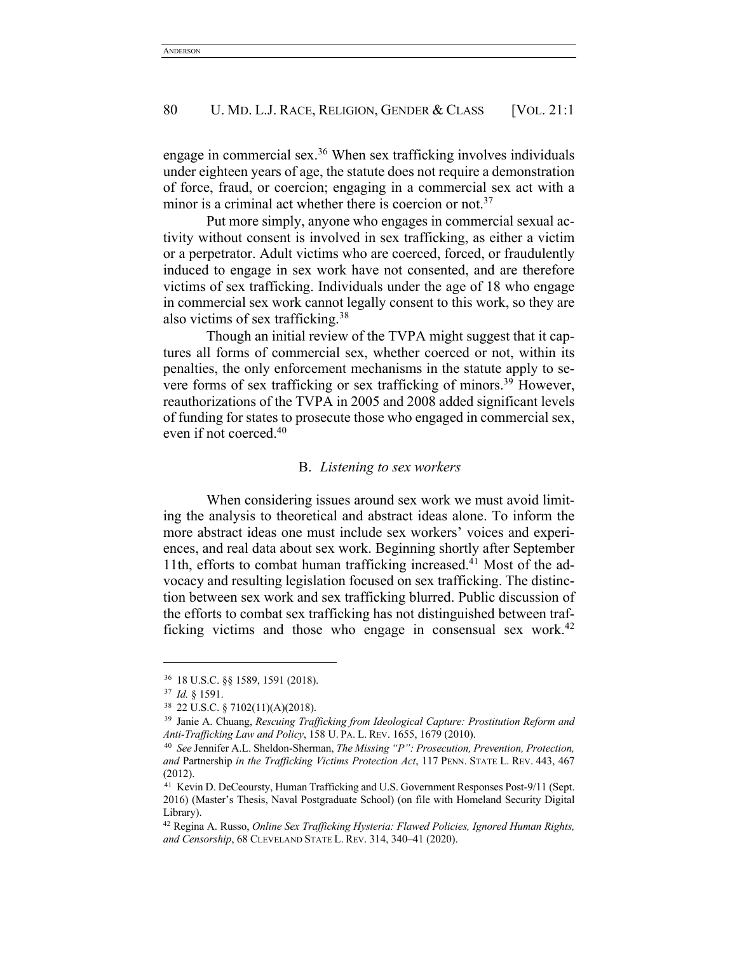engage in commercial sex.<sup>36</sup> When sex trafficking involves individuals under eighteen years of age, the statute does not require a demonstration of force, fraud, or coercion; engaging in a commercial sex act with a minor is a criminal act whether there is coercion or not.<sup>37</sup>

Put more simply, anyone who engages in commercial sexual activity without consent is involved in sex trafficking, as either a victim or a perpetrator. Adult victims who are coerced, forced, or fraudulently induced to engage in sex work have not consented, and are therefore victims of sex trafficking. Individuals under the age of 18 who engage in commercial sex work cannot legally consent to this work, so they are also victims of sex trafficking.38

Though an initial review of the TVPA might suggest that it captures all forms of commercial sex, whether coerced or not, within its penalties, the only enforcement mechanisms in the statute apply to severe forms of sex trafficking or sex trafficking of minors.39 However, reauthorizations of the TVPA in 2005 and 2008 added significant levels of funding for states to prosecute those who engaged in commercial sex, even if not coerced.40

## B. *Listening to sex workers*

When considering issues around sex work we must avoid limiting the analysis to theoretical and abstract ideas alone. To inform the more abstract ideas one must include sex workers' voices and experiences, and real data about sex work. Beginning shortly after September 11th, efforts to combat human trafficking increased.<sup>41</sup> Most of the advocacy and resulting legislation focused on sex trafficking. The distinction between sex work and sex trafficking blurred. Public discussion of the efforts to combat sex trafficking has not distinguished between trafficking victims and those who engage in consensual sex work.<sup>42</sup>

<sup>36</sup> 18 U.S.C. §§ 1589, 1591 (2018).

<sup>37</sup> *Id.* § 1591. 38 22 U.S.C. § 7102(11)(A)(2018).

<sup>39</sup> Janie A. Chuang, *Rescuing Trafficking from Ideological Capture: Prostitution Reform and Anti-Trafficking Law and Policy*, 158 U. PA. L. REV. 1655, 1679 (2010).

<sup>40</sup> *See* Jennifer A.L. Sheldon-Sherman, *The Missing "P": Prosecution, Prevention, Protection, and* Partnership *in the Trafficking Victims Protection Act*, 117 PENN. STATE L. REV. 443, 467 (2012).

<sup>41</sup> Kevin D. DeCeoursty, Human Trafficking and U.S. Government Responses Post-9/11 (Sept. 2016) (Master's Thesis, Naval Postgraduate School) (on file with Homeland Security Digital Library).

<sup>42</sup> Regina A. Russo, *Online Sex Trafficking Hysteria: Flawed Policies, Ignored Human Rights, and Censorship*, 68 CLEVELAND STATE L. REV. 314, 340–41 (2020).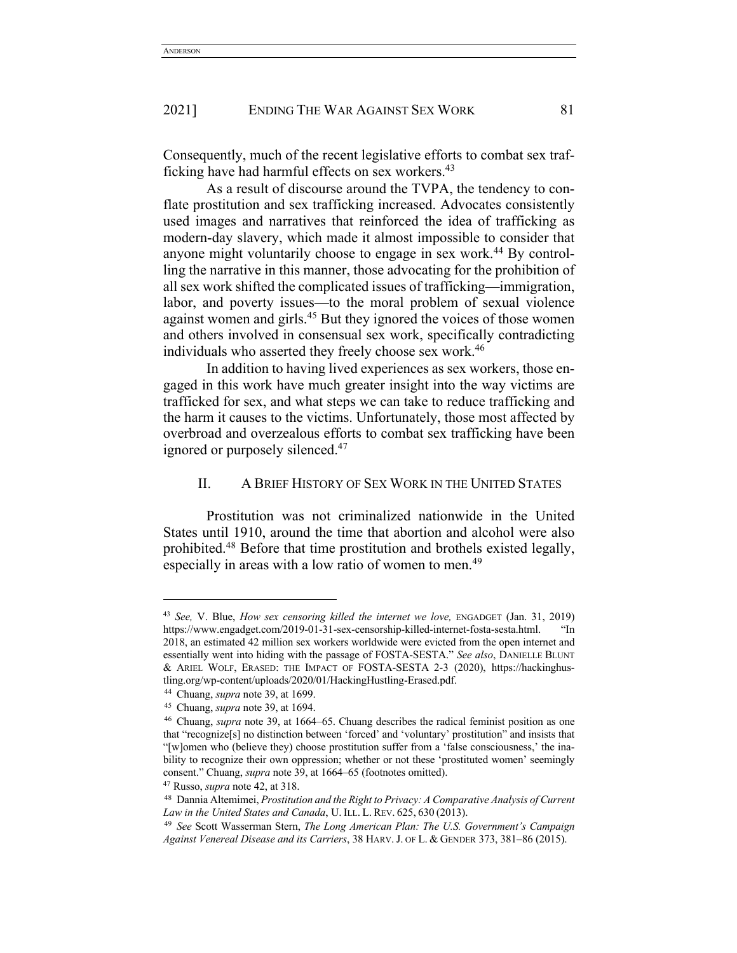Consequently, much of the recent legislative efforts to combat sex trafficking have had harmful effects on sex workers.<sup>43</sup>

As a result of discourse around the TVPA, the tendency to conflate prostitution and sex trafficking increased. Advocates consistently used images and narratives that reinforced the idea of trafficking as modern-day slavery, which made it almost impossible to consider that anyone might voluntarily choose to engage in sex work.<sup>44</sup> By controlling the narrative in this manner, those advocating for the prohibition of all sex work shifted the complicated issues of trafficking—immigration, labor, and poverty issues—to the moral problem of sexual violence against women and girls.<sup>45</sup> But they ignored the voices of those women and others involved in consensual sex work, specifically contradicting individuals who asserted they freely choose sex work.<sup>46</sup>

In addition to having lived experiences as sex workers, those engaged in this work have much greater insight into the way victims are trafficked for sex, and what steps we can take to reduce trafficking and the harm it causes to the victims. Unfortunately, those most affected by overbroad and overzealous efforts to combat sex trafficking have been ignored or purposely silenced.<sup>47</sup>

# II. A BRIEF HISTORY OF SEX WORK IN THE UNITED STATES

Prostitution was not criminalized nationwide in the United States until 1910, around the time that abortion and alcohol were also prohibited.48 Before that time prostitution and brothels existed legally, especially in areas with a low ratio of women to men.<sup>49</sup>

<sup>43</sup> *See,* V. Blue, *How sex censoring killed the internet we love,* ENGADGET (Jan. 31, 2019) https://www.engadget.com/2019-01-31-sex-censorship-killed-internet-fosta-sesta.html. "In 2018, an estimated 42 million sex workers worldwide were evicted from the open internet and essentially went into hiding with the passage of FOSTA-SESTA." *See also*, DANIELLE BLUNT & ARIEL WOLF, ERASED: THE IMPACT OF FOSTA-SESTA 2-3 (2020), https://hackinghustling.org/wp-content/uploads/2020/01/HackingHustling-Erased.pdf.

<sup>44</sup> Chuang, *supra* note 39, at 1699.

<sup>45</sup> Chuang, *supra* note 39, at 1694.

<sup>46</sup> Chuang, *supra* note 39, at 1664–65. Chuang describes the radical feminist position as one that "recognize[s] no distinction between 'forced' and 'voluntary' prostitution" and insists that "[w]omen who (believe they) choose prostitution suffer from a 'false consciousness,' the inability to recognize their own oppression; whether or not these 'prostituted women' seemingly consent." Chuang, *supra* note 39, at 1664–65 (footnotes omitted).

<sup>47</sup> Russo, *supra* note 42, at 318.

<sup>48</sup> Dannia Altemimei, *Prostitution and the Right to Privacy: A Comparative Analysis of Current Law in the United States and Canada*, U. ILL. L. REV. 625, 630 (2013).

<sup>49</sup> *See* Scott Wasserman Stern, *The Long American Plan: The U.S. Government's Campaign Against Venereal Disease and its Carriers*, 38 HARV.J. OF L. & GENDER 373, 381–86 (2015).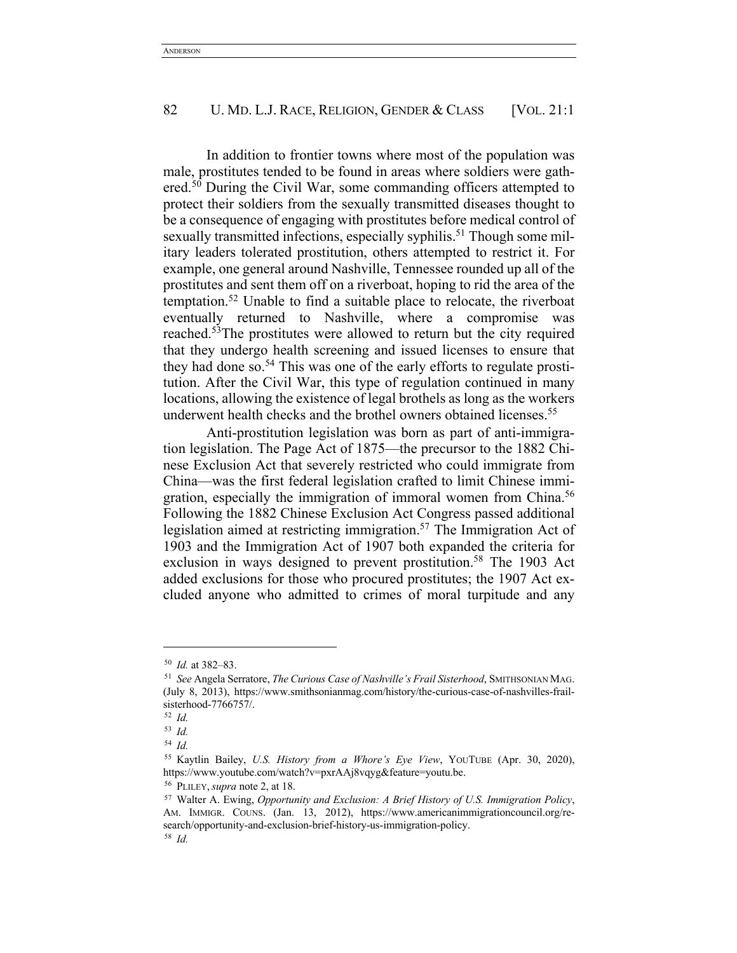In addition to frontier towns where most of the population was male, prostitutes tended to be found in areas where soldiers were gathered.<sup>50</sup> During the Civil War, some commanding officers attempted to protect their soldiers from the sexually transmitted diseases thought to be a consequence of engaging with prostitutes before medical control of sexually transmitted infections, especially syphilis.<sup>51</sup> Though some military leaders tolerated prostitution, others attempted to restrict it. For example, one general around Nashville, Tennessee rounded up all of the prostitutes and sent them off on a riverboat, hoping to rid the area of the temptation.52 Unable to find a suitable place to relocate, the riverboat eventually returned to Nashville, where a compromise was reached.53The prostitutes were allowed to return but the city required that they undergo health screening and issued licenses to ensure that they had done so.54 This was one of the early efforts to regulate prostitution. After the Civil War, this type of regulation continued in many locations, allowing the existence of legal brothels as long as the workers underwent health checks and the brothel owners obtained licenses.<sup>55</sup>

Anti-prostitution legislation was born as part of anti-immigration legislation. The Page Act of 1875—the precursor to the 1882 Chinese Exclusion Act that severely restricted who could immigrate from China—was the first federal legislation crafted to limit Chinese immigration, especially the immigration of immoral women from China.<sup>56</sup> Following the 1882 Chinese Exclusion Act Congress passed additional legislation aimed at restricting immigration.57 The Immigration Act of 1903 and the Immigration Act of 1907 both expanded the criteria for exclusion in ways designed to prevent prostitution.<sup>58</sup> The 1903 Act added exclusions for those who procured prostitutes; the 1907 Act excluded anyone who admitted to crimes of moral turpitude and any

<sup>50</sup> *Id.* at 382–83.

<sup>51</sup> *See* Angela Serratore, *The Curious Case of Nashville's Frail Sisterhood*, SMITHSONIAN MAG. (July 8, 2013), https://www.smithsonianmag.com/history/the-curious-case-of-nashvilles-frailsisterhood-7766757/.

<sup>52</sup> *Id.*

<sup>53</sup> *Id.*

<sup>54</sup> *Id.*

<sup>55</sup> Kaytlin Bailey, *U.S. History from a Whore's Eye View*, YOUTUBE (Apr. 30, 2020), https://www.youtube.com/watch?v=pxrAAj8vqyg&feature=youtu.be.

<sup>56</sup> PLILEY,*supra* note 2, at 18.

<sup>57</sup> Walter A. Ewing, *Opportunity and Exclusion: A Brief History of U.S. Immigration Policy*, AM. IMMIGR. COUNS. (Jan. 13, 2012), https://www.americanimmigrationcouncil.org/research/opportunity-and-exclusion-brief-history-us-immigration-policy. <sup>58</sup> *Id.*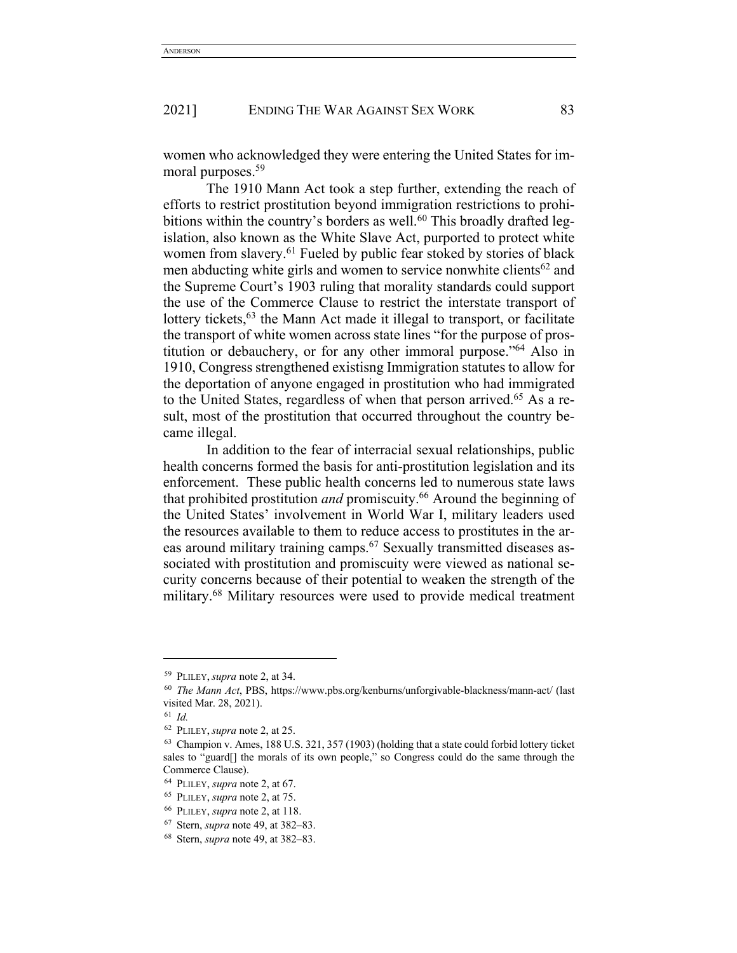women who acknowledged they were entering the United States for immoral purposes.<sup>59</sup>

The 1910 Mann Act took a step further, extending the reach of efforts to restrict prostitution beyond immigration restrictions to prohibitions within the country's borders as well.<sup>60</sup> This broadly drafted legislation, also known as the White Slave Act, purported to protect white women from slavery.<sup>61</sup> Fueled by public fear stoked by stories of black men abducting white girls and women to service nonwhite clients<sup>62</sup> and the Supreme Court's 1903 ruling that morality standards could support the use of the Commerce Clause to restrict the interstate transport of lottery tickets,  $63$  the Mann Act made it illegal to transport, or facilitate the transport of white women across state lines "for the purpose of prostitution or debauchery, or for any other immoral purpose."64 Also in 1910, Congress strengthened existisng Immigration statutes to allow for the deportation of anyone engaged in prostitution who had immigrated to the United States, regardless of when that person arrived.<sup>65</sup> As a result, most of the prostitution that occurred throughout the country became illegal.

In addition to the fear of interracial sexual relationships, public health concerns formed the basis for anti-prostitution legislation and its enforcement. These public health concerns led to numerous state laws that prohibited prostitution *and* promiscuity.66 Around the beginning of the United States' involvement in World War I, military leaders used the resources available to them to reduce access to prostitutes in the areas around military training camps.<sup>67</sup> Sexually transmitted diseases associated with prostitution and promiscuity were viewed as national security concerns because of their potential to weaken the strength of the military.<sup>68</sup> Military resources were used to provide medical treatment

<sup>59</sup> PLILEY,*supra* note 2, at 34.

<sup>60</sup> *The Mann Act*, PBS, https://www.pbs.org/kenburns/unforgivable-blackness/mann-act/ (last visited Mar. 28, 2021).

<sup>61</sup> *Id.*

<sup>62</sup> PLILEY,*supra* note 2, at 25.

<sup>63</sup> Champion v. Ames, 188 U.S. 321, 357 (1903) (holding that a state could forbid lottery ticket sales to "guard[] the morals of its own people," so Congress could do the same through the Commerce Clause).

<sup>64</sup> PLILEY, *supra* note 2, at 67.

<sup>65</sup> PLILEY, *supra* note 2, at 75.

<sup>66</sup> PLILEY, *supra* note 2, at 118.

<sup>67</sup> Stern, *supra* note 49, at 382–83.

<sup>68</sup> Stern, *supra* note 49, at 382–83.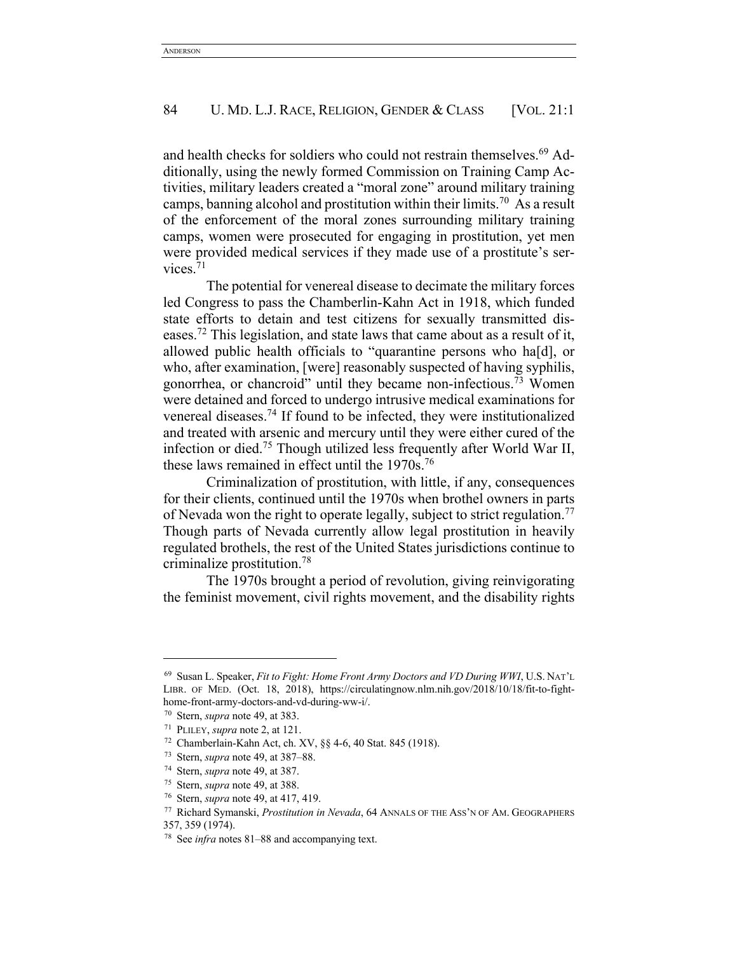and health checks for soldiers who could not restrain themselves.<sup>69</sup> Additionally, using the newly formed Commission on Training Camp Activities, military leaders created a "moral zone" around military training camps, banning alcohol and prostitution within their limits.70 As a result of the enforcement of the moral zones surrounding military training camps, women were prosecuted for engaging in prostitution, yet men were provided medical services if they made use of a prostitute's services. $71$ 

The potential for venereal disease to decimate the military forces led Congress to pass the Chamberlin-Kahn Act in 1918, which funded state efforts to detain and test citizens for sexually transmitted diseases.72 This legislation, and state laws that came about as a result of it, allowed public health officials to "quarantine persons who ha[d], or who, after examination, [were] reasonably suspected of having syphilis, gonorrhea, or chancroid" until they became non-infectious.73 Women were detained and forced to undergo intrusive medical examinations for venereal diseases.74 If found to be infected, they were institutionalized and treated with arsenic and mercury until they were either cured of the infection or died.75 Though utilized less frequently after World War II, these laws remained in effect until the  $1970s$ .<sup>76</sup>

Criminalization of prostitution, with little, if any, consequences for their clients, continued until the 1970s when brothel owners in parts of Nevada won the right to operate legally, subject to strict regulation.<sup>77</sup> Though parts of Nevada currently allow legal prostitution in heavily regulated brothels, the rest of the United States jurisdictions continue to criminalize prostitution.78

The 1970s brought a period of revolution, giving reinvigorating the feminist movement, civil rights movement, and the disability rights

<sup>69</sup> Susan L. Speaker, *Fit to Fight: Home Front Army Doctors and VD During WWI*, U.S. NAT'L LIBR. OF MED. (Oct. 18, 2018), https://circulatingnow.nlm.nih.gov/2018/10/18/fit-to-fighthome-front-army-doctors-and-vd-during-ww-i/.

<sup>70</sup> Stern, *supra* note 49, at 383.

<sup>71</sup> PLILEY, *supra* note 2, at 121.

<sup>72</sup> Chamberlain-Kahn Act, ch. XV, §§ 4-6, 40 Stat. 845 (1918).

<sup>73</sup> Stern, *supra* note 49, at 387–88.

<sup>74</sup> Stern, *supra* note 49, at 387.

<sup>75</sup> Stern, *supra* note 49, at 388.

<sup>76</sup> Stern, *supra* note 49, at 417, 419.

<sup>77</sup> Richard Symanski, *Prostitution in Nevada*, 64 ANNALS OF THE ASS'N OF AM. GEOGRAPHERS 357, 359 (1974).

<sup>78</sup> See *infra* notes 81–88 and accompanying text.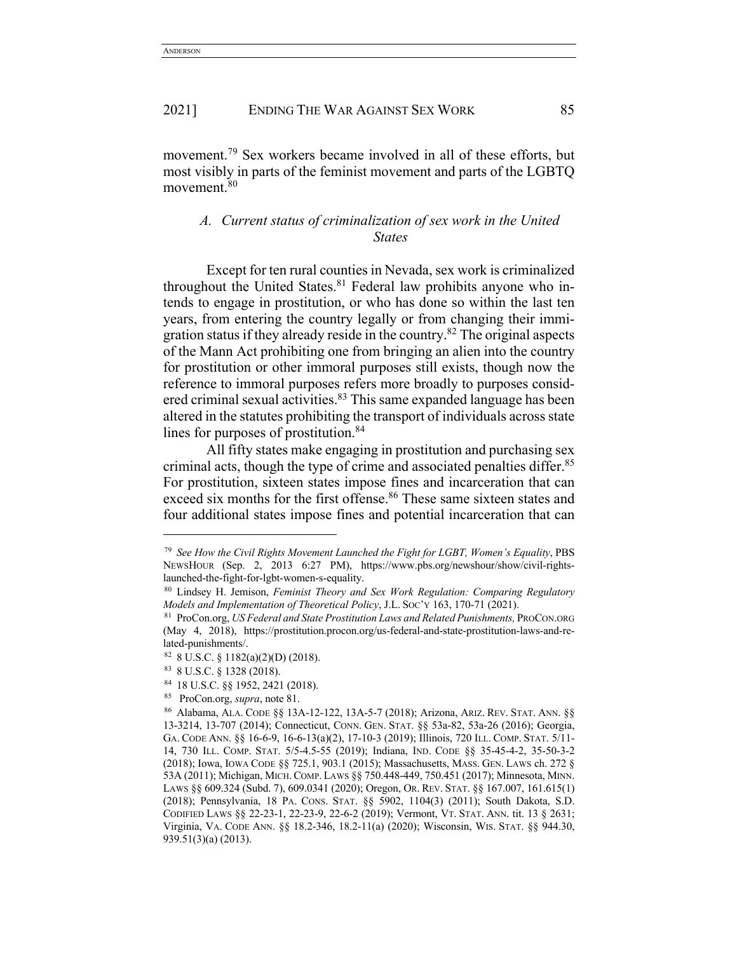movement.79 Sex workers became involved in all of these efforts, but most visibly in parts of the feminist movement and parts of the LGBTQ movement.80

# *A. Current status of criminalization of sex work in the United States*

Except for ten rural counties in Nevada, sex work is criminalized throughout the United States. $81$  Federal law prohibits anyone who intends to engage in prostitution, or who has done so within the last ten years, from entering the country legally or from changing their immigration status if they already reside in the country.<sup>82</sup> The original aspects of the Mann Act prohibiting one from bringing an alien into the country for prostitution or other immoral purposes still exists, though now the reference to immoral purposes refers more broadly to purposes considered criminal sexual activities.<sup>83</sup> This same expanded language has been altered in the statutes prohibiting the transport of individuals across state lines for purposes of prostitution.<sup>84</sup>

All fifty states make engaging in prostitution and purchasing sex criminal acts, though the type of crime and associated penalties differ.<sup>85</sup> For prostitution, sixteen states impose fines and incarceration that can exceed six months for the first offense.<sup>86</sup> These same sixteen states and four additional states impose fines and potential incarceration that can

<sup>79</sup> *See How the Civil Rights Movement Launched the Fight for LGBT, Women's Equality*, PBS NEWSHOUR (Sep. 2, 2013 6:27 PM), https://www.pbs.org/newshour/show/civil-rightslaunched-the-fight-for-lgbt-women-s-equality.

<sup>80</sup> Lindsey H. Jemison, *Feminist Theory and Sex Work Regulation: Comparing Regulatory Models and Implementation of Theoretical Policy*, J.L. Soc'y 163, 170-71 (2021).<br><sup>81</sup> ProCon.org, *US Federal and State Prostitution Laws and Related Punishments*, PROCON.ORG

<sup>(</sup>May 4, 2018), https://prostitution.procon.org/us-federal-and-state-prostitution-laws-and-related-punishments/.

<sup>82</sup> 8 U.S.C. § 1182(a)(2)(D) (2018).

<sup>83</sup> 8 U.S.C. § 1328 (2018).

<sup>84</sup> 18 U.S.C. §§ 1952, 2421 (2018). 85 ProCon.org, *supra*, note 81.

<sup>86</sup> Alabama, ALA. CODE §§ 13A-12-122, 13A-5-7 (2018); Arizona, ARIZ. REV. STAT. ANN. §§ 13-3214, 13-707 (2014); Connecticut, CONN. GEN. STAT. §§ 53a-82, 53a-26 (2016); Georgia, GA. CODE ANN. §§ 16-6-9, 16-6-13(a)(2), 17-10-3 (2019); Illinois, 720 ILL. COMP. STAT. 5/11- 14, 730 ILL. COMP. STAT. 5/5-4.5-55 (2019); Indiana, IND. CODE §§ 35-45-4-2, 35-50-3-2 (2018); Iowa, IOWA CODE §§ 725.1, 903.1 (2015); Massachusetts, MASS. GEN. LAWS ch. 272 § 53A (2011); Michigan, MICH.COMP. LAWS §§ 750.448-449, 750.451 (2017); Minnesota, MINN. LAWS §§ 609.324 (Subd. 7), 609.0341 (2020); Oregon, OR. REV. STAT. §§ 167.007, 161.615(1) (2018); Pennsylvania, 18 PA. CONS. STAT. §§ 5902, 1104(3) (2011); South Dakota, S.D. CODIFIED LAWS §§ 22-23-1, 22-23-9, 22-6-2 (2019); Vermont, VT. STAT. ANN. tit. 13 § 2631; Virginia, VA. CODE ANN. §§ 18.2-346, 18.2-11(a) (2020); Wisconsin, WIS. STAT. §§ 944.30, 939.51(3)(a) (2013).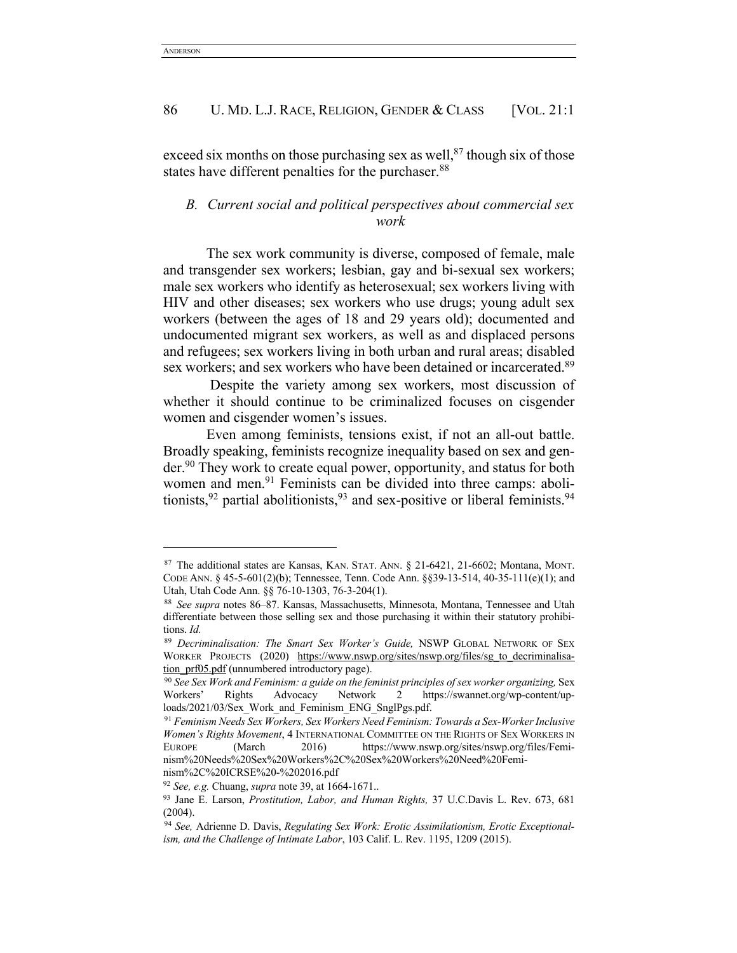exceed six months on those purchasing sex as well, $87$  though six of those states have different penalties for the purchaser.<sup>88</sup>

# *B. Current social and political perspectives about commercial sex work*

The sex work community is diverse, composed of female, male and transgender sex workers; lesbian, gay and bi-sexual sex workers; male sex workers who identify as heterosexual; sex workers living with HIV and other diseases; sex workers who use drugs; young adult sex workers (between the ages of 18 and 29 years old); documented and undocumented migrant sex workers, as well as and displaced persons and refugees; sex workers living in both urban and rural areas; disabled sex workers; and sex workers who have been detained or incarcerated.<sup>89</sup>

Despite the variety among sex workers, most discussion of whether it should continue to be criminalized focuses on cisgender women and cisgender women's issues.

Even among feminists, tensions exist, if not an all-out battle. Broadly speaking, feminists recognize inequality based on sex and gender.<sup>90</sup> They work to create equal power, opportunity, and status for both women and men.<sup>91</sup> Feminists can be divided into three camps: abolitionists,  $92$  partial abolitionists,  $93$  and sex-positive or liberal feminists.  $94$ 

<sup>92</sup> *See, e.g.* Chuang, *supra* note 39, at 1664-1671..

<sup>87</sup> The additional states are Kansas, KAN. STAT. ANN. § 21-6421, 21-6602; Montana, MONT. CODE ANN. § 45-5-601(2)(b); Tennessee, Tenn. Code Ann. §§39-13-514, 40-35-111(e)(1); and Utah, Utah Code Ann. §§ 76-10-1303, 76-3-204(1).

<sup>88</sup> *See supra* notes 86–87. Kansas, Massachusetts, Minnesota, Montana, Tennessee and Utah differentiate between those selling sex and those purchasing it within their statutory prohibitions. *Id.*

<sup>89</sup> *Decriminalisation: The Smart Sex Worker's Guide,* NSWP GLOBAL NETWORK OF SEX WORKER PROJECTS (2020) https://www.nswp.org/sites/nswp.org/files/sg\_to\_decriminalisation\_prf05.pdf (unnumbered introductory page).

<sup>90</sup> *See Sex Work and Feminism: a guide on the feminist principles of sex worker organizing,* Sex Workers' Rights Advocacy Network 2 https://swannet.org/wp-content/uploads/2021/03/Sex\_Work\_and\_Feminism\_ENG\_SnglPgs.pdf.

<sup>91</sup> *Feminism Needs Sex Workers, Sex Workers Need Feminism: Towards a Sex-Worker Inclusive Women's Rights Movement*, 4 INTERNATIONAL COMMITTEE ON THE RIGHTS OF SEX WORKERS IN EUROPE (March 2016) https://www.nswp.org/sites/nswp.org/files/Feminism%20Needs%20Sex%20Workers%2C%20Sex%20Workers%20Need%20Feminism%2C%20ICRSE%20-%202016.pdf

<sup>93</sup> Jane E. Larson, *Prostitution, Labor, and Human Rights,* 37 U.C.Davis L. Rev. 673, 681 (2004).

<sup>94</sup> *See,* Adrienne D. Davis, *Regulating Sex Work: Erotic Assimilationism, Erotic Exceptionalism, and the Challenge of Intimate Labor*, 103 Calif. L. Rev. 1195, 1209 (2015).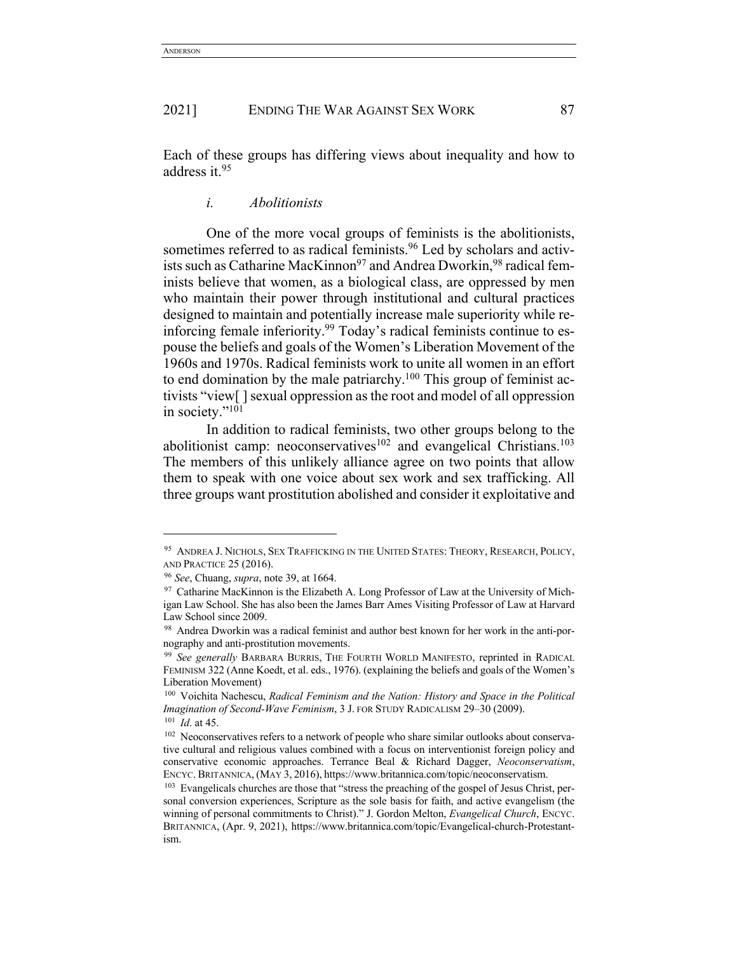Each of these groups has differing views about inequality and how to address it.95

# *i. Abolitionists*

One of the more vocal groups of feminists is the abolitionists, sometimes referred to as radical feminists.<sup>96</sup> Led by scholars and activists such as Catharine MacKinnon<sup>97</sup> and Andrea Dworkin, <sup>98</sup> radical feminists believe that women, as a biological class, are oppressed by men who maintain their power through institutional and cultural practices designed to maintain and potentially increase male superiority while reinforcing female inferiority.<sup>99</sup> Today's radical feminists continue to espouse the beliefs and goals of the Women's Liberation Movement of the 1960s and 1970s. Radical feminists work to unite all women in an effort to end domination by the male patriarchy.100 This group of feminist activists "view[ ] sexual oppression as the root and model of all oppression in society."<sup>101</sup>

In addition to radical feminists, two other groups belong to the abolitionist camp: neoconservatives<sup>102</sup> and evangelical Christians.<sup>103</sup> The members of this unlikely alliance agree on two points that allow them to speak with one voice about sex work and sex trafficking. All three groups want prostitution abolished and consider it exploitative and

<sup>95</sup> ANDREA J. NICHOLS, SEX TRAFFICKING IN THE UNITED STATES: THEORY, RESEARCH, POLICY, AND PRACTICE 25 (2016).

<sup>96</sup> *See*, Chuang, *supra*, note 39, at 1664.

 $97$  Catharine MacKinnon is the Elizabeth A. Long Professor of Law at the University of Michigan Law School. She has also been the James Barr Ames Visiting Professor of Law at Harvard Law School since 2009.

<sup>98</sup> Andrea Dworkin was a radical feminist and author best known for her work in the anti-pornography and anti-prostitution movements.

<sup>99</sup> *See generally* BARBARA BURRIS, THE FOURTH WORLD MANIFESTO, reprinted in RADICAL FEMINISM 322 (Anne Koedt, et al. eds., 1976). (explaining the beliefs and goals of the Women's Liberation Movement)

<sup>100</sup> Voichita Nachescu, *Radical Feminism and the Nation: History and Space in the Political Imagination of Second-Wave Feminism*, 3 J. FOR STUDY RADICALISM 29–30 (2009). <sup>101</sup> *Id*. at 45.

<sup>&</sup>lt;sup>102</sup> Neoconservatives refers to a network of people who share similar outlooks about conservative cultural and religious values combined with a focus on interventionist foreign policy and conservative economic approaches. Terrance Beal & Richard Dagger, *Neoconservatism*, ENCYC. BRITANNICA, (MAY 3, 2016), https://www.britannica.com/topic/neoconservatism.<br><sup>103</sup> Evangelicals churches are those that "stress the preaching of the gospel of Jesus Christ, per-

sonal conversion experiences, Scripture as the sole basis for faith, and active evangelism (the winning of personal commitments to Christ)." J. Gordon Melton, *Evangelical Church*, ENCYC. BRITANNICA, (Apr. 9, 2021), https://www.britannica.com/topic/Evangelical-church-Protestantism.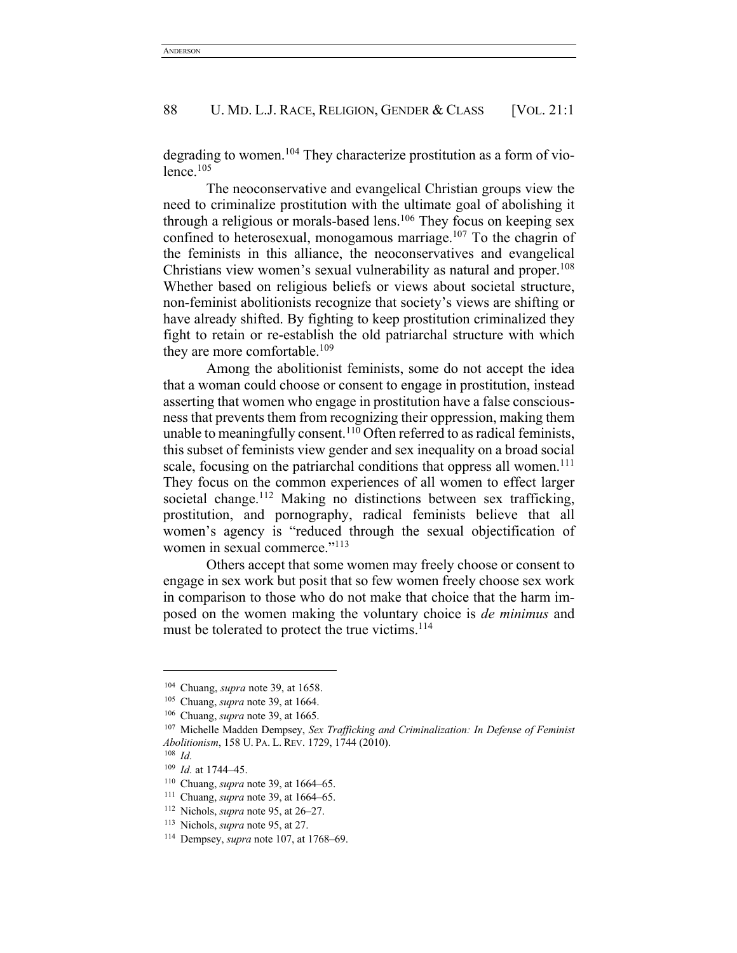degrading to women.<sup>104</sup> They characterize prostitution as a form of violence.105

The neoconservative and evangelical Christian groups view the need to criminalize prostitution with the ultimate goal of abolishing it through a religious or morals-based lens.<sup>106</sup> They focus on keeping sex confined to heterosexual, monogamous marriage. $107$  To the chagrin of the feminists in this alliance, the neoconservatives and evangelical Christians view women's sexual vulnerability as natural and proper.<sup>108</sup> Whether based on religious beliefs or views about societal structure, non-feminist abolitionists recognize that society's views are shifting or have already shifted. By fighting to keep prostitution criminalized they fight to retain or re-establish the old patriarchal structure with which they are more comfortable.<sup>109</sup>

Among the abolitionist feminists, some do not accept the idea that a woman could choose or consent to engage in prostitution, instead asserting that women who engage in prostitution have a false consciousness that prevents them from recognizing their oppression, making them unable to meaningfully consent.<sup>110</sup> Often referred to as radical feminists, this subset of feminists view gender and sex inequality on a broad social scale, focusing on the patriarchal conditions that oppress all women.<sup>111</sup> They focus on the common experiences of all women to effect larger societal change.<sup>112</sup> Making no distinctions between sex trafficking, prostitution, and pornography, radical feminists believe that all women's agency is "reduced through the sexual objectification of women in sexual commerce."<sup>113</sup>

Others accept that some women may freely choose or consent to engage in sex work but posit that so few women freely choose sex work in comparison to those who do not make that choice that the harm imposed on the women making the voluntary choice is *de minimus* and must be tolerated to protect the true victims.<sup>114</sup>

<sup>104</sup> Chuang, *supra* note 39, at 1658.

<sup>105</sup> Chuang, *supra* note 39, at 1664.

<sup>106</sup> Chuang, *supra* note 39, at 1665.

<sup>107</sup> Michelle Madden Dempsey, *Sex Trafficking and Criminalization: In Defense of Feminist Abolitionism*, 158 U. PA. L. REV. 1729, 1744 (2010).

<sup>108</sup> *Id.*

<sup>109</sup> *Id.* at 1744–45.

<sup>110</sup> Chuang, *supra* note 39, at 1664–65.

<sup>111</sup> Chuang, *supra* note 39, at 1664–65.

<sup>112</sup> Nichols, *supra* note 95, at 26–27.

<sup>113</sup> Nichols, *supra* note 95, at 27.

<sup>114</sup> Dempsey, *supra* note 107, at 1768–69.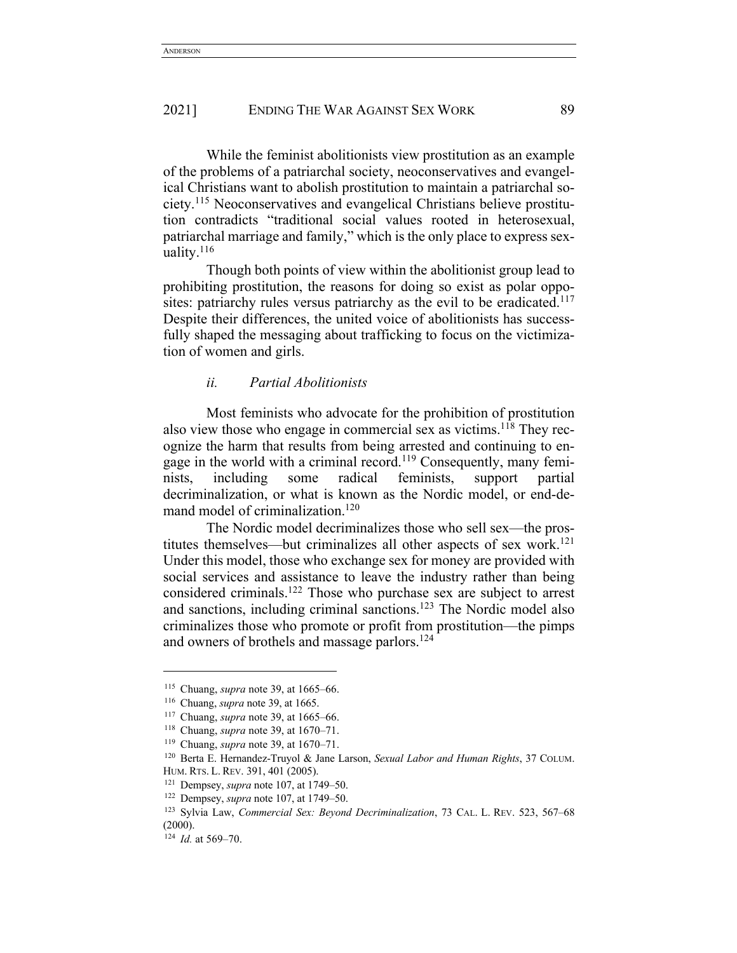While the feminist abolitionists view prostitution as an example of the problems of a patriarchal society, neoconservatives and evangelical Christians want to abolish prostitution to maintain a patriarchal society.115 Neoconservatives and evangelical Christians believe prostitution contradicts "traditional social values rooted in heterosexual, patriarchal marriage and family," which is the only place to express sexuality. $116$ 

Though both points of view within the abolitionist group lead to prohibiting prostitution, the reasons for doing so exist as polar opposites: patriarchy rules versus patriarchy as the evil to be eradicated.<sup>117</sup> Despite their differences, the united voice of abolitionists has successfully shaped the messaging about trafficking to focus on the victimization of women and girls.

## *ii. Partial Abolitionists*

Most feminists who advocate for the prohibition of prostitution also view those who engage in commercial sex as victims.118 They recognize the harm that results from being arrested and continuing to engage in the world with a criminal record.<sup>119</sup> Consequently, many feminists, including some radical feminists, support partial decriminalization, or what is known as the Nordic model, or end-demand model of criminalization.<sup>120</sup>

The Nordic model decriminalizes those who sell sex—the prostitutes themselves—but criminalizes all other aspects of sex work.<sup>121</sup> Under this model, those who exchange sex for money are provided with social services and assistance to leave the industry rather than being considered criminals.122 Those who purchase sex are subject to arrest and sanctions, including criminal sanctions.123 The Nordic model also criminalizes those who promote or profit from prostitution—the pimps and owners of brothels and massage parlors.<sup>124</sup>

<sup>115</sup> Chuang, *supra* note 39, at 1665–66.

<sup>116</sup> Chuang, *supra* note 39, at 1665.

<sup>117</sup> Chuang, *supra* note 39, at 1665–66.

<sup>118</sup> Chuang, *supra* note 39, at 1670–71.

<sup>119</sup> Chuang, *supra* note 39, at 1670–71.

<sup>120</sup> Berta E. Hernandez-Truyol & Jane Larson, *Sexual Labor and Human Rights*, 37 COLUM. HUM. RTS. L. REV. 391, 401 (2005).

<sup>121</sup> Dempsey, *supra* note 107, at 1749–50.

<sup>122</sup> Dempsey, *supra* note 107, at 1749–50.

<sup>123</sup> Sylvia Law, *Commercial Sex: Beyond Decriminalization*, 73 CAL. L. REV. 523, 567–68 (2000).

<sup>124</sup> *Id.* at 569–70.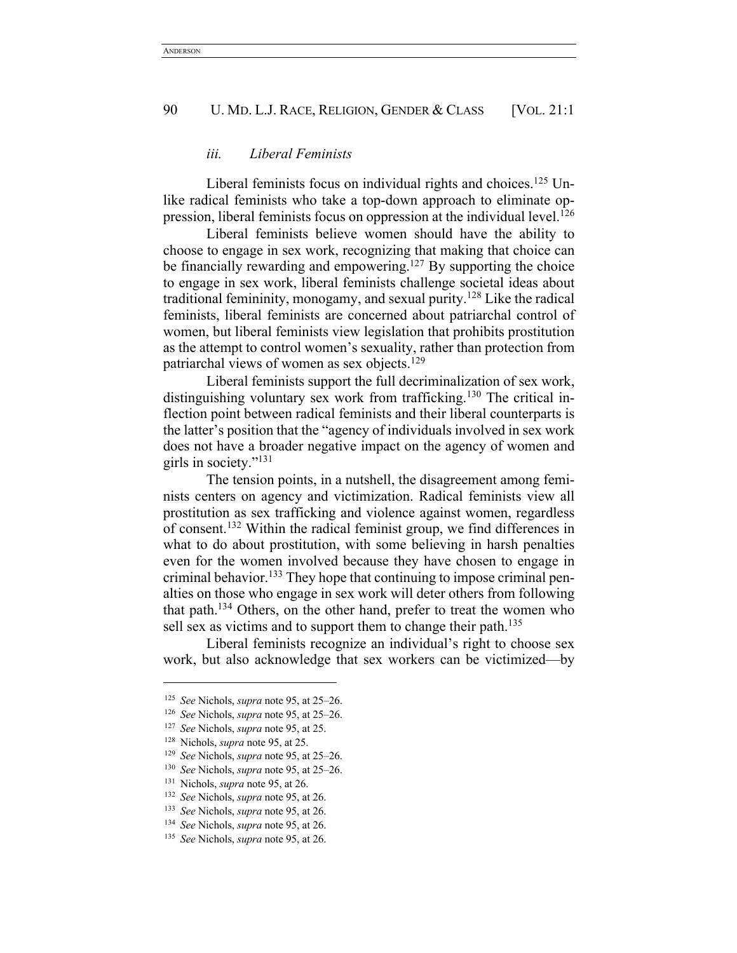# *iii. Liberal Feminists*

Liberal feminists focus on individual rights and choices.<sup>125</sup> Unlike radical feminists who take a top-down approach to eliminate oppression, liberal feminists focus on oppression at the individual level.<sup>126</sup>

Liberal feminists believe women should have the ability to choose to engage in sex work, recognizing that making that choice can be financially rewarding and empowering.<sup>127</sup> By supporting the choice to engage in sex work, liberal feminists challenge societal ideas about traditional femininity, monogamy, and sexual purity.<sup>128</sup> Like the radical feminists, liberal feminists are concerned about patriarchal control of women, but liberal feminists view legislation that prohibits prostitution as the attempt to control women's sexuality, rather than protection from patriarchal views of women as sex objects.129

Liberal feminists support the full decriminalization of sex work, distinguishing voluntary sex work from trafficking.<sup>130</sup> The critical inflection point between radical feminists and their liberal counterparts is the latter's position that the "agency of individuals involved in sex work does not have a broader negative impact on the agency of women and girls in society."131

The tension points, in a nutshell, the disagreement among feminists centers on agency and victimization. Radical feminists view all prostitution as sex trafficking and violence against women, regardless of consent.132 Within the radical feminist group, we find differences in what to do about prostitution, with some believing in harsh penalties even for the women involved because they have chosen to engage in criminal behavior.133 They hope that continuing to impose criminal penalties on those who engage in sex work will deter others from following that path.134 Others, on the other hand, prefer to treat the women who sell sex as victims and to support them to change their path.<sup>135</sup>

Liberal feminists recognize an individual's right to choose sex work, but also acknowledge that sex workers can be victimized—by

<sup>125</sup> *See* Nichols, *supra* note 95, at 25–26.

<sup>126</sup> *See* Nichols, *supra* note 95, at 25–26.

<sup>127</sup> *See* Nichols, *supra* note 95, at 25.

<sup>128</sup> Nichols, *supra* note 95, at 25.

<sup>129</sup> *See* Nichols, *supra* note 95, at 25–26.

<sup>130</sup> *See* Nichols, *supra* note 95, at 25–26.

<sup>131</sup> Nichols, *supra* note 95, at 26.

<sup>132</sup> *See* Nichols, *supra* note 95, at 26.

<sup>133</sup> *See* Nichols, *supra* note 95, at 26.

<sup>134</sup> *See* Nichols, *supra* note 95, at 26.

<sup>135</sup> *See* Nichols, *supra* note 95, at 26.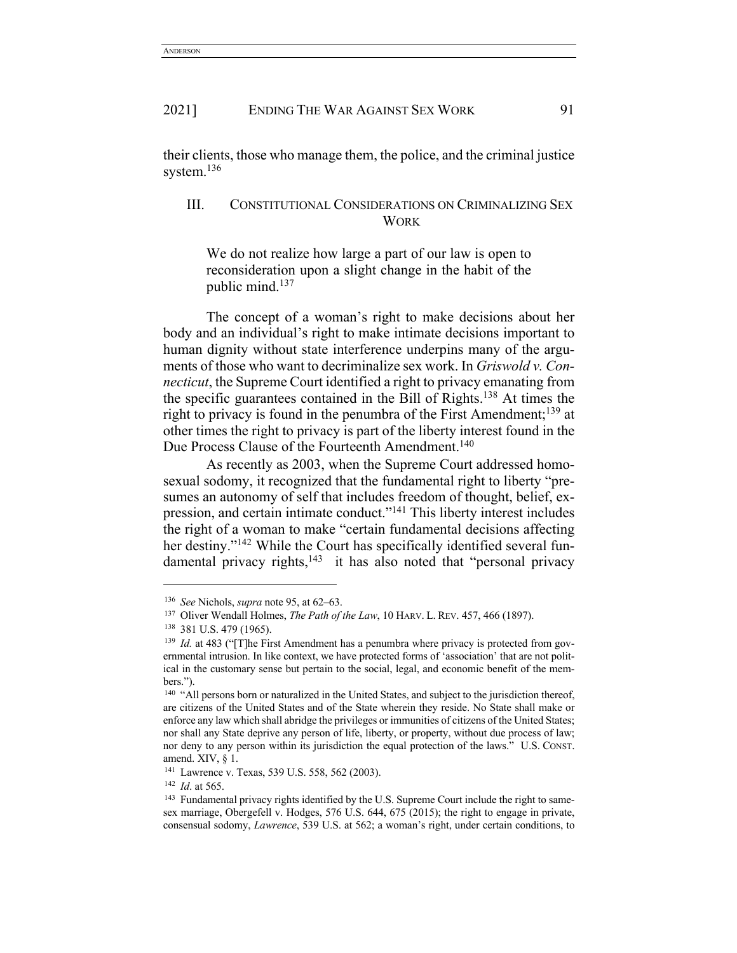their clients, those who manage them, the police, and the criminal justice system.<sup>136</sup>

# III. CONSTITUTIONAL CONSIDERATIONS ON CRIMINALIZING SEX **WORK**

We do not realize how large a part of our law is open to reconsideration upon a slight change in the habit of the public mind.137

The concept of a woman's right to make decisions about her body and an individual's right to make intimate decisions important to human dignity without state interference underpins many of the arguments of those who want to decriminalize sex work. In *Griswold v. Connecticut*, the Supreme Court identified a right to privacy emanating from the specific guarantees contained in the Bill of Rights.138 At times the right to privacy is found in the penumbra of the First Amendment;  $^{139}$  at other times the right to privacy is part of the liberty interest found in the Due Process Clause of the Fourteenth Amendment.<sup>140</sup>

As recently as 2003, when the Supreme Court addressed homosexual sodomy, it recognized that the fundamental right to liberty "presumes an autonomy of self that includes freedom of thought, belief, expression, and certain intimate conduct."141 This liberty interest includes the right of a woman to make "certain fundamental decisions affecting her destiny."<sup>142</sup> While the Court has specifically identified several fundamental privacy rights, $143$  it has also noted that "personal privacy

<sup>136</sup> *See* Nichols, *supra* note 95, at 62–63.

<sup>137</sup> Oliver Wendall Holmes, *The Path of the Law*, 10 HARV. L. REV. 457, 466 (1897).

<sup>138</sup> 381 U.S. 479 (1965).

<sup>&</sup>lt;sup>139</sup> *Id.* at 483 ("[T]he First Amendment has a penumbra where privacy is protected from governmental intrusion. In like context, we have protected forms of 'association' that are not political in the customary sense but pertain to the social, legal, and economic benefit of the members.").

<sup>&</sup>lt;sup>140</sup> "All persons born or naturalized in the United States, and subject to the jurisdiction thereof, are citizens of the United States and of the State wherein they reside. No State shall make or enforce any law which shall abridge the privileges or immunities of citizens of the United States; nor shall any State deprive any person of life, liberty, or property, without due process of law; nor deny to any person within its jurisdiction the equal protection of the laws." U.S. CONST. amend. XIV, § 1.

<sup>141</sup> Lawrence v. Texas, 539 U.S. 558, 562 (2003).

<sup>&</sup>lt;sup>142</sup> *Id.* at 565.<br><sup>143</sup> Fundamental privacy rights identified by the U.S. Supreme Court include the right to samesex marriage, Obergefell v. Hodges, 576 U.S. 644, 675 (2015); the right to engage in private, consensual sodomy, *Lawrence*, 539 U.S. at 562; a woman's right, under certain conditions, to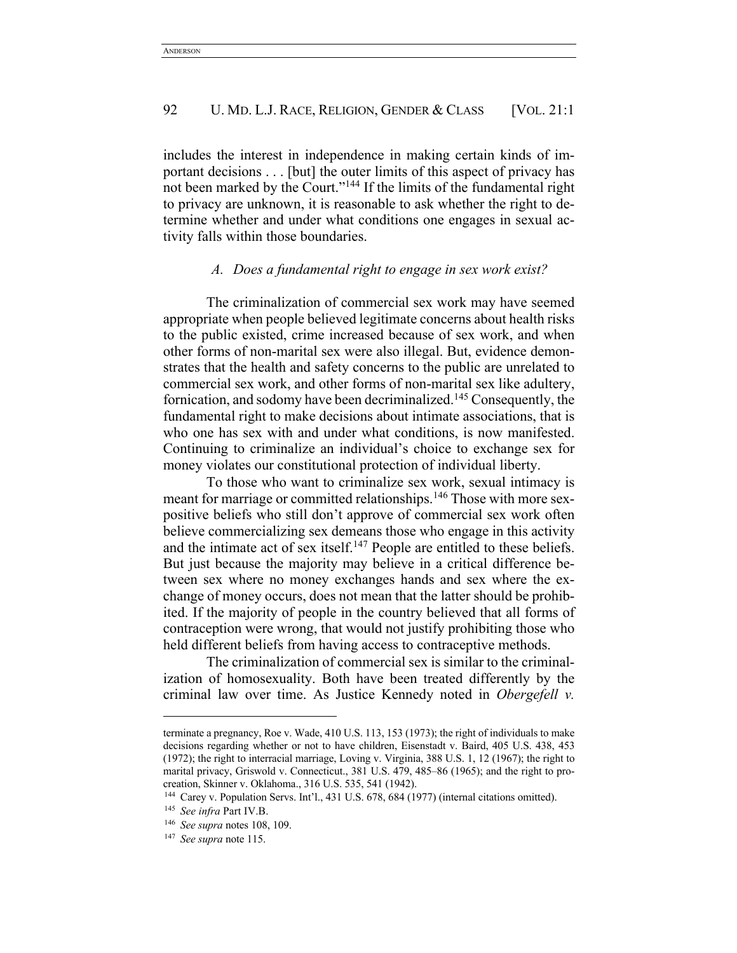includes the interest in independence in making certain kinds of important decisions . . . [but] the outer limits of this aspect of privacy has not been marked by the Court."144 If the limits of the fundamental right to privacy are unknown, it is reasonable to ask whether the right to determine whether and under what conditions one engages in sexual activity falls within those boundaries.

# *A. Does a fundamental right to engage in sex work exist?*

The criminalization of commercial sex work may have seemed appropriate when people believed legitimate concerns about health risks to the public existed, crime increased because of sex work, and when other forms of non-marital sex were also illegal. But, evidence demonstrates that the health and safety concerns to the public are unrelated to commercial sex work, and other forms of non-marital sex like adultery, fornication, and sodomy have been decriminalized.145 Consequently, the fundamental right to make decisions about intimate associations, that is who one has sex with and under what conditions, is now manifested. Continuing to criminalize an individual's choice to exchange sex for money violates our constitutional protection of individual liberty.

To those who want to criminalize sex work, sexual intimacy is meant for marriage or committed relationships.146 Those with more sexpositive beliefs who still don't approve of commercial sex work often believe commercializing sex demeans those who engage in this activity and the intimate act of sex itself.<sup>147</sup> People are entitled to these beliefs. But just because the majority may believe in a critical difference between sex where no money exchanges hands and sex where the exchange of money occurs, does not mean that the latter should be prohibited. If the majority of people in the country believed that all forms of contraception were wrong, that would not justify prohibiting those who held different beliefs from having access to contraceptive methods.

The criminalization of commercial sex is similar to the criminalization of homosexuality. Both have been treated differently by the criminal law over time. As Justice Kennedy noted in *Obergefell v.* 

terminate a pregnancy, Roe v. Wade, 410 U.S. 113, 153 (1973); the right of individuals to make decisions regarding whether or not to have children, Eisenstadt v. Baird, 405 U.S. 438, 453 (1972); the right to interracial marriage, Loving v. Virginia, 388 U.S. 1, 12 (1967); the right to marital privacy, Griswold v. Connecticut., 381 U.S. 479, 485–86 (1965); and the right to procreation, Skinner v. Oklahoma., 316 U.S. 535, 541 (1942).

<sup>144</sup> Carey v. Population Servs. Int'l., 431 U.S. 678, 684 (1977) (internal citations omitted).

<sup>145</sup> *See infra* Part IV.B.

<sup>146</sup> *See supra* notes 108, 109.

<sup>147</sup> *See supra* note 115.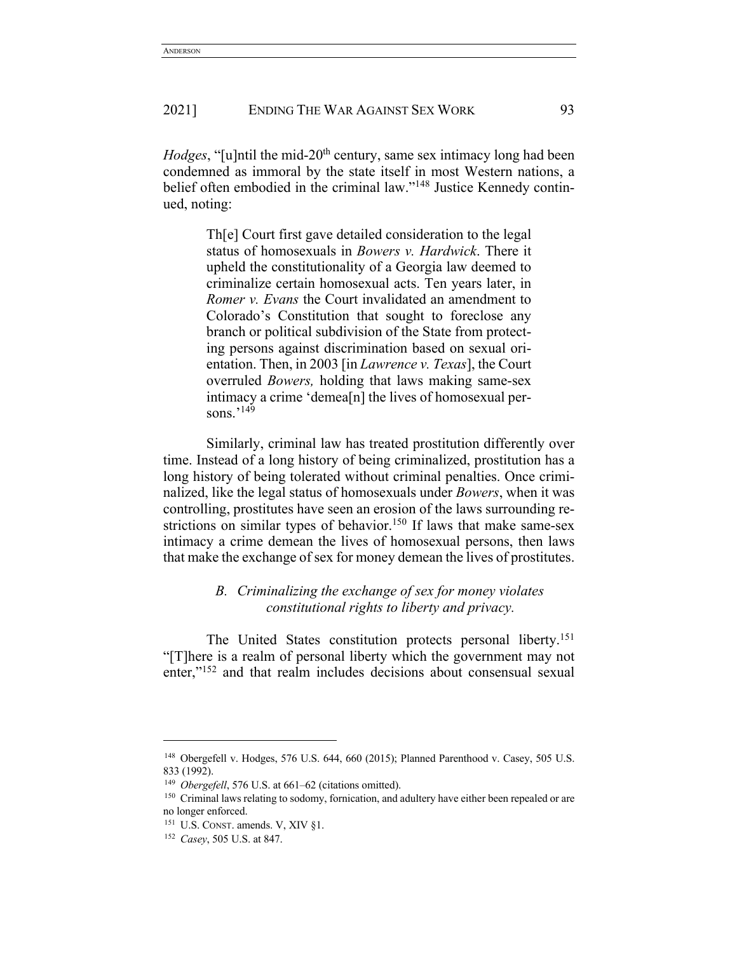*Hodges*, "[u]ntil the mid-20<sup>th</sup> century, same sex intimacy long had been condemned as immoral by the state itself in most Western nations, a belief often embodied in the criminal law."148 Justice Kennedy continued, noting:

> Th[e] Court first gave detailed consideration to the legal status of homosexuals in *Bowers v. Hardwick*. There it upheld the constitutionality of a Georgia law deemed to criminalize certain homosexual acts. Ten years later, in *Romer v. Evans* the Court invalidated an amendment to Colorado's Constitution that sought to foreclose any branch or political subdivision of the State from protecting persons against discrimination based on sexual orientation. Then, in 2003 [in *Lawrence v. Texas*], the Court overruled *Bowers,* holding that laws making same-sex intimacy a crime 'demea[n] the lives of homosexual persons.<sup>'149</sup>

Similarly, criminal law has treated prostitution differently over time. Instead of a long history of being criminalized, prostitution has a long history of being tolerated without criminal penalties. Once criminalized, like the legal status of homosexuals under *Bowers*, when it was controlling, prostitutes have seen an erosion of the laws surrounding restrictions on similar types of behavior.<sup>150</sup> If laws that make same-sex intimacy a crime demean the lives of homosexual persons, then laws that make the exchange of sex for money demean the lives of prostitutes.

# *B. Criminalizing the exchange of sex for money violates constitutional rights to liberty and privacy.*

The United States constitution protects personal liberty.<sup>151</sup> "[T]here is a realm of personal liberty which the government may not enter,"<sup>152</sup> and that realm includes decisions about consensual sexual

<sup>&</sup>lt;sup>148</sup> Obergefell v. Hodges, 576 U.S. 644, 660 (2015); Planned Parenthood v. Casey, 505 U.S. 833 (1992).

<sup>&</sup>lt;sup>149</sup> *Obergefell*, 576 U.S. at 661–62 (citations omitted).

<sup>&</sup>lt;sup>150</sup> Criminal laws relating to sodomy, fornication, and adultery have either been repealed or are no longer enforced.

<sup>&</sup>lt;sup>151</sup> U.S. CONST. amends. V, XIV §1.

<sup>152</sup> *Casey*, 505 U.S. at 847.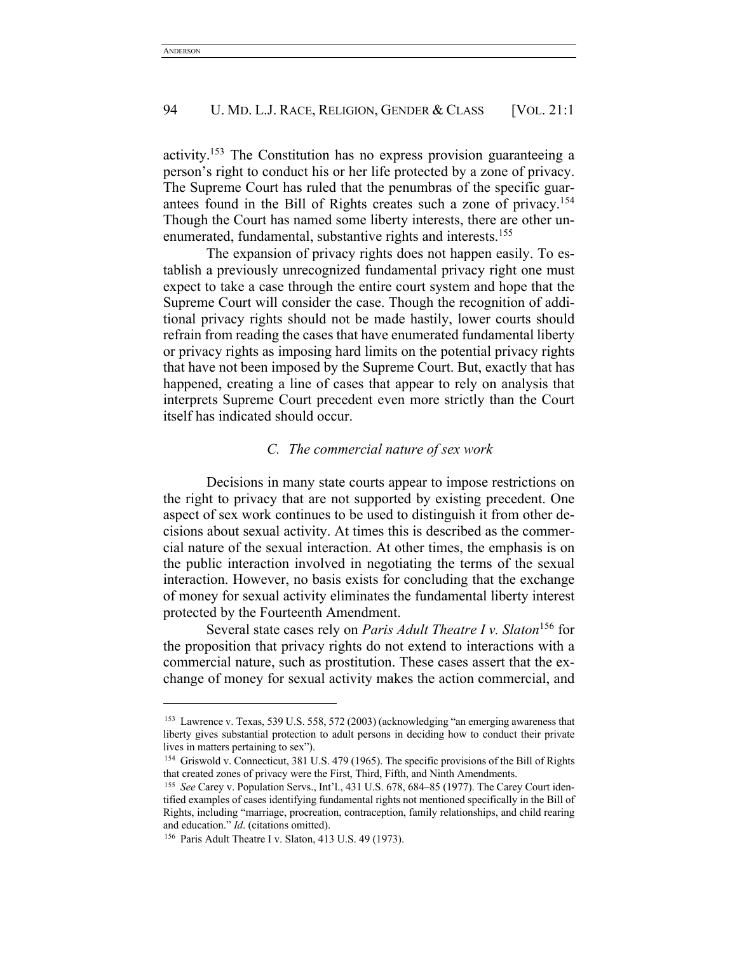activity.153 The Constitution has no express provision guaranteeing a person's right to conduct his or her life protected by a zone of privacy. The Supreme Court has ruled that the penumbras of the specific guarantees found in the Bill of Rights creates such a zone of privacy.<sup>154</sup> Though the Court has named some liberty interests, there are other unenumerated, fundamental, substantive rights and interests.<sup>155</sup>

The expansion of privacy rights does not happen easily. To establish a previously unrecognized fundamental privacy right one must expect to take a case through the entire court system and hope that the Supreme Court will consider the case. Though the recognition of additional privacy rights should not be made hastily, lower courts should refrain from reading the cases that have enumerated fundamental liberty or privacy rights as imposing hard limits on the potential privacy rights that have not been imposed by the Supreme Court. But, exactly that has happened, creating a line of cases that appear to rely on analysis that interprets Supreme Court precedent even more strictly than the Court itself has indicated should occur.

# *C. The commercial nature of sex work*

Decisions in many state courts appear to impose restrictions on the right to privacy that are not supported by existing precedent. One aspect of sex work continues to be used to distinguish it from other decisions about sexual activity. At times this is described as the commercial nature of the sexual interaction. At other times, the emphasis is on the public interaction involved in negotiating the terms of the sexual interaction. However, no basis exists for concluding that the exchange of money for sexual activity eliminates the fundamental liberty interest protected by the Fourteenth Amendment.

Several state cases rely on *Paris Adult Theatre I v. Slaton*<sup>156</sup> for the proposition that privacy rights do not extend to interactions with a commercial nature, such as prostitution. These cases assert that the exchange of money for sexual activity makes the action commercial, and

<sup>153</sup> Lawrence v. Texas, 539 U.S. 558, 572 (2003) (acknowledging "an emerging awareness that liberty gives substantial protection to adult persons in deciding how to conduct their private lives in matters pertaining to sex").

<sup>154</sup> Griswold v. Connecticut, 381 U.S. 479 (1965). The specific provisions of the Bill of Rights that created zones of privacy were the First, Third, Fifth, and Ninth Amendments.

<sup>155</sup> *See* Carey v. Population Servs., Int'l., 431 U.S. 678, 684–85 (1977). The Carey Court identified examples of cases identifying fundamental rights not mentioned specifically in the Bill of Rights, including "marriage, procreation, contraception, family relationships, and child rearing and education." *Id*. (citations omitted).

<sup>156</sup> Paris Adult Theatre I v. Slaton, 413 U.S. 49 (1973).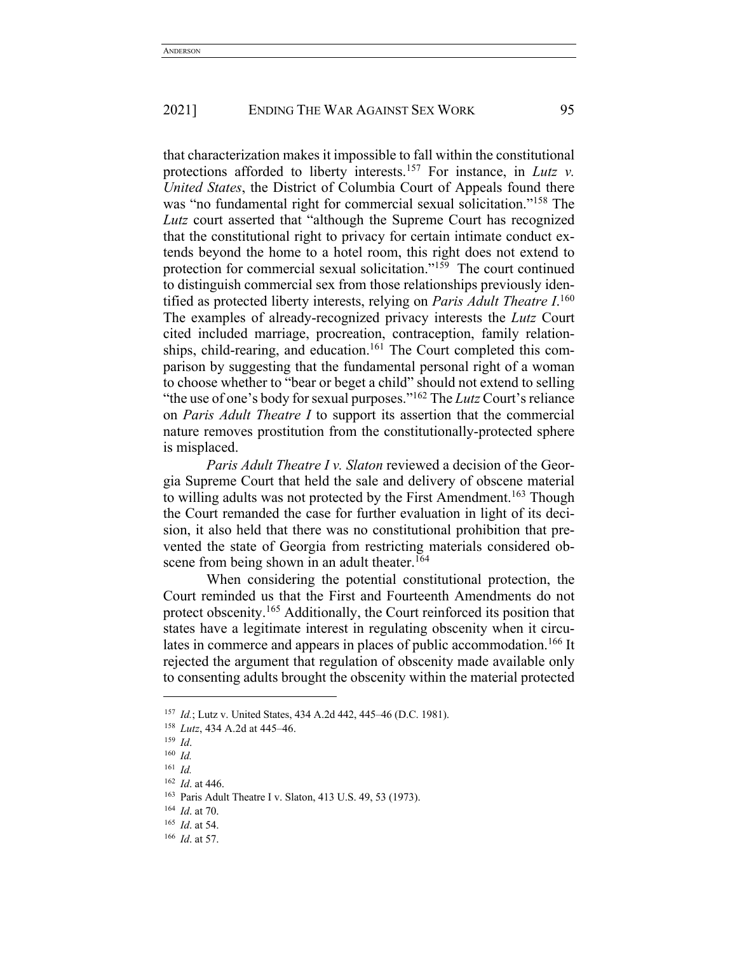that characterization makes it impossible to fall within the constitutional protections afforded to liberty interests.157 For instance, in *Lutz v. United States*, the District of Columbia Court of Appeals found there was "no fundamental right for commercial sexual solicitation."<sup>158</sup> The *Lutz* court asserted that "although the Supreme Court has recognized that the constitutional right to privacy for certain intimate conduct extends beyond the home to a hotel room, this right does not extend to protection for commercial sexual solicitation."159 The court continued to distinguish commercial sex from those relationships previously identified as protected liberty interests, relying on *Paris Adult Theatre I*. 160 The examples of already-recognized privacy interests the *Lutz* Court cited included marriage, procreation, contraception, family relationships, child-rearing, and education.<sup>161</sup> The Court completed this comparison by suggesting that the fundamental personal right of a woman to choose whether to "bear or beget a child" should not extend to selling "the use of one's body for sexual purposes."<sup>162</sup> The *Lutz* Court's reliance on *Paris Adult Theatre I* to support its assertion that the commercial nature removes prostitution from the constitutionally-protected sphere is misplaced.

*Paris Adult Theatre I v. Slaton* reviewed a decision of the Georgia Supreme Court that held the sale and delivery of obscene material to willing adults was not protected by the First Amendment.<sup>163</sup> Though the Court remanded the case for further evaluation in light of its decision, it also held that there was no constitutional prohibition that prevented the state of Georgia from restricting materials considered obscene from being shown in an adult theater.<sup>164</sup>

When considering the potential constitutional protection, the Court reminded us that the First and Fourteenth Amendments do not protect obscenity.165 Additionally, the Court reinforced its position that states have a legitimate interest in regulating obscenity when it circulates in commerce and appears in places of public accommodation.<sup>166</sup> It rejected the argument that regulation of obscenity made available only to consenting adults brought the obscenity within the material protected

<sup>157</sup> *Id.*; Lutz v. United States, 434 A.2d 442, 445–46 (D.C. 1981).

<sup>158</sup> *Lutz*, 434 A.2d at 445–46.

<sup>159</sup> *Id*.

<sup>160</sup> *Id.*

<sup>161</sup> *Id.*

<sup>162</sup> *Id*. at 446.

<sup>163</sup> Paris Adult Theatre I v. Slaton, 413 U.S. 49, 53 (1973).

<sup>164</sup> *Id*. at 70.

<sup>165</sup> *Id*. at 54.

<sup>166</sup> *Id*. at 57.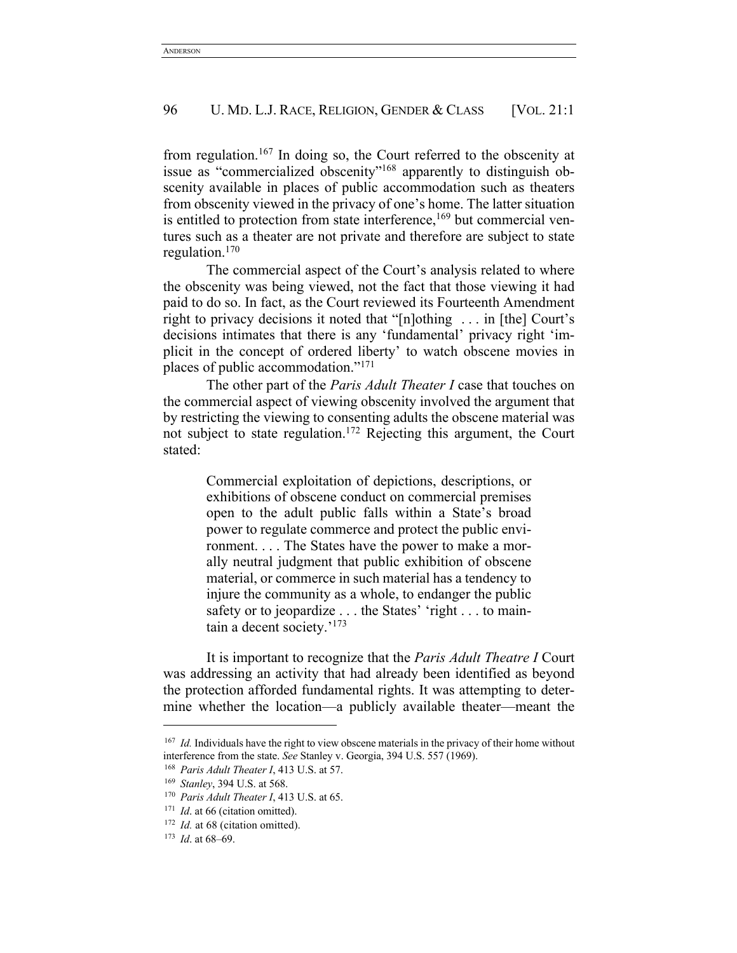from regulation.<sup>167</sup> In doing so, the Court referred to the obscenity at issue as "commercialized obscenity"168 apparently to distinguish obscenity available in places of public accommodation such as theaters from obscenity viewed in the privacy of one's home. The latter situation is entitled to protection from state interference,<sup>169</sup> but commercial ventures such as a theater are not private and therefore are subject to state regulation.170

The commercial aspect of the Court's analysis related to where the obscenity was being viewed, not the fact that those viewing it had paid to do so. In fact, as the Court reviewed its Fourteenth Amendment right to privacy decisions it noted that "[n]othing . . . in [the] Court's decisions intimates that there is any 'fundamental' privacy right 'implicit in the concept of ordered liberty' to watch obscene movies in places of public accommodation."171

The other part of the *Paris Adult Theater I* case that touches on the commercial aspect of viewing obscenity involved the argument that by restricting the viewing to consenting adults the obscene material was not subject to state regulation.172 Rejecting this argument, the Court stated:

> Commercial exploitation of depictions, descriptions, or exhibitions of obscene conduct on commercial premises open to the adult public falls within a State's broad power to regulate commerce and protect the public environment. . . . The States have the power to make a morally neutral judgment that public exhibition of obscene material, or commerce in such material has a tendency to injure the community as a whole, to endanger the public safety or to jeopardize . . . the States' 'right . . . to maintain a decent society.' 173

It is important to recognize that the *Paris Adult Theatre I* Court was addressing an activity that had already been identified as beyond the protection afforded fundamental rights. It was attempting to determine whether the location—a publicly available theater—meant the

<sup>167</sup> *Id.* Individuals have the right to view obscene materials in the privacy of their home without interference from the state. *See* Stanley v. Georgia, 394 U.S. 557 (1969). 168 *Paris Adult Theater I*, 413 U.S. at 57.

<sup>169</sup> *Stanley*, 394 U.S. at 568.

<sup>170</sup> *Paris Adult Theater I*, 413 U.S. at 65.

<sup>&</sup>lt;sup>171</sup> *Id.* at 66 (citation omitted).

<sup>&</sup>lt;sup>172</sup> *Id.* at 68 (citation omitted).

<sup>173</sup> *Id*. at 68–69.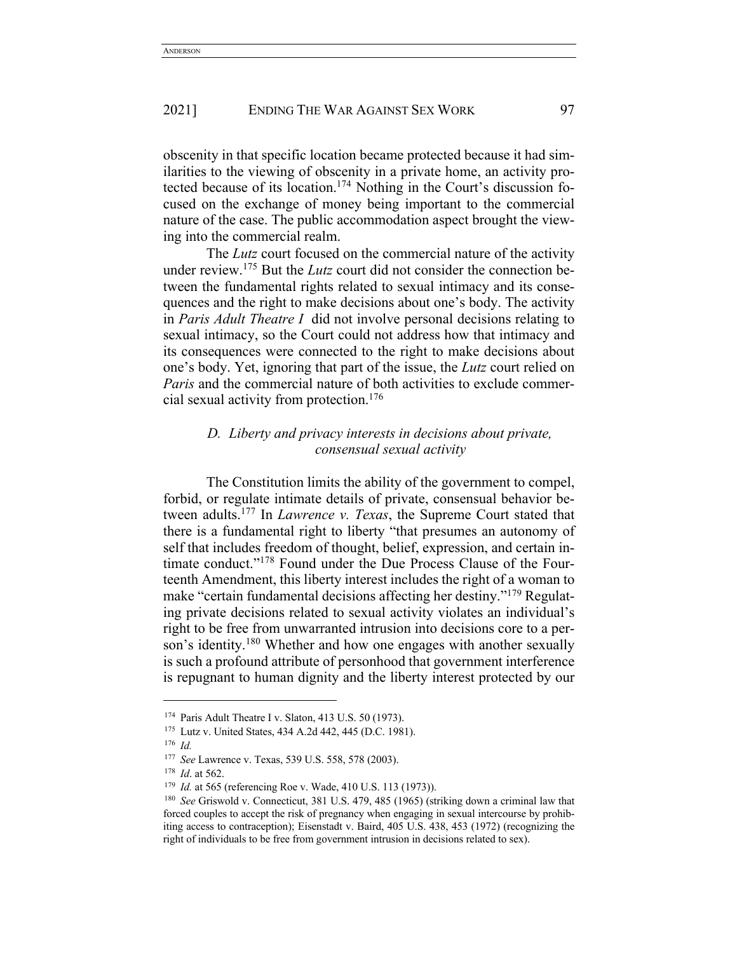obscenity in that specific location became protected because it had similarities to the viewing of obscenity in a private home, an activity protected because of its location.174 Nothing in the Court's discussion focused on the exchange of money being important to the commercial nature of the case. The public accommodation aspect brought the viewing into the commercial realm.

The *Lutz* court focused on the commercial nature of the activity under review.175 But the *Lutz* court did not consider the connection between the fundamental rights related to sexual intimacy and its consequences and the right to make decisions about one's body. The activity in *Paris Adult Theatre I* did not involve personal decisions relating to sexual intimacy, so the Court could not address how that intimacy and its consequences were connected to the right to make decisions about one's body. Yet, ignoring that part of the issue, the *Lutz* court relied on *Paris* and the commercial nature of both activities to exclude commercial sexual activity from protection.176

# *D. Liberty and privacy interests in decisions about private, consensual sexual activity*

The Constitution limits the ability of the government to compel, forbid, or regulate intimate details of private, consensual behavior between adults.177 In *Lawrence v. Texas*, the Supreme Court stated that there is a fundamental right to liberty "that presumes an autonomy of self that includes freedom of thought, belief, expression, and certain intimate conduct."178 Found under the Due Process Clause of the Fourteenth Amendment, this liberty interest includes the right of a woman to make "certain fundamental decisions affecting her destiny."179 Regulating private decisions related to sexual activity violates an individual's right to be free from unwarranted intrusion into decisions core to a person's identity.<sup>180</sup> Whether and how one engages with another sexually is such a profound attribute of personhood that government interference is repugnant to human dignity and the liberty interest protected by our

<sup>174</sup> Paris Adult Theatre I v. Slaton, 413 U.S. 50 (1973).

<sup>175</sup> Lutz v. United States, 434 A.2d 442, 445 (D.C. 1981).

<sup>176</sup> *Id.*

<sup>177</sup> *See* Lawrence v. Texas, 539 U.S. 558, 578 (2003).

<sup>178</sup> *Id*. at 562.

<sup>179</sup> *Id.* at 565 (referencing Roe v. Wade, 410 U.S. 113 (1973)).

<sup>180</sup> *See* Griswold v. Connecticut, 381 U.S. 479, 485 (1965) (striking down a criminal law that forced couples to accept the risk of pregnancy when engaging in sexual intercourse by prohibiting access to contraception); Eisenstadt v. Baird, 405 U.S. 438, 453 (1972) (recognizing the right of individuals to be free from government intrusion in decisions related to sex).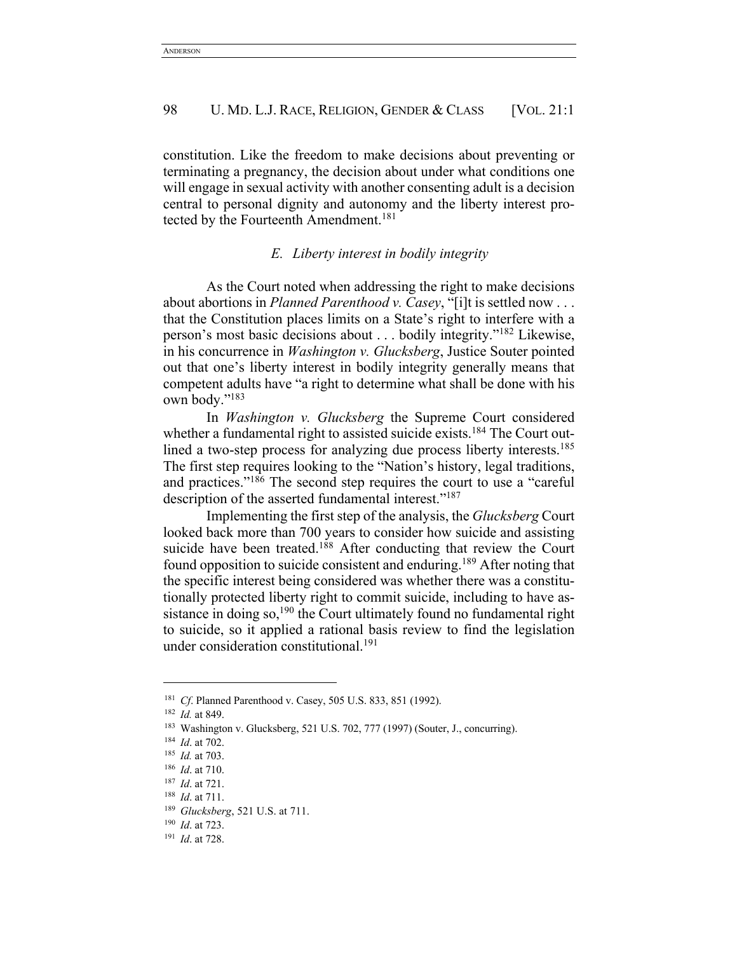constitution. Like the freedom to make decisions about preventing or terminating a pregnancy, the decision about under what conditions one will engage in sexual activity with another consenting adult is a decision central to personal dignity and autonomy and the liberty interest protected by the Fourteenth Amendment.<sup>181</sup>

# *E. Liberty interest in bodily integrity*

As the Court noted when addressing the right to make decisions about abortions in *Planned Parenthood v. Casey*, "[i]t is settled now . . . that the Constitution places limits on a State's right to interfere with a person's most basic decisions about . . . bodily integrity."182 Likewise, in his concurrence in *Washington v. Glucksberg*, Justice Souter pointed out that one's liberty interest in bodily integrity generally means that competent adults have "a right to determine what shall be done with his own body."183

In *Washington v. Glucksberg* the Supreme Court considered whether a fundamental right to assisted suicide exists.<sup>184</sup> The Court outlined a two-step process for analyzing due process liberty interests.<sup>185</sup> The first step requires looking to the "Nation's history, legal traditions, and practices."186 The second step requires the court to use a "careful description of the asserted fundamental interest."<sup>187</sup>

Implementing the first step of the analysis, the *Glucksberg* Court looked back more than 700 years to consider how suicide and assisting suicide have been treated.<sup>188</sup> After conducting that review the Court found opposition to suicide consistent and enduring.189 After noting that the specific interest being considered was whether there was a constitutionally protected liberty right to commit suicide, including to have assistance in doing so,<sup>190</sup> the Court ultimately found no fundamental right to suicide, so it applied a rational basis review to find the legislation under consideration constitutional.<sup>191</sup>

<sup>181</sup> *Cf*. Planned Parenthood v. Casey, 505 U.S. 833, 851 (1992). 182 *Id.* at 849.

<sup>183</sup> Washington v. Glucksberg, 521 U.S. 702, 777 (1997) (Souter, J., concurring).

<sup>184</sup> *Id*. at 702.

<sup>185</sup> *Id.* at 703.

<sup>186</sup> *Id*. at 710.

<sup>187</sup> *Id*. at 721.

<sup>188</sup> *Id*. at 711.

<sup>189</sup> *Glucksberg*, 521 U.S. at 711.

<sup>190</sup> *Id*. at 723.

<sup>191</sup> *Id*. at 728.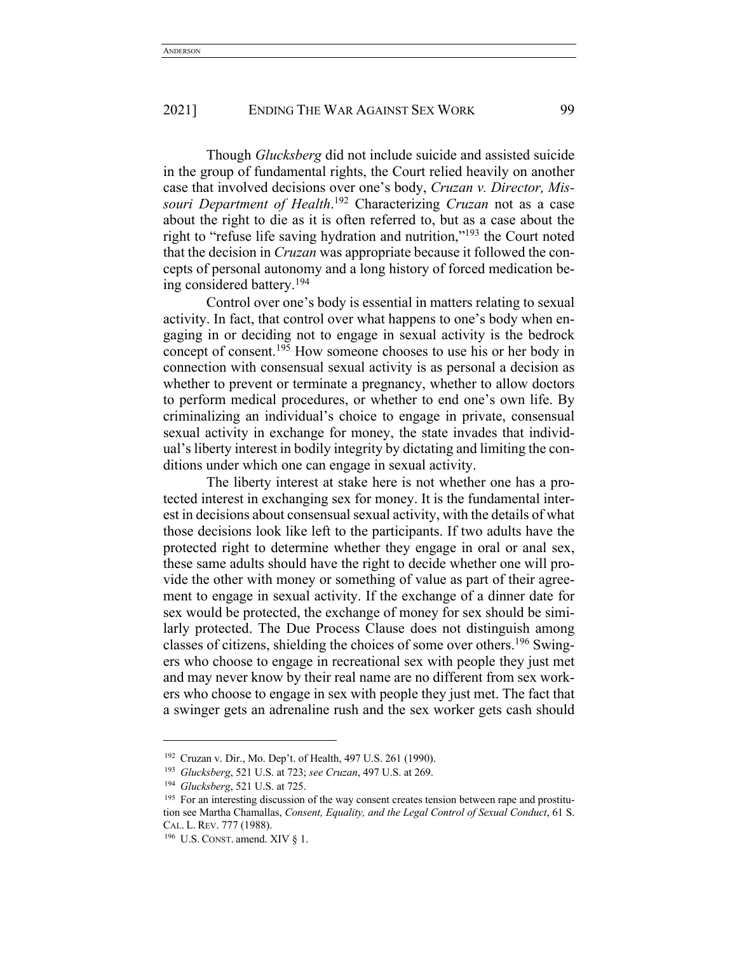Though *Glucksberg* did not include suicide and assisted suicide in the group of fundamental rights, the Court relied heavily on another case that involved decisions over one's body, *Cruzan v. Director, Missouri Department of Health*. <sup>192</sup> Characterizing *Cruzan* not as a case about the right to die as it is often referred to, but as a case about the right to "refuse life saving hydration and nutrition,"193 the Court noted that the decision in *Cruzan* was appropriate because it followed the concepts of personal autonomy and a long history of forced medication being considered battery.194

Control over one's body is essential in matters relating to sexual activity. In fact, that control over what happens to one's body when engaging in or deciding not to engage in sexual activity is the bedrock concept of consent.195 How someone chooses to use his or her body in connection with consensual sexual activity is as personal a decision as whether to prevent or terminate a pregnancy, whether to allow doctors to perform medical procedures, or whether to end one's own life. By criminalizing an individual's choice to engage in private, consensual sexual activity in exchange for money, the state invades that individual's liberty interest in bodily integrity by dictating and limiting the conditions under which one can engage in sexual activity.

The liberty interest at stake here is not whether one has a protected interest in exchanging sex for money. It is the fundamental interest in decisions about consensual sexual activity, with the details of what those decisions look like left to the participants. If two adults have the protected right to determine whether they engage in oral or anal sex, these same adults should have the right to decide whether one will provide the other with money or something of value as part of their agreement to engage in sexual activity. If the exchange of a dinner date for sex would be protected, the exchange of money for sex should be similarly protected. The Due Process Clause does not distinguish among classes of citizens, shielding the choices of some over others.196 Swingers who choose to engage in recreational sex with people they just met and may never know by their real name are no different from sex workers who choose to engage in sex with people they just met. The fact that a swinger gets an adrenaline rush and the sex worker gets cash should

<sup>192</sup> Cruzan v. Dir., Mo. Dep't. of Health, 497 U.S. 261 (1990). 193 *Glucksberg*, 521 U.S. at 723; *see Cruzan*, 497 U.S. at 269.

<sup>194</sup> *Glucksberg*, 521 U.S. at 725.

<sup>&</sup>lt;sup>195</sup> For an interesting discussion of the way consent creates tension between rape and prostitution see Martha Chamallas, *Consent, Equality, and the Legal Control of Sexual Conduct*, 61 S. CAL. L. REV. 777 (1988).

 $196$  U.S. CONST. amend. XIV § 1.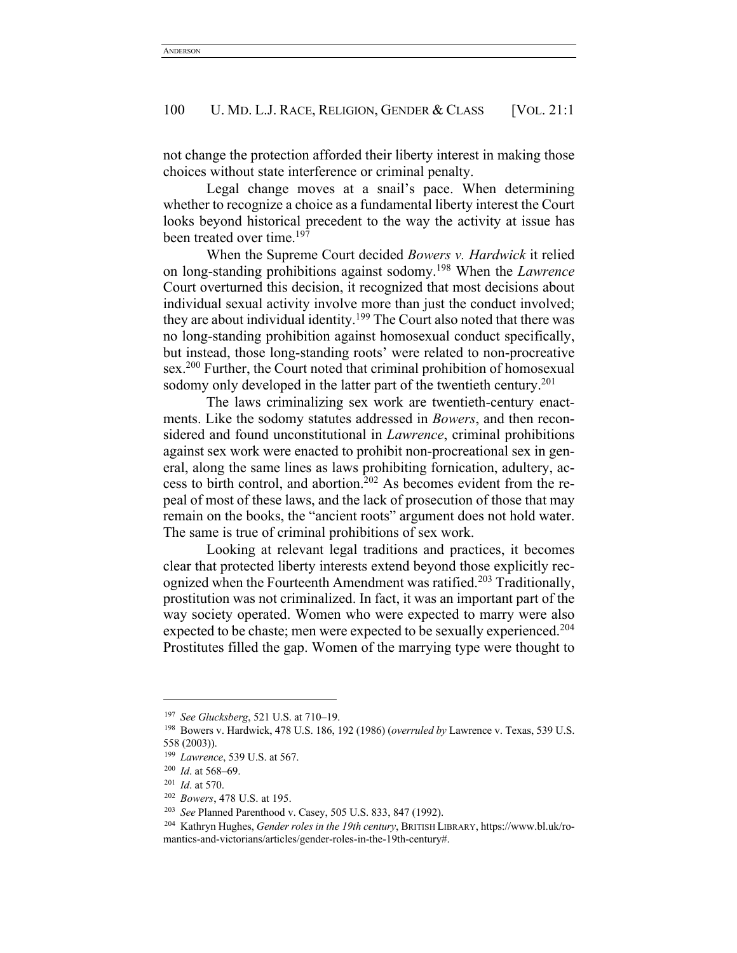not change the protection afforded their liberty interest in making those choices without state interference or criminal penalty.

Legal change moves at a snail's pace. When determining whether to recognize a choice as a fundamental liberty interest the Court looks beyond historical precedent to the way the activity at issue has been treated over time.<sup>197</sup>

When the Supreme Court decided *Bowers v. Hardwick* it relied on long-standing prohibitions against sodomy.198 When the *Lawrence* Court overturned this decision, it recognized that most decisions about individual sexual activity involve more than just the conduct involved; they are about individual identity.<sup>199</sup> The Court also noted that there was no long-standing prohibition against homosexual conduct specifically, but instead, those long-standing roots' were related to non-procreative sex. <sup>200</sup> Further, the Court noted that criminal prohibition of homosexual sodomy only developed in the latter part of the twentieth century.<sup>201</sup>

The laws criminalizing sex work are twentieth-century enactments. Like the sodomy statutes addressed in *Bowers*, and then reconsidered and found unconstitutional in *Lawrence*, criminal prohibitions against sex work were enacted to prohibit non-procreational sex in general, along the same lines as laws prohibiting fornication, adultery, access to birth control, and abortion.202 As becomes evident from the repeal of most of these laws, and the lack of prosecution of those that may remain on the books, the "ancient roots" argument does not hold water. The same is true of criminal prohibitions of sex work.

Looking at relevant legal traditions and practices, it becomes clear that protected liberty interests extend beyond those explicitly recognized when the Fourteenth Amendment was ratified.<sup>203</sup> Traditionally, prostitution was not criminalized. In fact, it was an important part of the way society operated. Women who were expected to marry were also expected to be chaste; men were expected to be sexually experienced.<sup>204</sup> Prostitutes filled the gap. Women of the marrying type were thought to

<sup>197</sup> *See Glucksberg*, 521 U.S. at 710–19.

<sup>198</sup> Bowers v. Hardwick, 478 U.S. 186, 192 (1986) (*overruled by* Lawrence v. Texas, 539 U.S. 558 (2003)).

<sup>199</sup> *Lawrence*, 539 U.S. at 567.

<sup>200</sup> *Id*. at 568–69.

<sup>201</sup> *Id*. at 570.

<sup>202</sup> *Bowers*, 478 U.S. at 195.

<sup>203</sup> *See* Planned Parenthood v. Casey, 505 U.S. 833, 847 (1992).

<sup>204</sup> Kathryn Hughes, *Gender roles in the 19th century*, BRITISH LIBRARY, https://www.bl.uk/romantics-and-victorians/articles/gender-roles-in-the-19th-century#.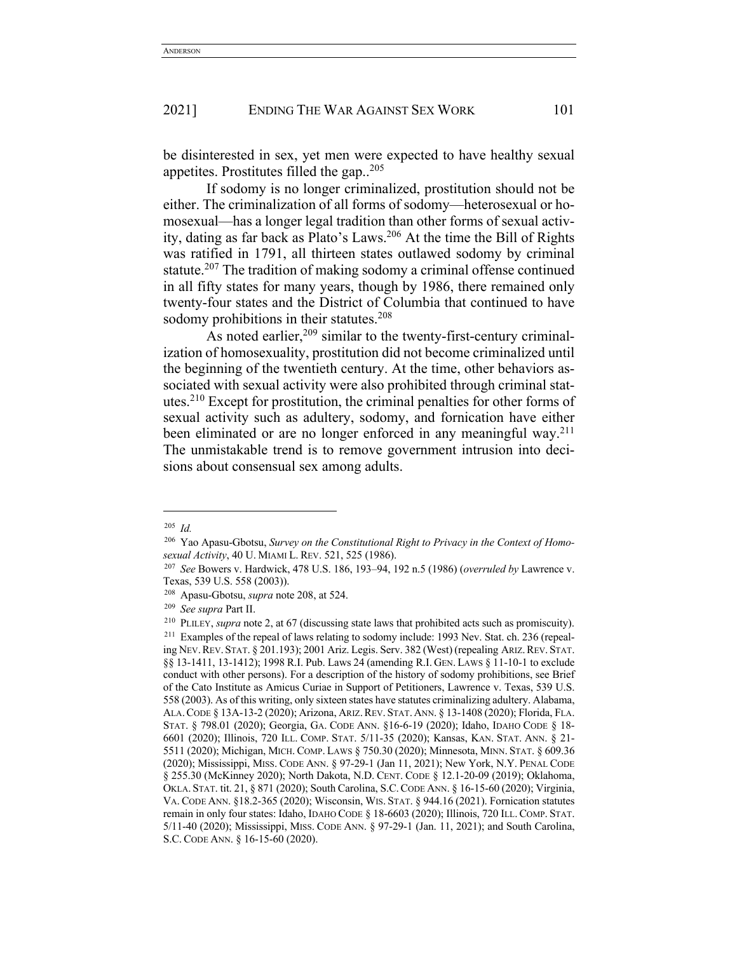be disinterested in sex, yet men were expected to have healthy sexual appetites. Prostitutes filled the gap..205

If sodomy is no longer criminalized, prostitution should not be either. The criminalization of all forms of sodomy—heterosexual or homosexual—has a longer legal tradition than other forms of sexual activity, dating as far back as Plato's Laws.206 At the time the Bill of Rights was ratified in 1791, all thirteen states outlawed sodomy by criminal statute.<sup>207</sup> The tradition of making sodomy a criminal offense continued in all fifty states for many years, though by 1986, there remained only twenty-four states and the District of Columbia that continued to have sodomy prohibitions in their statutes.<sup>208</sup>

As noted earlier,209 similar to the twenty-first-century criminalization of homosexuality, prostitution did not become criminalized until the beginning of the twentieth century. At the time, other behaviors associated with sexual activity were also prohibited through criminal statutes.210 Except for prostitution, the criminal penalties for other forms of sexual activity such as adultery, sodomy, and fornication have either been eliminated or are no longer enforced in any meaningful way.<sup>211</sup> The unmistakable trend is to remove government intrusion into decisions about consensual sex among adults.

<sup>205</sup> *Id.*

<sup>206</sup> Yao Apasu-Gbotsu, *Survey on the Constitutional Right to Privacy in the Context of Homosexual Activity*, 40 U. MIAMI L. REV. 521, 525 (1986). 207 *See* Bowers v. Hardwick, 478 U.S. 186, 193–94, 192 n.5 (1986) (*overruled by* Lawrence v.

Texas, 539 U.S. 558 (2003)).

<sup>208</sup> Apasu-Gbotsu, *supra* note 208, at 524. 209 *See supra* Part II.

<sup>210</sup> PLILEY, *supra* note 2, at 67 (discussing state laws that prohibited acts such as promiscuity). <sup>211</sup> Examples of the repeal of laws relating to sodomy include: 1993 Nev. Stat. ch. 236 (repealing NEV.REV. STAT. § 201.193); 2001 Ariz. Legis. Serv. 382 (West) (repealing ARIZ.REV. STAT. §§ 13-1411, 13-1412); 1998 R.I. Pub. Laws 24 (amending R.I. GEN. LAWS § 11-10-1 to exclude conduct with other persons). For a description of the history of sodomy prohibitions, see Brief of the Cato Institute as Amicus Curiae in Support of Petitioners, Lawrence v. Texas, 539 U.S. 558 (2003). As of this writing, only sixteen states have statutes criminalizing adultery. Alabama, ALA.CODE § 13A-13-2 (2020); Arizona, ARIZ.REV. STAT. ANN. § 13-1408 (2020); Florida, FLA. STAT. § 798.01 (2020); Georgia, GA. CODE ANN. §16-6-19 (2020); Idaho, IDAHO CODE § 18- 6601 (2020); Illinois, 720 ILL. COMP. STAT. 5/11-35 (2020); Kansas, KAN. STAT. ANN. § 21- 5511 (2020); Michigan, MICH. COMP. LAWS § 750.30 (2020); Minnesota, MINN. STAT. § 609.36 (2020); Mississippi, MISS. CODE ANN. § 97-29-1 (Jan 11, 2021); New York, N.Y. PENAL CODE § 255.30 (McKinney 2020); North Dakota, N.D. CENT. CODE § 12.1-20-09 (2019); Oklahoma, OKLA. STAT. tit. 21, § 871 (2020); South Carolina, S.C.CODE ANN. § 16-15-60 (2020); Virginia, VA. CODE ANN. §18.2-365 (2020); Wisconsin, WIS. STAT. § 944.16 (2021). Fornication statutes remain in only four states: Idaho, IDAHO CODE § 18-6603 (2020); Illinois, 720 ILL. COMP. STAT. 5/11-40 (2020); Mississippi, MISS. CODE ANN. § 97-29-1 (Jan. 11, 2021); and South Carolina, S.C. CODE ANN. § 16-15-60 (2020).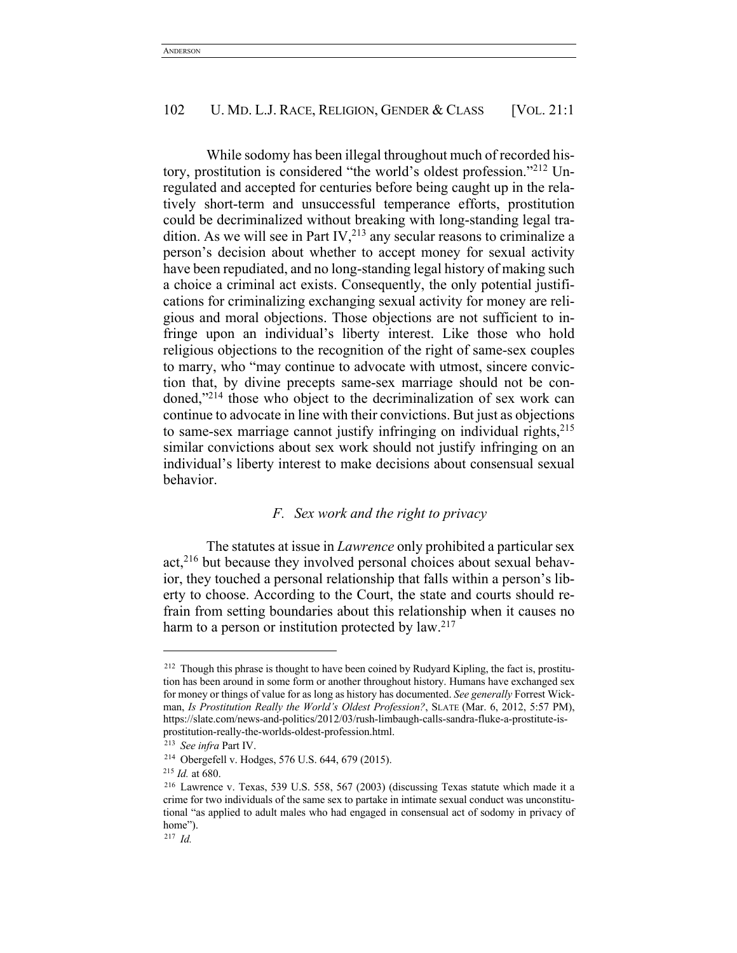While sodomy has been illegal throughout much of recorded history, prostitution is considered "the world's oldest profession."212 Unregulated and accepted for centuries before being caught up in the relatively short-term and unsuccessful temperance efforts, prostitution could be decriminalized without breaking with long-standing legal tradition. As we will see in Part IV, $^{213}$  any secular reasons to criminalize a person's decision about whether to accept money for sexual activity have been repudiated, and no long-standing legal history of making such a choice a criminal act exists. Consequently, the only potential justifications for criminalizing exchanging sexual activity for money are religious and moral objections. Those objections are not sufficient to infringe upon an individual's liberty interest. Like those who hold religious objections to the recognition of the right of same-sex couples to marry, who "may continue to advocate with utmost, sincere conviction that, by divine precepts same-sex marriage should not be condoned,"214 those who object to the decriminalization of sex work can continue to advocate in line with their convictions. But just as objections to same-sex marriage cannot justify infringing on individual rights,  $215$ similar convictions about sex work should not justify infringing on an individual's liberty interest to make decisions about consensual sexual behavior.

## *F. Sex work and the right to privacy*

The statutes at issue in *Lawrence* only prohibited a particular sex act,216 but because they involved personal choices about sexual behavior, they touched a personal relationship that falls within a person's liberty to choose. According to the Court, the state and courts should refrain from setting boundaries about this relationship when it causes no harm to a person or institution protected by  $law.<sup>217</sup>$ 

<sup>&</sup>lt;sup>212</sup> Though this phrase is thought to have been coined by Rudyard Kipling, the fact is, prostitution has been around in some form or another throughout history. Humans have exchanged sex for money or things of value for as long as history has documented. *See generally* Forrest Wickman, *Is Prostitution Really the World's Oldest Profession?*, SLATE (Mar. 6, 2012, 5:57 PM), https://slate.com/news-and-politics/2012/03/rush-limbaugh-calls-sandra-fluke-a-prostitute-isprostitution-really-the-worlds-oldest-profession.html. 213 *See infra* Part IV.

<sup>214</sup> Obergefell v. Hodges, 576 U.S. 644, 679 (2015).

<sup>215</sup> *Id.* at 680.

<sup>216</sup> Lawrence v. Texas, 539 U.S. 558, 567 (2003) (discussing Texas statute which made it a crime for two individuals of the same sex to partake in intimate sexual conduct was unconstitutional "as applied to adult males who had engaged in consensual act of sodomy in privacy of home").

<sup>217</sup> *Id.*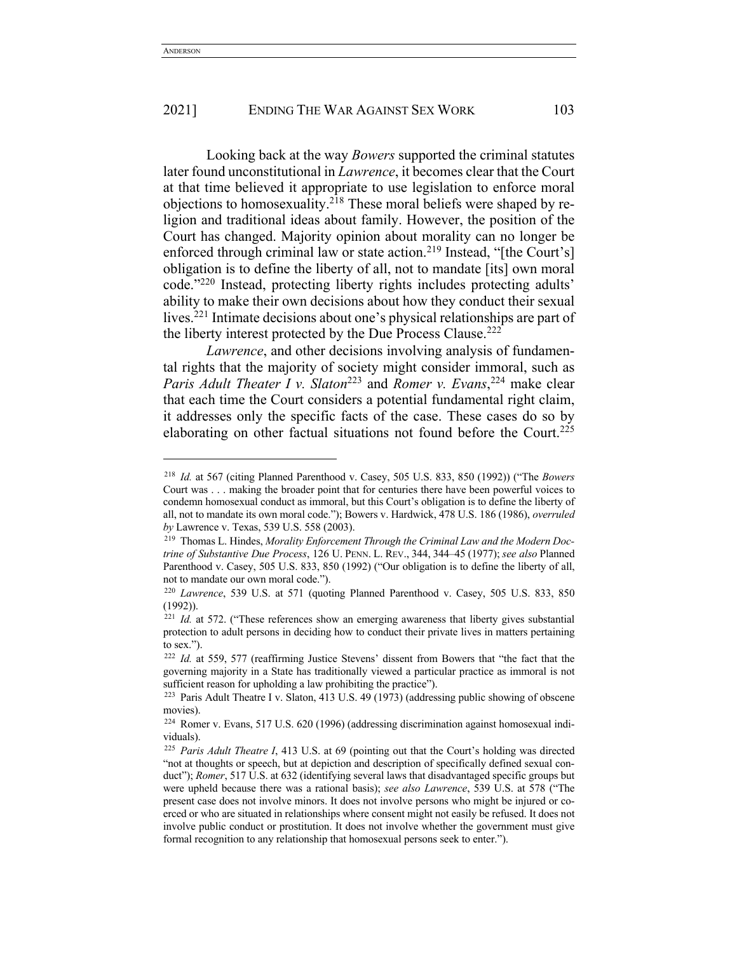Looking back at the way *Bowers* supported the criminal statutes later found unconstitutional in *Lawrence*, it becomes clear that the Court at that time believed it appropriate to use legislation to enforce moral objections to homosexuality.218 These moral beliefs were shaped by religion and traditional ideas about family. However, the position of the Court has changed. Majority opinion about morality can no longer be enforced through criminal law or state action.<sup>219</sup> Instead, "[the Court's] obligation is to define the liberty of all, not to mandate [its] own moral code."220 Instead, protecting liberty rights includes protecting adults' ability to make their own decisions about how they conduct their sexual lives.221 Intimate decisions about one's physical relationships are part of the liberty interest protected by the Due Process Clause.<sup>222</sup>

*Lawrence*, and other decisions involving analysis of fundamental rights that the majority of society might consider immoral, such as *Paris Adult Theater I v. Slaton*<sup>223</sup> and *Romer v. Evans*, <sup>224</sup> make clear that each time the Court considers a potential fundamental right claim, it addresses only the specific facts of the case. These cases do so by elaborating on other factual situations not found before the Court.<sup>225</sup>

<sup>218</sup> *Id.* at 567 (citing Planned Parenthood v. Casey, 505 U.S. 833, 850 (1992)) ("The *Bowers*  Court was . . . making the broader point that for centuries there have been powerful voices to condemn homosexual conduct as immoral, but this Court's obligation is to define the liberty of all, not to mandate its own moral code."); Bowers v. Hardwick, 478 U.S. 186 (1986), *overruled by* Lawrence v. Texas, 539 U.S. 558 (2003).

<sup>219</sup> Thomas L. Hindes, *Morality Enforcement Through the Criminal Law and the Modern Doctrine of Substantive Due Process*, 126 U. PENN. L. REV., 344, 344–45 (1977); *see also* Planned Parenthood v. Casey, 505 U.S. 833, 850 (1992) ("Our obligation is to define the liberty of all, not to mandate our own moral code.").

<sup>220</sup> *Lawrence*, 539 U.S. at 571 (quoting Planned Parenthood v. Casey, 505 U.S. 833, 850 (1992)).

<sup>&</sup>lt;sup>221</sup> *Id.* at 572. ("These references show an emerging awareness that liberty gives substantial protection to adult persons in deciding how to conduct their private lives in matters pertaining to sex.").

<sup>222</sup> *Id.* at 559, 577 (reaffirming Justice Stevens' dissent from Bowers that "the fact that the governing majority in a State has traditionally viewed a particular practice as immoral is not sufficient reason for upholding a law prohibiting the practice").

<sup>223</sup> Paris Adult Theatre I v. Slaton, 413 U.S. 49 (1973) (addressing public showing of obscene movies).

<sup>224</sup> Romer v. Evans, 517 U.S. 620 (1996) (addressing discrimination against homosexual individuals).

<sup>225</sup> *Paris Adult Theatre I*, 413 U.S. at 69 (pointing out that the Court's holding was directed "not at thoughts or speech, but at depiction and description of specifically defined sexual conduct"); *Romer*, 517 U.S. at 632 (identifying several laws that disadvantaged specific groups but were upheld because there was a rational basis); *see also Lawrence*, 539 U.S. at 578 ("The present case does not involve minors. It does not involve persons who might be injured or coerced or who are situated in relationships where consent might not easily be refused. It does not involve public conduct or prostitution. It does not involve whether the government must give formal recognition to any relationship that homosexual persons seek to enter.").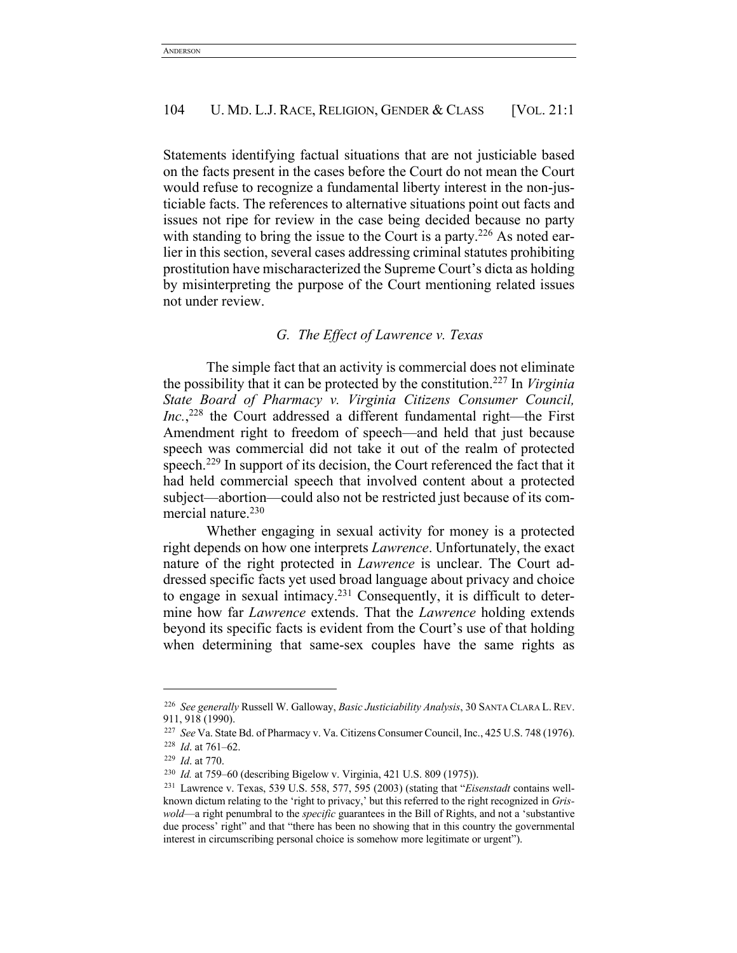Statements identifying factual situations that are not justiciable based on the facts present in the cases before the Court do not mean the Court would refuse to recognize a fundamental liberty interest in the non-justiciable facts. The references to alternative situations point out facts and issues not ripe for review in the case being decided because no party with standing to bring the issue to the Court is a party.<sup>226</sup> As noted earlier in this section, several cases addressing criminal statutes prohibiting prostitution have mischaracterized the Supreme Court's dicta as holding by misinterpreting the purpose of the Court mentioning related issues not under review.

# *G. The Effect of Lawrence v. Texas*

The simple fact that an activity is commercial does not eliminate the possibility that it can be protected by the constitution.227 In *Virginia State Board of Pharmacy v. Virginia Citizens Consumer Council, Inc.*, <sup>228</sup> the Court addressed a different fundamental right—the First Amendment right to freedom of speech—and held that just because speech was commercial did not take it out of the realm of protected speech.<sup>229</sup> In support of its decision, the Court referenced the fact that it had held commercial speech that involved content about a protected subject—abortion—could also not be restricted just because of its commercial nature.230

Whether engaging in sexual activity for money is a protected right depends on how one interprets *Lawrence*. Unfortunately, the exact nature of the right protected in *Lawrence* is unclear. The Court addressed specific facts yet used broad language about privacy and choice to engage in sexual intimacy.231 Consequently, it is difficult to determine how far *Lawrence* extends. That the *Lawrence* holding extends beyond its specific facts is evident from the Court's use of that holding when determining that same-sex couples have the same rights as

<sup>226</sup> *See generally* Russell W. Galloway, *Basic Justiciability Analysis*, 30 SANTA CLARA L. REV. 911, 918 (1990).

<sup>227</sup> *See* Va. State Bd. of Pharmacy v. Va. Citizens Consumer Council, Inc., 425 U.S. 748 (1976). <sup>228</sup> *Id*. at 761–62.

<sup>229</sup> *Id*. at 770.

<sup>230</sup> *Id.* at 759–60 (describing Bigelow v. Virginia, 421 U.S. 809 (1975)).

<sup>231</sup> Lawrence v. Texas, 539 U.S. 558, 577, 595 (2003) (stating that "*Eisenstadt* contains wellknown dictum relating to the 'right to privacy,' but this referred to the right recognized in *Griswold*—a right penumbral to the *specific* guarantees in the Bill of Rights, and not a 'substantive due process' right" and that "there has been no showing that in this country the governmental interest in circumscribing personal choice is somehow more legitimate or urgent").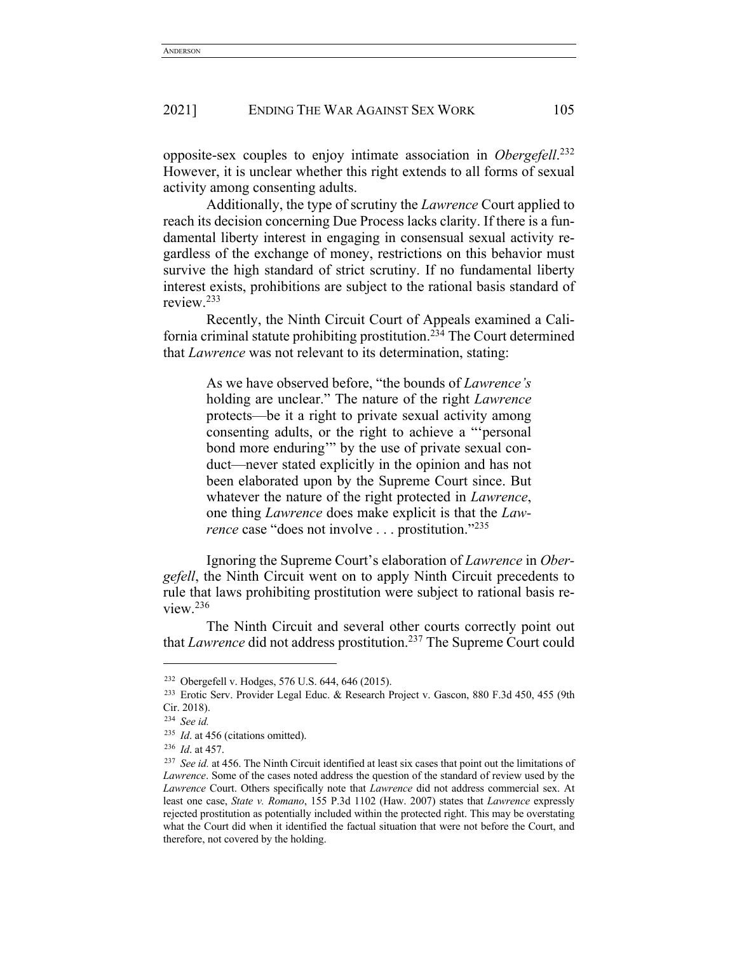opposite-sex couples to enjoy intimate association in *Obergefell*. 232 However, it is unclear whether this right extends to all forms of sexual activity among consenting adults.

Additionally, the type of scrutiny the *Lawrence* Court applied to reach its decision concerning Due Process lacks clarity. If there is a fundamental liberty interest in engaging in consensual sexual activity regardless of the exchange of money, restrictions on this behavior must survive the high standard of strict scrutiny. If no fundamental liberty interest exists, prohibitions are subject to the rational basis standard of review.233

Recently, the Ninth Circuit Court of Appeals examined a California criminal statute prohibiting prostitution.234 The Court determined that *Lawrence* was not relevant to its determination, stating:

> As we have observed before, "the bounds of *Lawrence's* holding are unclear." The nature of the right *Lawrence*  protects—be it a right to private sexual activity among consenting adults, or the right to achieve a "'personal bond more enduring'" by the use of private sexual conduct—never stated explicitly in the opinion and has not been elaborated upon by the Supreme Court since. But whatever the nature of the right protected in *Lawrence*, one thing *Lawrence* does make explicit is that the *Lawrence* case "does not involve . . . prostitution."<sup>235</sup>

Ignoring the Supreme Court's elaboration of *Lawrence* in *Obergefell*, the Ninth Circuit went on to apply Ninth Circuit precedents to rule that laws prohibiting prostitution were subject to rational basis review.236

The Ninth Circuit and several other courts correctly point out that *Lawrence* did not address prostitution.237 The Supreme Court could

<sup>232</sup> Obergefell v. Hodges, 576 U.S. 644, 646 (2015).

<sup>233</sup> Erotic Serv. Provider Legal Educ. & Research Project v. Gascon, 880 F.3d 450, 455 (9th Cir. 2018).

<sup>234</sup> *See id.*

<sup>235</sup> *Id*. at 456 (citations omitted).

<sup>236</sup> *Id*. at 457.

<sup>&</sup>lt;sup>237</sup> See id. at 456. The Ninth Circuit identified at least six cases that point out the limitations of *Lawrence*. Some of the cases noted address the question of the standard of review used by the *Lawrence* Court. Others specifically note that *Lawrence* did not address commercial sex. At least one case, *State v. Romano*, 155 P.3d 1102 (Haw. 2007) states that *Lawrence* expressly rejected prostitution as potentially included within the protected right. This may be overstating what the Court did when it identified the factual situation that were not before the Court, and therefore, not covered by the holding.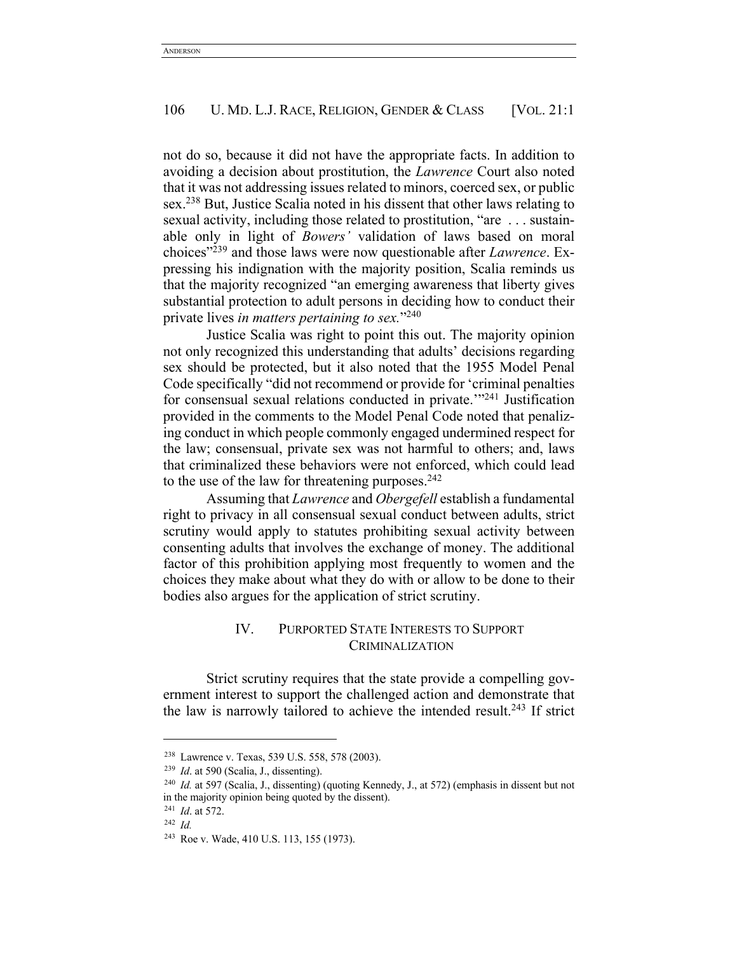not do so, because it did not have the appropriate facts. In addition to avoiding a decision about prostitution, the *Lawrence* Court also noted that it was not addressing issues related to minors, coerced sex, or public sex.<sup>238</sup> But, Justice Scalia noted in his dissent that other laws relating to sexual activity, including those related to prostitution, "are . . . sustainable only in light of *Bowers'* validation of laws based on moral choices"239 and those laws were now questionable after *Lawrence*. Expressing his indignation with the majority position, Scalia reminds us that the majority recognized "an emerging awareness that liberty gives substantial protection to adult persons in deciding how to conduct their private lives *in matters pertaining to sex.*"240

Justice Scalia was right to point this out. The majority opinion not only recognized this understanding that adults' decisions regarding sex should be protected, but it also noted that the 1955 Model Penal Code specifically "did not recommend or provide for 'criminal penalties for consensual sexual relations conducted in private.'"241 Justification provided in the comments to the Model Penal Code noted that penalizing conduct in which people commonly engaged undermined respect for the law; consensual, private sex was not harmful to others; and, laws that criminalized these behaviors were not enforced, which could lead to the use of the law for threatening purposes. $242$ 

Assuming that *Lawrence* and *Obergefell* establish a fundamental right to privacy in all consensual sexual conduct between adults, strict scrutiny would apply to statutes prohibiting sexual activity between consenting adults that involves the exchange of money. The additional factor of this prohibition applying most frequently to women and the choices they make about what they do with or allow to be done to their bodies also argues for the application of strict scrutiny.

# IV. PURPORTED STATE INTERESTS TO SUPPORT CRIMINALIZATION

Strict scrutiny requires that the state provide a compelling government interest to support the challenged action and demonstrate that the law is narrowly tailored to achieve the intended result.<sup>243</sup> If strict

<sup>238</sup> Lawrence v. Texas, 539 U.S. 558, 578 (2003).

<sup>&</sup>lt;sup>239</sup> *Id.* at 590 (Scalia, J., dissenting).<br><sup>240</sup> *Id.* at 597 (Scalia, J., dissenting) (quoting Kennedy, J., at 572) (emphasis in dissent but not in the majority opinion being quoted by the dissent).

<sup>241</sup> *Id*. at 572.

<sup>242</sup> *Id.*

<sup>243</sup> Roe v. Wade, 410 U.S. 113, 155 (1973).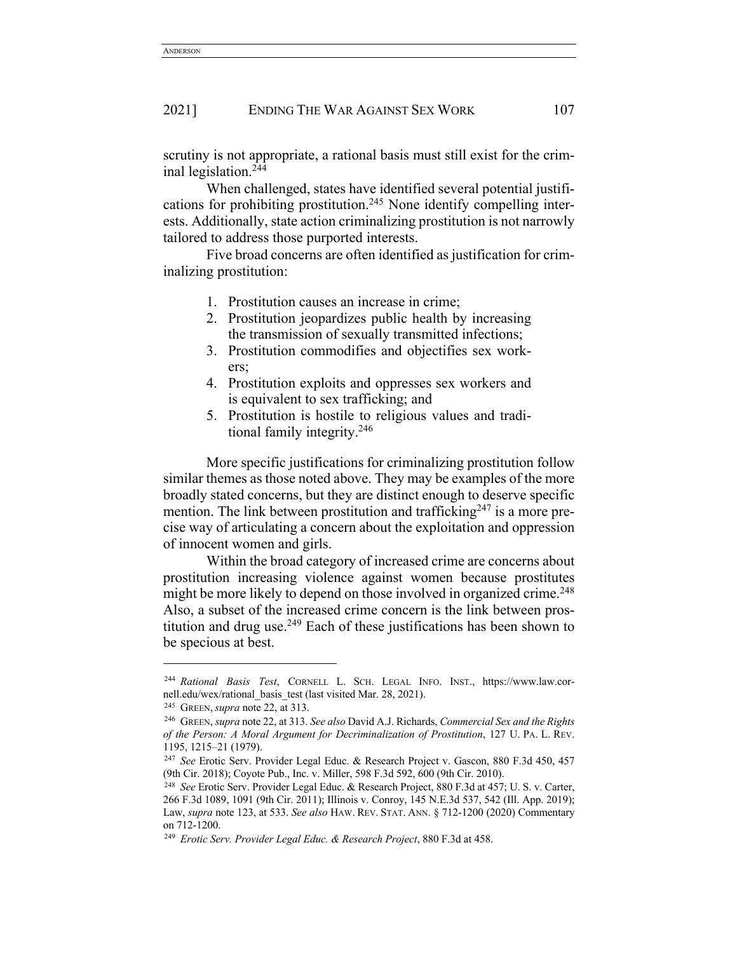scrutiny is not appropriate, a rational basis must still exist for the criminal legislation.244

When challenged, states have identified several potential justifications for prohibiting prostitution.<sup>245</sup> None identify compelling interests. Additionally, state action criminalizing prostitution is not narrowly tailored to address those purported interests.

Five broad concerns are often identified as justification for criminalizing prostitution:

- 1. Prostitution causes an increase in crime;
- 2. Prostitution jeopardizes public health by increasing the transmission of sexually transmitted infections;
- 3. Prostitution commodifies and objectifies sex workers;
- 4. Prostitution exploits and oppresses sex workers and is equivalent to sex trafficking; and
- 5. Prostitution is hostile to religious values and traditional family integrity.246

More specific justifications for criminalizing prostitution follow similar themes as those noted above. They may be examples of the more broadly stated concerns, but they are distinct enough to deserve specific mention. The link between prostitution and trafficking $247$  is a more precise way of articulating a concern about the exploitation and oppression of innocent women and girls.

Within the broad category of increased crime are concerns about prostitution increasing violence against women because prostitutes might be more likely to depend on those involved in organized crime.<sup>248</sup> Also, a subset of the increased crime concern is the link between prostitution and drug use.<sup>249</sup> Each of these justifications has been shown to be specious at best.

<sup>244</sup> *Rational Basis Test*, CORNELL L. SCH. LEGAL INFO. INST., https://www.law.cornell.edu/wex/rational\_basis\_test (last visited Mar. 28, 2021).

<sup>245</sup> GREEN,*supra* note 22, at 313.

<sup>246</sup> GREEN, *supra* note 22, at 313. *See also* David A.J. Richards, *Commercial Sex and the Rights of the Person: A Moral Argument for Decriminalization of Prostitution*, 127 U. PA. L. REV. 1195, 1215–21 (1979).

<sup>247</sup> *See* Erotic Serv. Provider Legal Educ. & Research Project v. Gascon, 880 F.3d 450, 457 (9th Cir. 2018); Coyote Pub., Inc. v. Miller, 598 F.3d 592, 600 (9th Cir. 2010).

<sup>248</sup> *See* Erotic Serv. Provider Legal Educ. & Research Project, 880 F.3d at 457; U. S. v. Carter, 266 F.3d 1089, 1091 (9th Cir. 2011); Illinois v. Conroy, 145 N.E.3d 537, 542 (Ill. App. 2019); Law, *supra* note 123, at 533. *See also* HAW. REV. STAT. ANN. § 712-1200 (2020) Commentary on 712-1200.

<sup>249</sup> *Erotic Serv. Provider Legal Educ. & Research Project*, 880 F.3d at 458.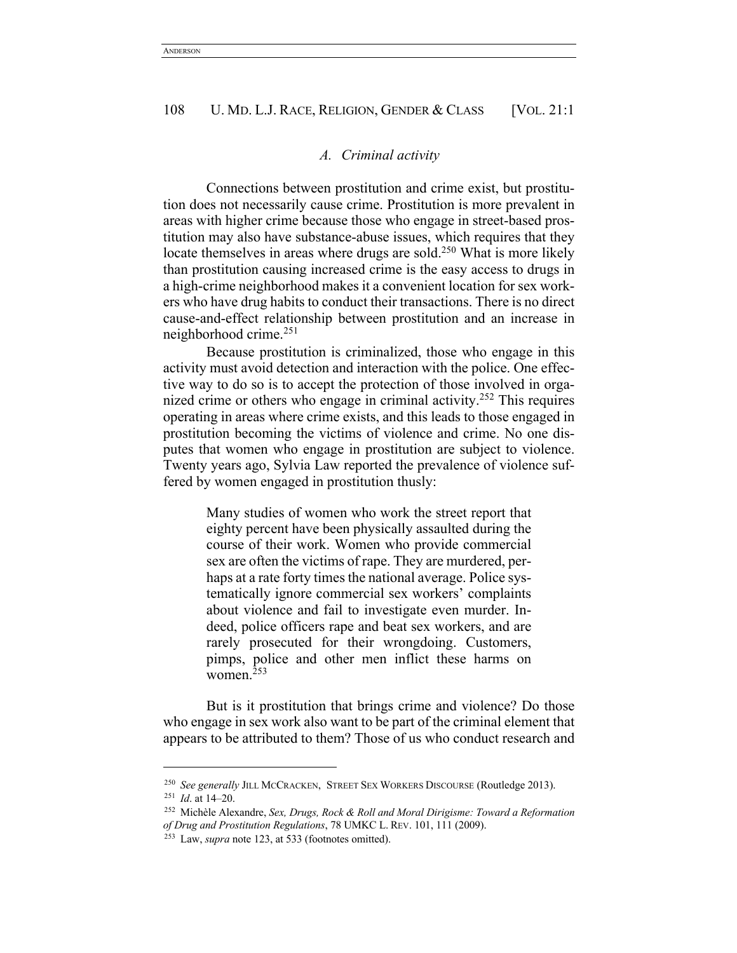#### *A. Criminal activity*

Connections between prostitution and crime exist, but prostitution does not necessarily cause crime. Prostitution is more prevalent in areas with higher crime because those who engage in street-based prostitution may also have substance-abuse issues, which requires that they locate themselves in areas where drugs are sold.250 What is more likely than prostitution causing increased crime is the easy access to drugs in a high-crime neighborhood makes it a convenient location for sex workers who have drug habits to conduct their transactions. There is no direct cause-and-effect relationship between prostitution and an increase in neighborhood crime.251

Because prostitution is criminalized, those who engage in this activity must avoid detection and interaction with the police. One effective way to do so is to accept the protection of those involved in organized crime or others who engage in criminal activity.<sup>252</sup> This requires operating in areas where crime exists, and this leads to those engaged in prostitution becoming the victims of violence and crime. No one disputes that women who engage in prostitution are subject to violence. Twenty years ago, Sylvia Law reported the prevalence of violence suffered by women engaged in prostitution thusly:

> Many studies of women who work the street report that eighty percent have been physically assaulted during the course of their work. Women who provide commercial sex are often the victims of rape. They are murdered, perhaps at a rate forty times the national average. Police systematically ignore commercial sex workers' complaints about violence and fail to investigate even murder. Indeed, police officers rape and beat sex workers, and are rarely prosecuted for their wrongdoing. Customers, pimps, police and other men inflict these harms on women.253

But is it prostitution that brings crime and violence? Do those who engage in sex work also want to be part of the criminal element that appears to be attributed to them? Those of us who conduct research and

<sup>250</sup> *See generally* JILL MCCRACKEN, STREET SEX WORKERS DISCOURSE (Routledge 2013).

<sup>251</sup> *Id*. at 14–20.

<sup>252</sup> Michèle Alexandre, *Sex, Drugs, Rock & Roll and Moral Dirigisme: Toward a Reformation of Drug and Prostitution Regulations*, 78 UMKC L. REV. 101, 111 (2009).

<sup>253</sup> Law, *supra* note 123, at 533 (footnotes omitted).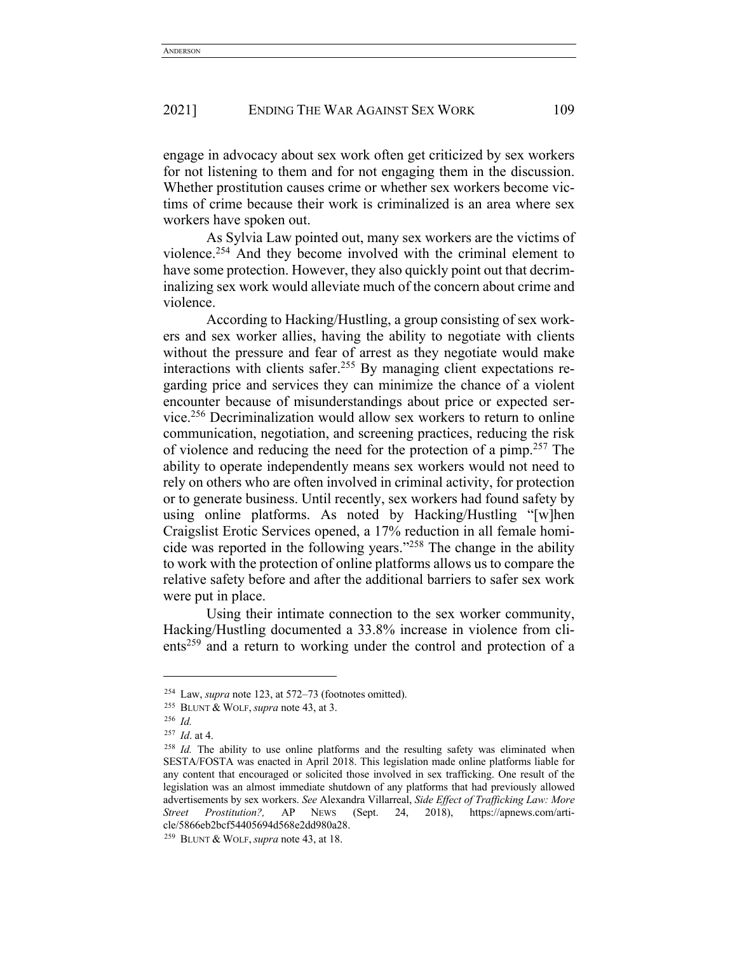engage in advocacy about sex work often get criticized by sex workers for not listening to them and for not engaging them in the discussion. Whether prostitution causes crime or whether sex workers become victims of crime because their work is criminalized is an area where sex workers have spoken out.

As Sylvia Law pointed out, many sex workers are the victims of violence.254 And they become involved with the criminal element to have some protection. However, they also quickly point out that decriminalizing sex work would alleviate much of the concern about crime and violence.

According to Hacking/Hustling, a group consisting of sex workers and sex worker allies, having the ability to negotiate with clients without the pressure and fear of arrest as they negotiate would make interactions with clients safer.255 By managing client expectations regarding price and services they can minimize the chance of a violent encounter because of misunderstandings about price or expected service.256 Decriminalization would allow sex workers to return to online communication, negotiation, and screening practices, reducing the risk of violence and reducing the need for the protection of a pimp.257 The ability to operate independently means sex workers would not need to rely on others who are often involved in criminal activity, for protection or to generate business. Until recently, sex workers had found safety by using online platforms. As noted by Hacking/Hustling "[w]hen Craigslist Erotic Services opened, a 17% reduction in all female homicide was reported in the following years."258 The change in the ability to work with the protection of online platforms allows us to compare the relative safety before and after the additional barriers to safer sex work were put in place.

Using their intimate connection to the sex worker community, Hacking/Hustling documented a 33.8% increase in violence from clients<sup>259</sup> and a return to working under the control and protection of a

<sup>254</sup> Law, *supra* note 123, at 572–73 (footnotes omitted).

<sup>255</sup> BLUNT & WOLF,*supra* note 43, at 3.

<sup>256</sup> *Id.*

<sup>257</sup> *Id*. at 4.

<sup>&</sup>lt;sup>258</sup> *Id.* The ability to use online platforms and the resulting safety was eliminated when SESTA/FOSTA was enacted in April 2018. This legislation made online platforms liable for any content that encouraged or solicited those involved in sex trafficking. One result of the legislation was an almost immediate shutdown of any platforms that had previously allowed advertisements by sex workers. *See* Alexandra Villarreal, *Side Effect of Trafficking Law: More Street Prostitution?,* AP NEWS (Sept. 24, 2018), https://apnews.com/article/5866eb2bcf54405694d568e2dd980a28.

<sup>259</sup> BLUNT & WOLF,*supra* note 43, at 18.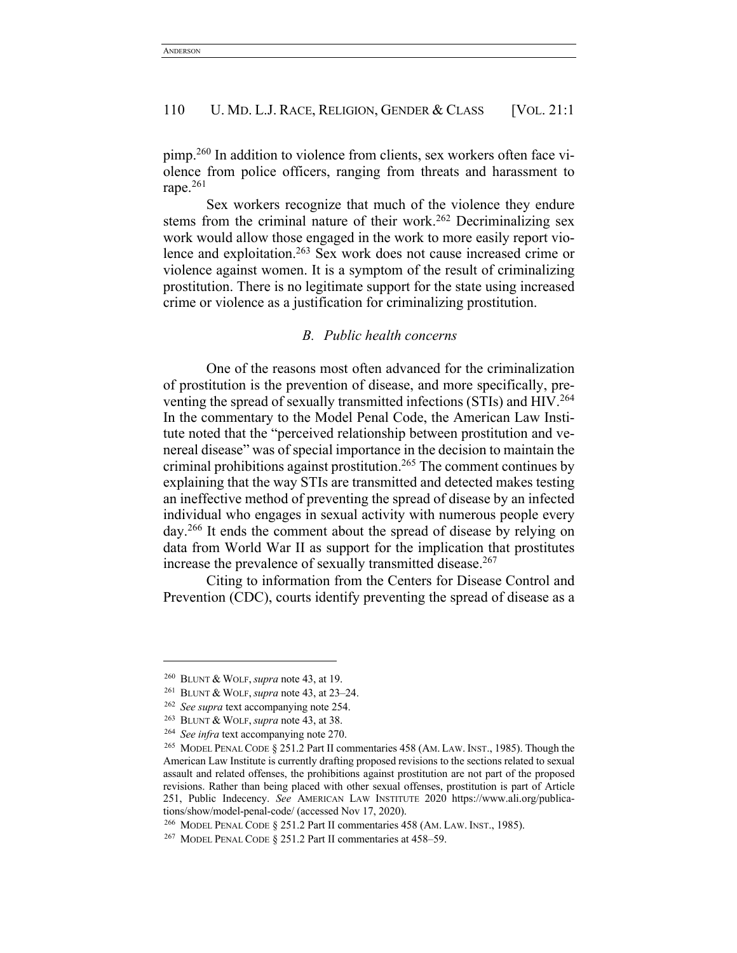pimp.260 In addition to violence from clients, sex workers often face violence from police officers, ranging from threats and harassment to rape.261

Sex workers recognize that much of the violence they endure stems from the criminal nature of their work.<sup>262</sup> Decriminalizing sex work would allow those engaged in the work to more easily report violence and exploitation.263 Sex work does not cause increased crime or violence against women. It is a symptom of the result of criminalizing prostitution. There is no legitimate support for the state using increased crime or violence as a justification for criminalizing prostitution.

## *B. Public health concerns*

One of the reasons most often advanced for the criminalization of prostitution is the prevention of disease, and more specifically, preventing the spread of sexually transmitted infections (STIs) and HIV.<sup>264</sup> In the commentary to the Model Penal Code, the American Law Institute noted that the "perceived relationship between prostitution and venereal disease" was of special importance in the decision to maintain the criminal prohibitions against prostitution.265 The comment continues by explaining that the way STIs are transmitted and detected makes testing an ineffective method of preventing the spread of disease by an infected individual who engages in sexual activity with numerous people every day.266 It ends the comment about the spread of disease by relying on data from World War II as support for the implication that prostitutes increase the prevalence of sexually transmitted disease.<sup>267</sup>

Citing to information from the Centers for Disease Control and Prevention (CDC), courts identify preventing the spread of disease as a

<sup>260</sup> BLUNT & WOLF,*supra* note 43, at 19.

<sup>261</sup> BLUNT & WOLF,*supra* note 43, at 23–24.

<sup>262</sup> *See supra* text accompanying note 254.

<sup>263</sup> BLUNT & WOLF,*supra* note 43, at 38.

<sup>264</sup> *See infra* text accompanying note 270.

<sup>265</sup> MODEL PENAL CODE § 251.2 Part II commentaries 458 (AM. LAW. INST., 1985). Though the American Law Institute is currently drafting proposed revisions to the sections related to sexual assault and related offenses, the prohibitions against prostitution are not part of the proposed revisions. Rather than being placed with other sexual offenses, prostitution is part of Article 251, Public Indecency. *See* AMERICAN LAW INSTITUTE 2020 https://www.ali.org/publications/show/model-penal-code/ (accessed Nov 17, 2020).

<sup>266</sup> MODEL PENAL CODE § 251.2 Part II commentaries 458 (AM. LAW. INST., 1985).

<sup>267</sup> MODEL PENAL CODE § 251.2 Part II commentaries at 458–59.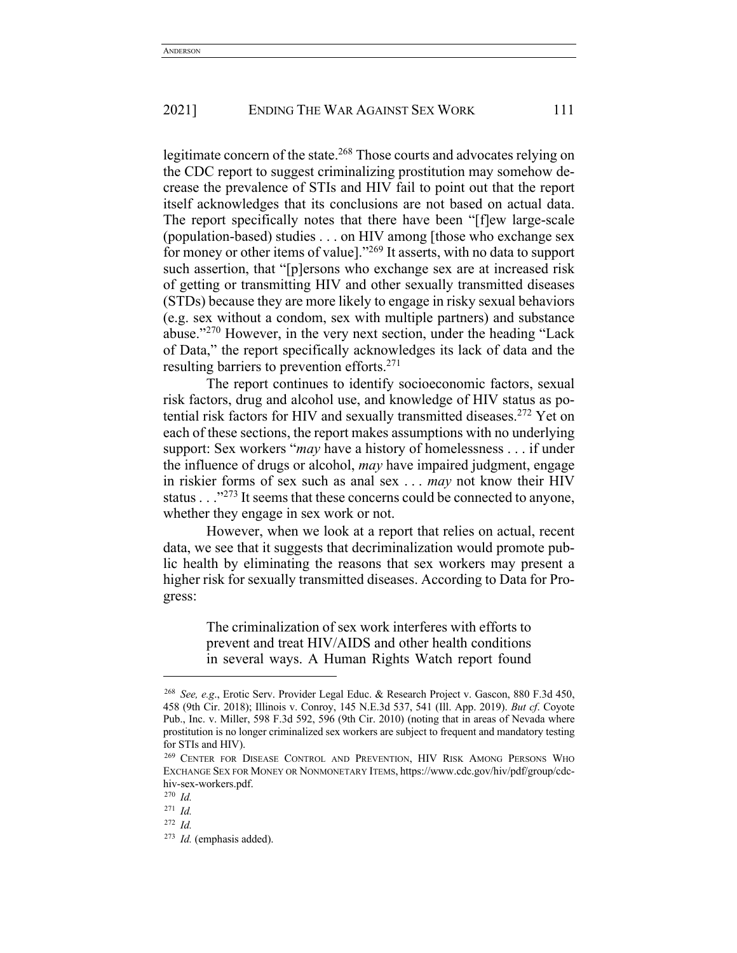legitimate concern of the state.<sup>268</sup> Those courts and advocates relying on the CDC report to suggest criminalizing prostitution may somehow decrease the prevalence of STIs and HIV fail to point out that the report itself acknowledges that its conclusions are not based on actual data. The report specifically notes that there have been "[f]ew large-scale (population-based) studies . . . on HIV among [those who exchange sex for money or other items of value]."269 It asserts, with no data to support such assertion, that "[p]ersons who exchange sex are at increased risk of getting or transmitting HIV and other sexually transmitted diseases (STDs) because they are more likely to engage in risky sexual behaviors (e.g. sex without a condom, sex with multiple partners) and substance abuse."270 However, in the very next section, under the heading "Lack of Data," the report specifically acknowledges its lack of data and the resulting barriers to prevention efforts.271

The report continues to identify socioeconomic factors, sexual risk factors, drug and alcohol use, and knowledge of HIV status as potential risk factors for HIV and sexually transmitted diseases.272 Yet on each of these sections, the report makes assumptions with no underlying support: Sex workers "*may* have a history of homelessness . . . if under the influence of drugs or alcohol, *may* have impaired judgment, engage in riskier forms of sex such as anal sex . . . *may* not know their HIV status . . ."273 It seems that these concerns could be connected to anyone, whether they engage in sex work or not.

However, when we look at a report that relies on actual, recent data, we see that it suggests that decriminalization would promote public health by eliminating the reasons that sex workers may present a higher risk for sexually transmitted diseases. According to Data for Progress:

> The criminalization of sex work interferes with efforts to prevent and treat HIV/AIDS and other health conditions in several ways. A Human Rights Watch report found

<sup>268</sup> *See, e.g*., Erotic Serv. Provider Legal Educ. & Research Project v. Gascon, 880 F.3d 450, 458 (9th Cir. 2018); Illinois v. Conroy, 145 N.E.3d 537, 541 (Ill. App. 2019). *But cf*. Coyote Pub., Inc. v. Miller, 598 F.3d 592, 596 (9th Cir. 2010) (noting that in areas of Nevada where prostitution is no longer criminalized sex workers are subject to frequent and mandatory testing for STIs and HIV).

<sup>269</sup> CENTER FOR DISEASE CONTROL AND PREVENTION, HIV RISK AMONG PERSONS WHO EXCHANGE SEX FOR MONEY OR NONMONETARY ITEMS, https://www.cdc.gov/hiv/pdf/group/cdchiv-sex-workers.pdf.

<sup>270</sup> *Id.*

<sup>271</sup> *Id.*

<sup>272</sup> *Id.*

<sup>273</sup> *Id.* (emphasis added).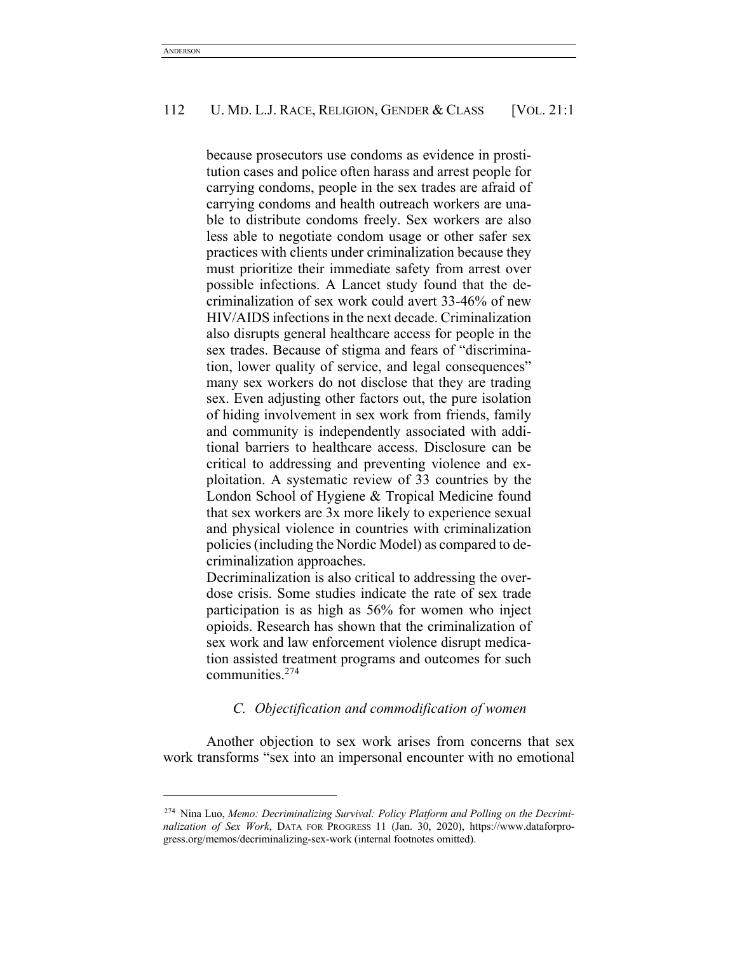because prosecutors use condoms as evidence in prostitution cases and police often harass and arrest people for carrying condoms, people in the sex trades are afraid of carrying condoms and health outreach workers are unable to distribute condoms freely. Sex workers are also less able to negotiate condom usage or other safer sex practices with clients under criminalization because they must prioritize their immediate safety from arrest over possible infections. A Lancet study found that the decriminalization of sex work could avert 33-46% of new HIV/AIDS infections in the next decade. Criminalization also disrupts general healthcare access for people in the sex trades. Because of stigma and fears of "discrimination, lower quality of service, and legal consequences" many sex workers do not disclose that they are trading sex. Even adjusting other factors out, the pure isolation of hiding involvement in sex work from friends, family and community is independently associated with additional barriers to healthcare access. Disclosure can be critical to addressing and preventing violence and exploitation. A systematic review of 33 countries by the London School of Hygiene & Tropical Medicine found that sex workers are 3x more likely to experience sexual and physical violence in countries with criminalization policies (including the Nordic Model) as compared to decriminalization approaches.

Decriminalization is also critical to addressing the overdose crisis. Some studies indicate the rate of sex trade participation is as high as 56% for women who inject opioids. Research has shown that the criminalization of sex work and law enforcement violence disrupt medication assisted treatment programs and outcomes for such communities.274

# *C. Objectification and commodification of women*

Another objection to sex work arises from concerns that sex work transforms "sex into an impersonal encounter with no emotional

<sup>274</sup> Nina Luo, *Memo: Decriminalizing Survival: Policy Platform and Polling on the Decriminalization of Sex Work*, DATA FOR PROGRESS 11 (Jan. 30, 2020), https://www.dataforprogress.org/memos/decriminalizing-sex-work (internal footnotes omitted).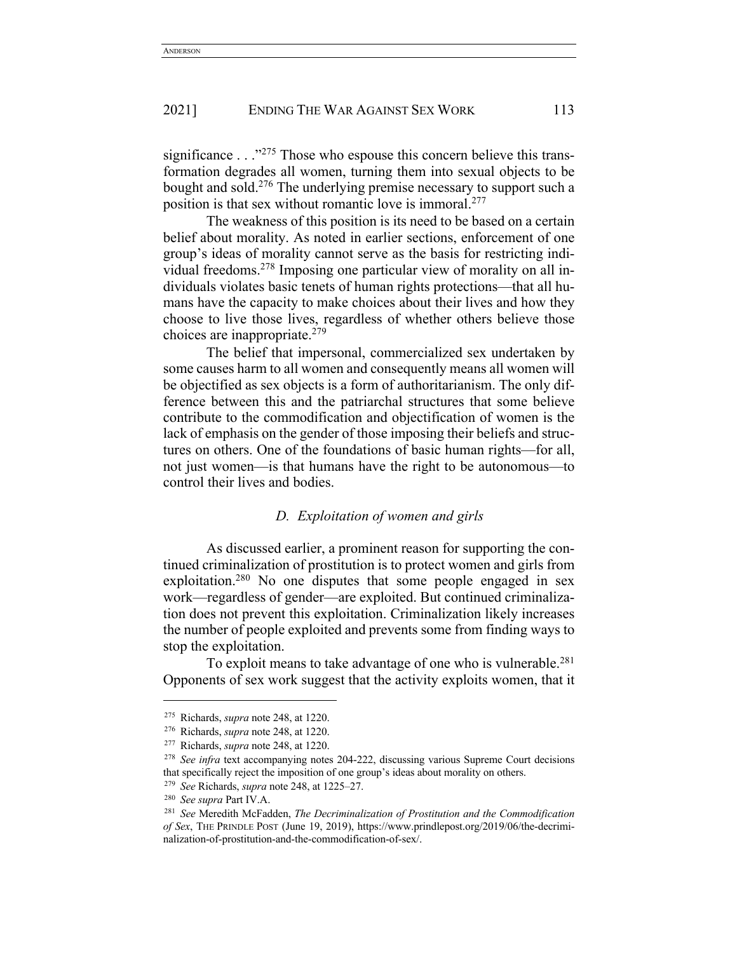significance  $\ldots$ <sup>275</sup> Those who espouse this concern believe this transformation degrades all women, turning them into sexual objects to be bought and sold.276 The underlying premise necessary to support such a position is that sex without romantic love is immoral.277

The weakness of this position is its need to be based on a certain belief about morality. As noted in earlier sections, enforcement of one group's ideas of morality cannot serve as the basis for restricting individual freedoms. <sup>278</sup> Imposing one particular view of morality on all individuals violates basic tenets of human rights protections—that all humans have the capacity to make choices about their lives and how they choose to live those lives, regardless of whether others believe those choices are inappropriate.279

The belief that impersonal, commercialized sex undertaken by some causes harm to all women and consequently means all women will be objectified as sex objects is a form of authoritarianism. The only difference between this and the patriarchal structures that some believe contribute to the commodification and objectification of women is the lack of emphasis on the gender of those imposing their beliefs and structures on others. One of the foundations of basic human rights—for all, not just women—is that humans have the right to be autonomous—to control their lives and bodies.

# *D. Exploitation of women and girls*

As discussed earlier, a prominent reason for supporting the continued criminalization of prostitution is to protect women and girls from exploitation.<sup>280</sup> No one disputes that some people engaged in sex work—regardless of gender—are exploited. But continued criminalization does not prevent this exploitation. Criminalization likely increases the number of people exploited and prevents some from finding ways to stop the exploitation.

To exploit means to take advantage of one who is vulnerable.<sup>281</sup> Opponents of sex work suggest that the activity exploits women, that it

<sup>275</sup> Richards, *supra* note 248, at 1220.

<sup>276</sup> Richards, *supra* note 248, at 1220.

<sup>277</sup> Richards, *supra* note 248, at 1220.

<sup>278</sup> *See infra* text accompanying notes 204-222, discussing various Supreme Court decisions that specifically reject the imposition of one group's ideas about morality on others.

<sup>279</sup> *See* Richards, *supra* note 248, at 1225–27.

<sup>280</sup> *See supra* Part IV.A.

<sup>281</sup> *See* Meredith McFadden, *The Decriminalization of Prostitution and the Commodification of Sex*, THE PRINDLE POST (June 19, 2019), https://www.prindlepost.org/2019/06/the-decriminalization-of-prostitution-and-the-commodification-of-sex/.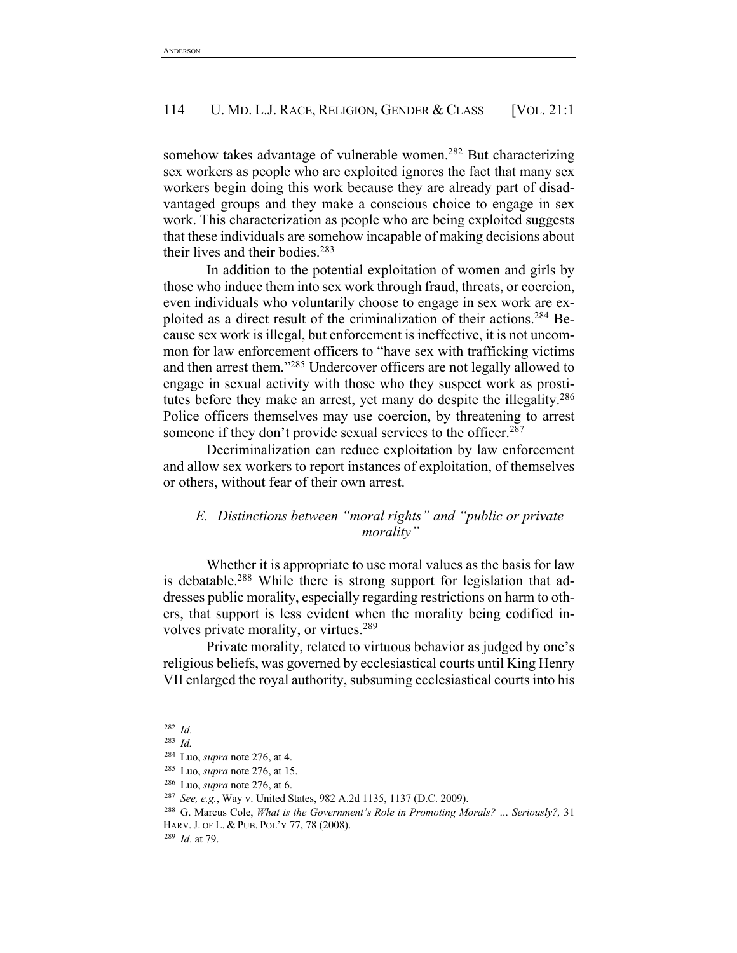somehow takes advantage of vulnerable women.<sup>282</sup> But characterizing sex workers as people who are exploited ignores the fact that many sex workers begin doing this work because they are already part of disadvantaged groups and they make a conscious choice to engage in sex work. This characterization as people who are being exploited suggests that these individuals are somehow incapable of making decisions about their lives and their bodies.283

In addition to the potential exploitation of women and girls by those who induce them into sex work through fraud, threats, or coercion, even individuals who voluntarily choose to engage in sex work are exploited as a direct result of the criminalization of their actions.284 Because sex work is illegal, but enforcement is ineffective, it is not uncommon for law enforcement officers to "have sex with trafficking victims and then arrest them."285 Undercover officers are not legally allowed to engage in sexual activity with those who they suspect work as prostitutes before they make an arrest, yet many do despite the illegality.<sup>286</sup> Police officers themselves may use coercion, by threatening to arrest someone if they don't provide sexual services to the officer.<sup>287</sup>

Decriminalization can reduce exploitation by law enforcement and allow sex workers to report instances of exploitation, of themselves or others, without fear of their own arrest.

# *E. Distinctions between "moral rights" and "public or private morality"*

Whether it is appropriate to use moral values as the basis for law is debatable.<sup>288</sup> While there is strong support for legislation that addresses public morality, especially regarding restrictions on harm to others, that support is less evident when the morality being codified involves private morality, or virtues.289

Private morality, related to virtuous behavior as judged by one's religious beliefs, was governed by ecclesiastical courts until King Henry VII enlarged the royal authority, subsuming ecclesiastical courts into his

<sup>282</sup> *Id.*

<sup>283</sup> *Id.*

<sup>284</sup> Luo, *supra* note 276, at 4. 285 Luo, *supra* note 276, at 15.

<sup>286</sup> Luo, *supra* note 276, at 6.

<sup>287</sup> *See, e.g.*, Way v. United States, 982 A.2d 1135, 1137 (D.C. 2009).

<sup>288</sup> G. Marcus Cole, *What is the Government's Role in Promoting Morals? … Seriously?,* 31 HARV.J. OF L. & PUB. POL'Y 77, 78 (2008).

<sup>289</sup> *Id*. at 79.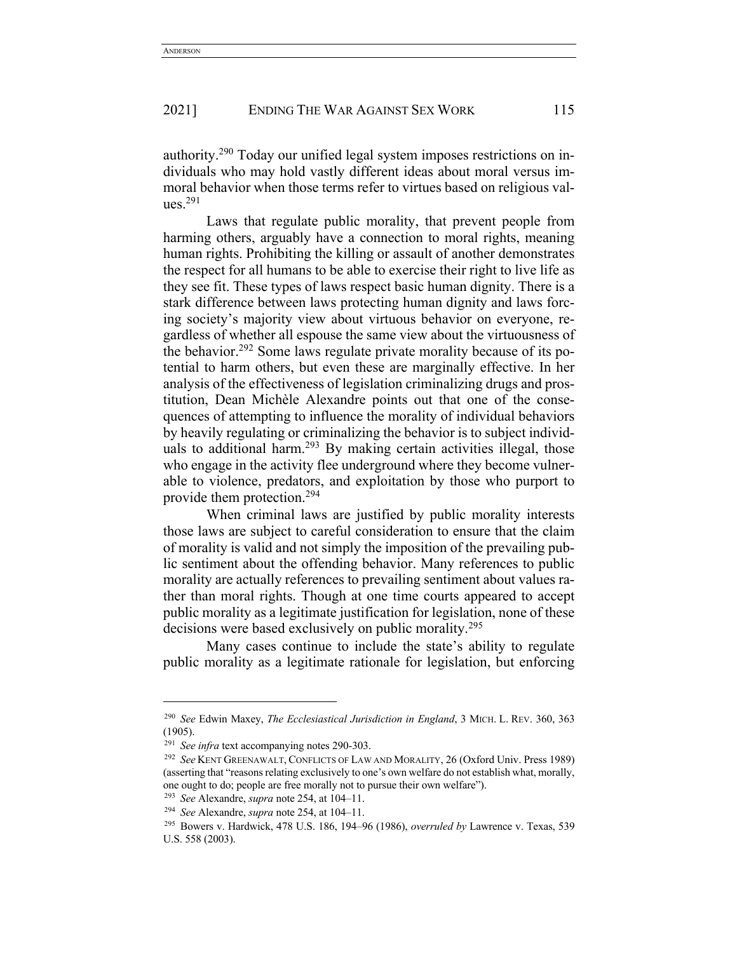authority.290 Today our unified legal system imposes restrictions on individuals who may hold vastly different ideas about moral versus immoral behavior when those terms refer to virtues based on religious values. 291

Laws that regulate public morality, that prevent people from harming others, arguably have a connection to moral rights, meaning human rights. Prohibiting the killing or assault of another demonstrates the respect for all humans to be able to exercise their right to live life as they see fit. These types of laws respect basic human dignity. There is a stark difference between laws protecting human dignity and laws forcing society's majority view about virtuous behavior on everyone, regardless of whether all espouse the same view about the virtuousness of the behavior.292 Some laws regulate private morality because of its potential to harm others, but even these are marginally effective. In her analysis of the effectiveness of legislation criminalizing drugs and prostitution, Dean Michèle Alexandre points out that one of the consequences of attempting to influence the morality of individual behaviors by heavily regulating or criminalizing the behavior is to subject individuals to additional harm.<sup>293</sup> By making certain activities illegal, those who engage in the activity flee underground where they become vulnerable to violence, predators, and exploitation by those who purport to provide them protection.294

When criminal laws are justified by public morality interests those laws are subject to careful consideration to ensure that the claim of morality is valid and not simply the imposition of the prevailing public sentiment about the offending behavior. Many references to public morality are actually references to prevailing sentiment about values rather than moral rights. Though at one time courts appeared to accept public morality as a legitimate justification for legislation, none of these decisions were based exclusively on public morality.295

Many cases continue to include the state's ability to regulate public morality as a legitimate rationale for legislation, but enforcing

<sup>290</sup> *See* Edwin Maxey, *The Ecclesiastical Jurisdiction in England*, 3 MICH. L. REV. 360, 363 (1905).

<sup>291</sup> *See infra* text accompanying notes 290-303.

<sup>292</sup> *See* KENT GREENAWALT, CONFLICTS OF LAW AND MORALITY, 26 (Oxford Univ. Press 1989) (asserting that "reasons relating exclusively to one's own welfare do not establish what, morally, one ought to do; people are free morally not to pursue their own welfare").

<sup>293</sup> *See* Alexandre, *supra* note 254, at 104–11.

<sup>294</sup> *See* Alexandre, *supra* note 254, at 104–11.

<sup>295</sup> Bowers v. Hardwick, 478 U.S. 186, 194–96 (1986), *overruled by* Lawrence v. Texas, 539 U.S. 558 (2003).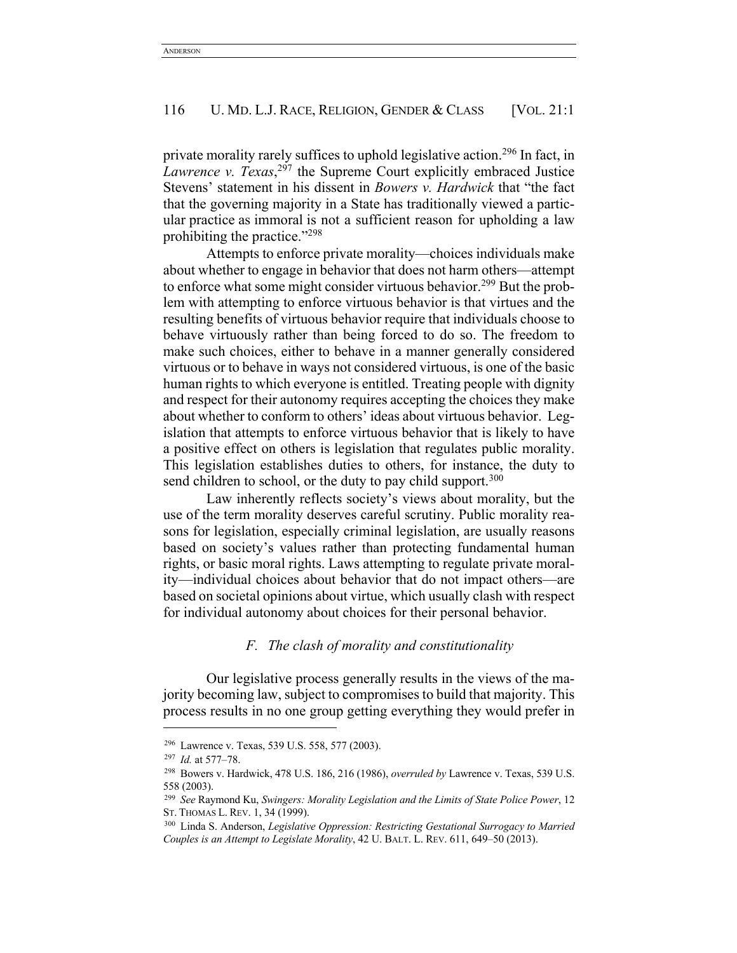private morality rarely suffices to uphold legislative action.296 In fact, in *Lawrence v. Texas*, <sup>297</sup> the Supreme Court explicitly embraced Justice Stevens' statement in his dissent in *Bowers v. Hardwick* that "the fact that the governing majority in a State has traditionally viewed a particular practice as immoral is not a sufficient reason for upholding a law prohibiting the practice."298

Attempts to enforce private morality—choices individuals make about whether to engage in behavior that does not harm others—attempt to enforce what some might consider virtuous behavior.<sup>299</sup> But the problem with attempting to enforce virtuous behavior is that virtues and the resulting benefits of virtuous behavior require that individuals choose to behave virtuously rather than being forced to do so. The freedom to make such choices, either to behave in a manner generally considered virtuous or to behave in ways not considered virtuous, is one of the basic human rights to which everyone is entitled. Treating people with dignity and respect for their autonomy requires accepting the choices they make about whether to conform to others' ideas about virtuous behavior. Legislation that attempts to enforce virtuous behavior that is likely to have a positive effect on others is legislation that regulates public morality. This legislation establishes duties to others, for instance, the duty to send children to school, or the duty to pay child support.<sup>300</sup>

Law inherently reflects society's views about morality, but the use of the term morality deserves careful scrutiny. Public morality reasons for legislation, especially criminal legislation, are usually reasons based on society's values rather than protecting fundamental human rights, or basic moral rights. Laws attempting to regulate private morality—individual choices about behavior that do not impact others—are based on societal opinions about virtue, which usually clash with respect for individual autonomy about choices for their personal behavior.

## *F. The clash of morality and constitutionality*

Our legislative process generally results in the views of the majority becoming law, subject to compromises to build that majority. This process results in no one group getting everything they would prefer in

<sup>296</sup> Lawrence v. Texas, 539 U.S. 558, 577 (2003).

<sup>297</sup> *Id.* at 577–78.

<sup>298</sup> Bowers v. Hardwick, 478 U.S. 186, 216 (1986), *overruled by* Lawrence v. Texas, 539 U.S. 558 (2003).

<sup>299</sup> *See* Raymond Ku, *Swingers: Morality Legislation and the Limits of State Police Power*, 12 ST. THOMAS L. REV. 1, 34 (1999).

<sup>300</sup> Linda S. Anderson, *Legislative Oppression: Restricting Gestational Surrogacy to Married Couples is an Attempt to Legislate Morality*, 42 U. BALT. L. REV. 611, 649–50 (2013).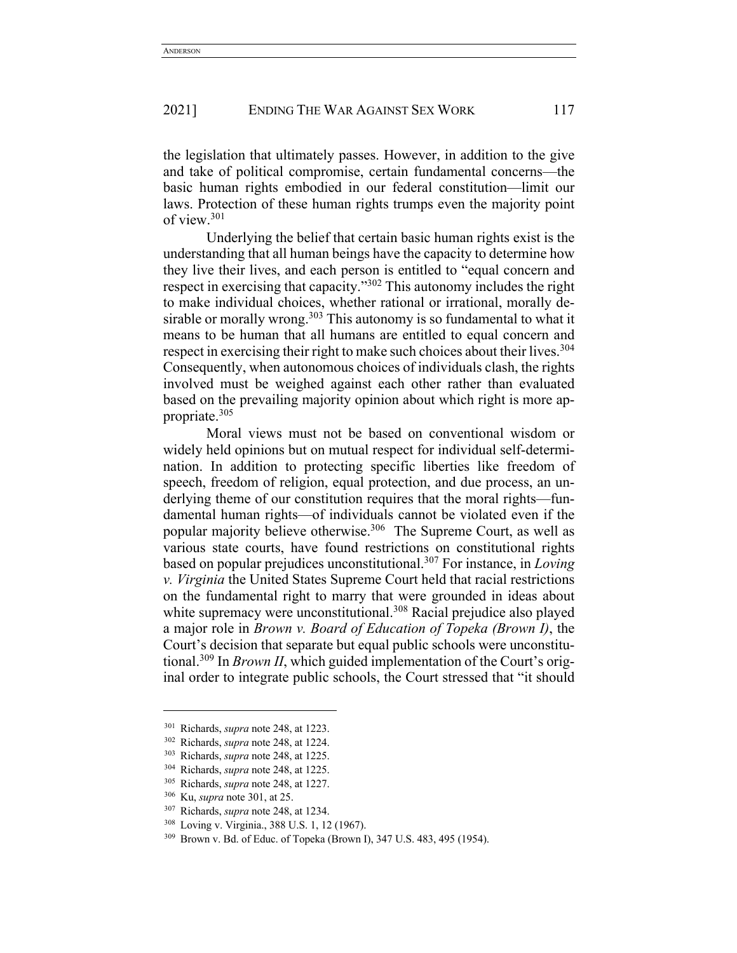the legislation that ultimately passes. However, in addition to the give and take of political compromise, certain fundamental concerns—the basic human rights embodied in our federal constitution—limit our laws. Protection of these human rights trumps even the majority point of view.301

Underlying the belief that certain basic human rights exist is the understanding that all human beings have the capacity to determine how they live their lives, and each person is entitled to "equal concern and respect in exercising that capacity."302 This autonomy includes the right to make individual choices, whether rational or irrational, morally desirable or morally wrong.<sup>303</sup> This autonomy is so fundamental to what it means to be human that all humans are entitled to equal concern and respect in exercising their right to make such choices about their lives.<sup>304</sup> Consequently, when autonomous choices of individuals clash, the rights involved must be weighed against each other rather than evaluated based on the prevailing majority opinion about which right is more appropriate.305

Moral views must not be based on conventional wisdom or widely held opinions but on mutual respect for individual self-determination. In addition to protecting specific liberties like freedom of speech, freedom of religion, equal protection, and due process, an underlying theme of our constitution requires that the moral rights—fundamental human rights—of individuals cannot be violated even if the popular majority believe otherwise.306 The Supreme Court, as well as various state courts, have found restrictions on constitutional rights based on popular prejudices unconstitutional.307 For instance, in *Loving v. Virginia* the United States Supreme Court held that racial restrictions on the fundamental right to marry that were grounded in ideas about white supremacy were unconstitutional.<sup>308</sup> Racial prejudice also played a major role in *Brown v. Board of Education of Topeka (Brown I)*, the Court's decision that separate but equal public schools were unconstitutional.309 In *Brown II*, which guided implementation of the Court's original order to integrate public schools, the Court stressed that "it should

<sup>301</sup> Richards, *supra* note 248, at 1223.

<sup>302</sup> Richards, *supra* note 248, at 1224.

<sup>303</sup> Richards, *supra* note 248, at 1225.

<sup>304</sup> Richards, *supra* note 248, at 1225.

<sup>305</sup> Richards, *supra* note 248, at 1227.

<sup>306</sup> Ku, *supra* note 301, at 25.

<sup>307</sup> Richards, *supra* note 248, at 1234.

<sup>308</sup> Loving v. Virginia., 388 U.S. 1, 12 (1967).

<sup>309</sup> Brown v. Bd. of Educ. of Topeka (Brown I), 347 U.S. 483, 495 (1954).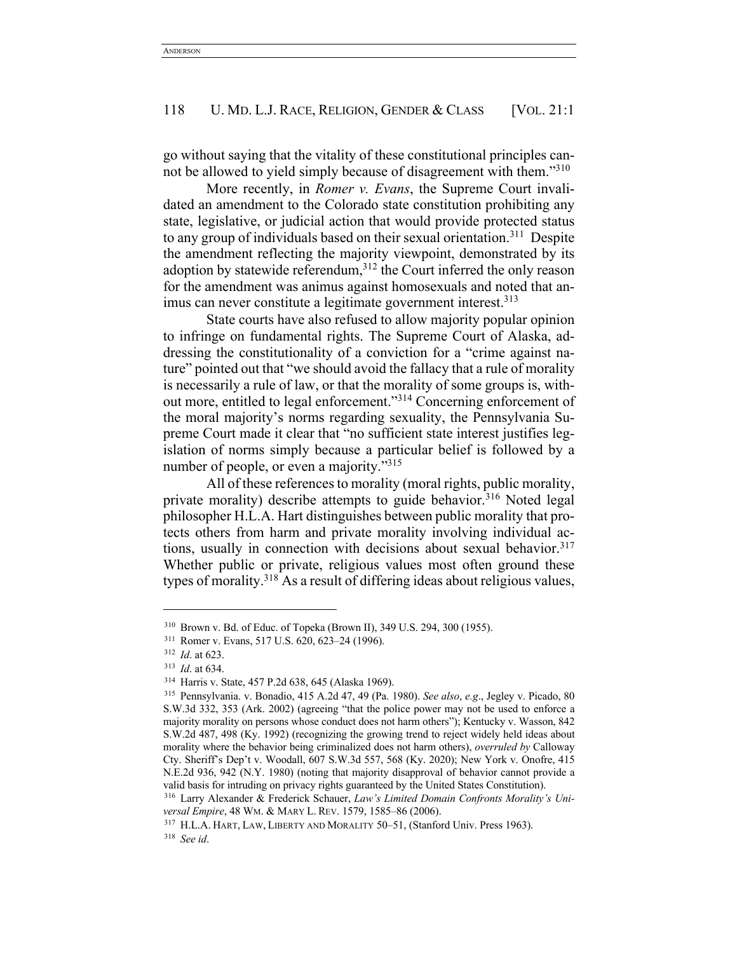go without saying that the vitality of these constitutional principles cannot be allowed to yield simply because of disagreement with them."310

More recently, in *Romer v. Evans*, the Supreme Court invalidated an amendment to the Colorado state constitution prohibiting any state, legislative, or judicial action that would provide protected status to any group of individuals based on their sexual orientation.<sup>311</sup> Despite the amendment reflecting the majority viewpoint, demonstrated by its adoption by statewide referendum, $312$  the Court inferred the only reason for the amendment was animus against homosexuals and noted that animus can never constitute a legitimate government interest.<sup>313</sup>

State courts have also refused to allow majority popular opinion to infringe on fundamental rights. The Supreme Court of Alaska, addressing the constitutionality of a conviction for a "crime against nature" pointed out that "we should avoid the fallacy that a rule of morality is necessarily a rule of law, or that the morality of some groups is, without more, entitled to legal enforcement."314 Concerning enforcement of the moral majority's norms regarding sexuality, the Pennsylvania Supreme Court made it clear that "no sufficient state interest justifies legislation of norms simply because a particular belief is followed by a number of people, or even a majority."<sup>315</sup>

All of these references to morality (moral rights, public morality, private morality) describe attempts to guide behavior.<sup>316</sup> Noted legal philosopher H.L.A. Hart distinguishes between public morality that protects others from harm and private morality involving individual actions, usually in connection with decisions about sexual behavior.<sup>317</sup> Whether public or private, religious values most often ground these types of morality.<sup>318</sup> As a result of differing ideas about religious values,

<sup>310</sup> Brown v. Bd. of Educ. of Topeka (Brown II), 349 U.S. 294, 300 (1955).

<sup>311</sup> Romer v. Evans, 517 U.S. 620, 623–24 (1996).

<sup>&</sup>lt;sup>312</sup> *Id.* at 623.<br><sup>313</sup> *Id.* at 634.

<sup>&</sup>lt;sup>314</sup> Harris v. State, 457 P.2d 638, 645 (Alaska 1969).

<sup>315</sup> Pennsylvania. v. Bonadio, 415 A.2d 47, 49 (Pa. 1980). *See also*, *e.g*., Jegley v. Picado, 80 S.W.3d 332, 353 (Ark. 2002) (agreeing "that the police power may not be used to enforce a majority morality on persons whose conduct does not harm others"); Kentucky v. Wasson, 842 S.W.2d 487, 498 (Ky. 1992) (recognizing the growing trend to reject widely held ideas about morality where the behavior being criminalized does not harm others), *overruled by* Calloway Cty. Sheriff's Dep't v. Woodall, 607 S.W.3d 557, 568 (Ky. 2020); New York v. Onofre, 415 N.E.2d 936, 942 (N.Y. 1980) (noting that majority disapproval of behavior cannot provide a valid basis for intruding on privacy rights guaranteed by the United States Constitution).

<sup>316</sup> Larry Alexander & Frederick Schauer, *Law's Limited Domain Confronts Morality's Universal Empire*, 48 WM. & MARY L. REV. 1579, 1585–86 (2006).

<sup>&</sup>lt;sup>317</sup> H.L.A. HART, LAW, LIBERTY AND MORALITY 50-51, (Stanford Univ. Press 1963). <sup>318</sup> *See id*.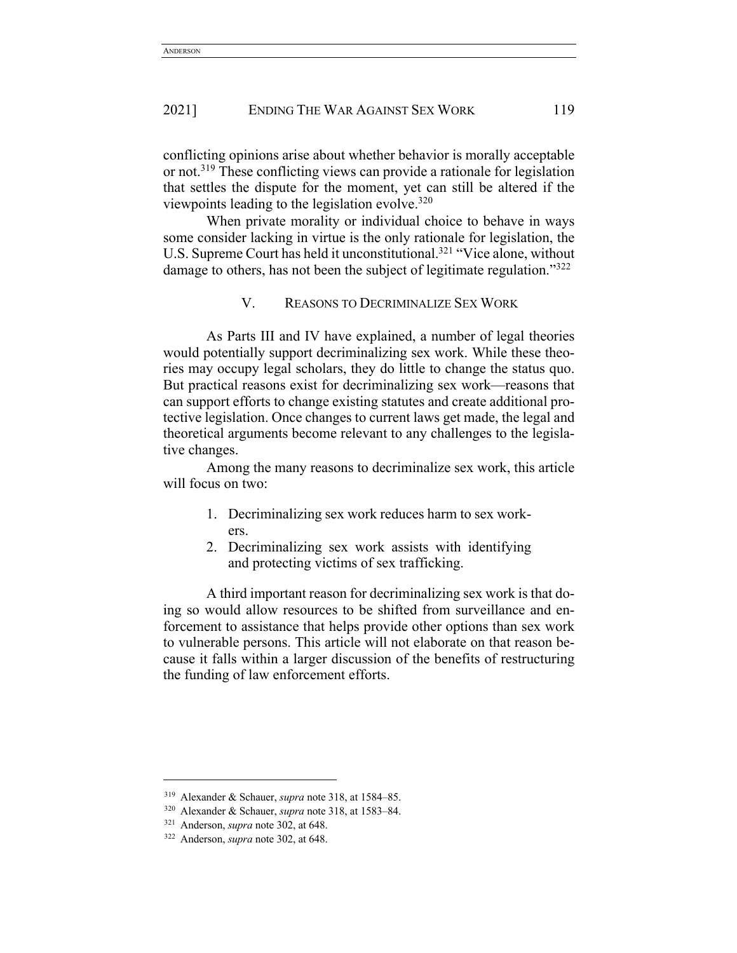conflicting opinions arise about whether behavior is morally acceptable or not.<sup>319</sup> These conflicting views can provide a rationale for legislation that settles the dispute for the moment, yet can still be altered if the viewpoints leading to the legislation evolve. $320$ 

When private morality or individual choice to behave in ways some consider lacking in virtue is the only rationale for legislation, the U.S. Supreme Court has held it unconstitutional.<sup>321</sup> "Vice alone, without damage to others, has not been the subject of legitimate regulation."<sup>322</sup>

#### V. REASONS TO DECRIMINALIZE SEX WORK

As Parts III and IV have explained, a number of legal theories would potentially support decriminalizing sex work. While these theories may occupy legal scholars, they do little to change the status quo. But practical reasons exist for decriminalizing sex work—reasons that can support efforts to change existing statutes and create additional protective legislation. Once changes to current laws get made, the legal and theoretical arguments become relevant to any challenges to the legislative changes.

Among the many reasons to decriminalize sex work, this article will focus on two:

- 1. Decriminalizing sex work reduces harm to sex workers.
- 2. Decriminalizing sex work assists with identifying and protecting victims of sex trafficking.

A third important reason for decriminalizing sex work is that doing so would allow resources to be shifted from surveillance and enforcement to assistance that helps provide other options than sex work to vulnerable persons. This article will not elaborate on that reason because it falls within a larger discussion of the benefits of restructuring the funding of law enforcement efforts.

<sup>319</sup> Alexander & Schauer, *supra* note 318, at 1584–85.

<sup>320</sup> Alexander & Schauer, *supra* note 318, at 1583–84.

<sup>321</sup> Anderson, *supra* note 302, at 648.

<sup>322</sup> Anderson, *supra* note 302, at 648.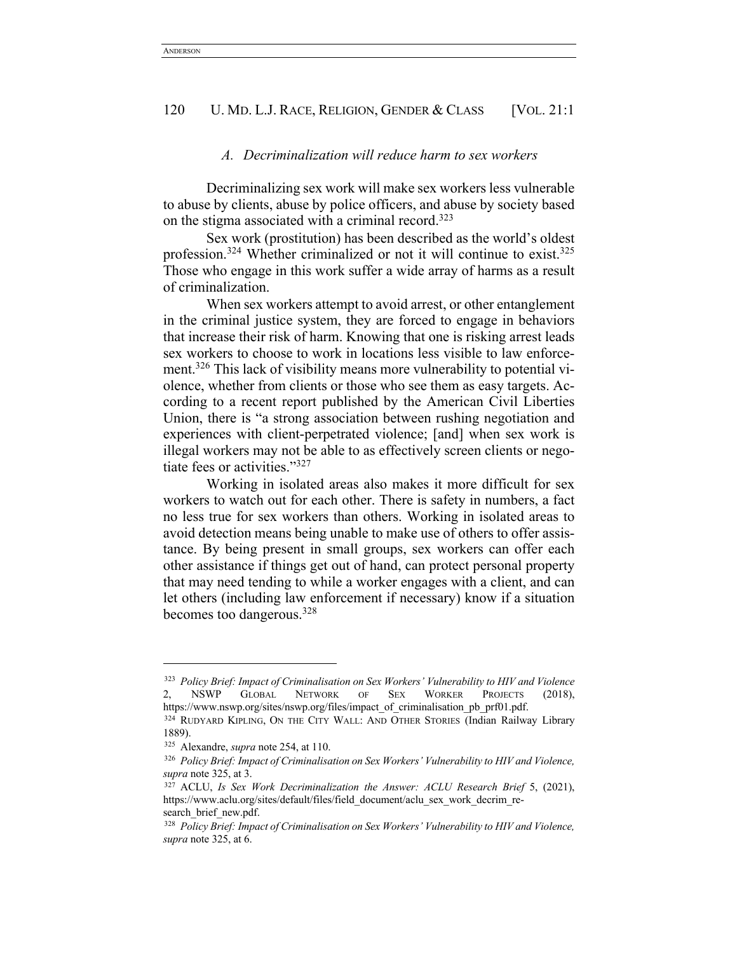### *A. Decriminalization will reduce harm to sex workers*

Decriminalizing sex work will make sex workers less vulnerable to abuse by clients, abuse by police officers, and abuse by society based on the stigma associated with a criminal record.323

Sex work (prostitution) has been described as the world's oldest profession.324 Whether criminalized or not it will continue to exist.325 Those who engage in this work suffer a wide array of harms as a result of criminalization.

When sex workers attempt to avoid arrest, or other entanglement in the criminal justice system, they are forced to engage in behaviors that increase their risk of harm. Knowing that one is risking arrest leads sex workers to choose to work in locations less visible to law enforcement.<sup>326</sup> This lack of visibility means more vulnerability to potential violence, whether from clients or those who see them as easy targets. According to a recent report published by the American Civil Liberties Union, there is "a strong association between rushing negotiation and experiences with client-perpetrated violence; [and] when sex work is illegal workers may not be able to as effectively screen clients or negotiate fees or activities."327

Working in isolated areas also makes it more difficult for sex workers to watch out for each other. There is safety in numbers, a fact no less true for sex workers than others. Working in isolated areas to avoid detection means being unable to make use of others to offer assistance. By being present in small groups, sex workers can offer each other assistance if things get out of hand, can protect personal property that may need tending to while a worker engages with a client, and can let others (including law enforcement if necessary) know if a situation becomes too dangerous.328

<sup>323</sup> *Policy Brief: Impact of Criminalisation on Sex Workers' Vulnerability to HIV and Violence* 2, NSWP GLOBAL NETWORK OF SEX WORKER PROJECTS (2018), https://www.nswp.org/sites/nswp.org/files/impact\_of\_criminalisation\_pb\_prf01.pdf.

<sup>324</sup> RUDYARD KIPLING, ON THE CITY WALL: AND OTHER STORIES (Indian Railway Library 1889).

<sup>325</sup> Alexandre, *supra* note 254, at 110.

<sup>326</sup> *Policy Brief: Impact of Criminalisation on Sex Workers' Vulnerability to HIV and Violence, supra* note 325, at 3.

<sup>&</sup>lt;sup>327</sup> ACLU, *Is Sex Work Decriminalization the Answer: ACLU Research Brief 5*, (2021), https://www.aclu.org/sites/default/files/field\_document/aclu\_sex\_work\_decrim\_research brief new.pdf.

<sup>328</sup> *Policy Brief: Impact of Criminalisation on Sex Workers' Vulnerability to HIV and Violence, supra* note 325, at 6.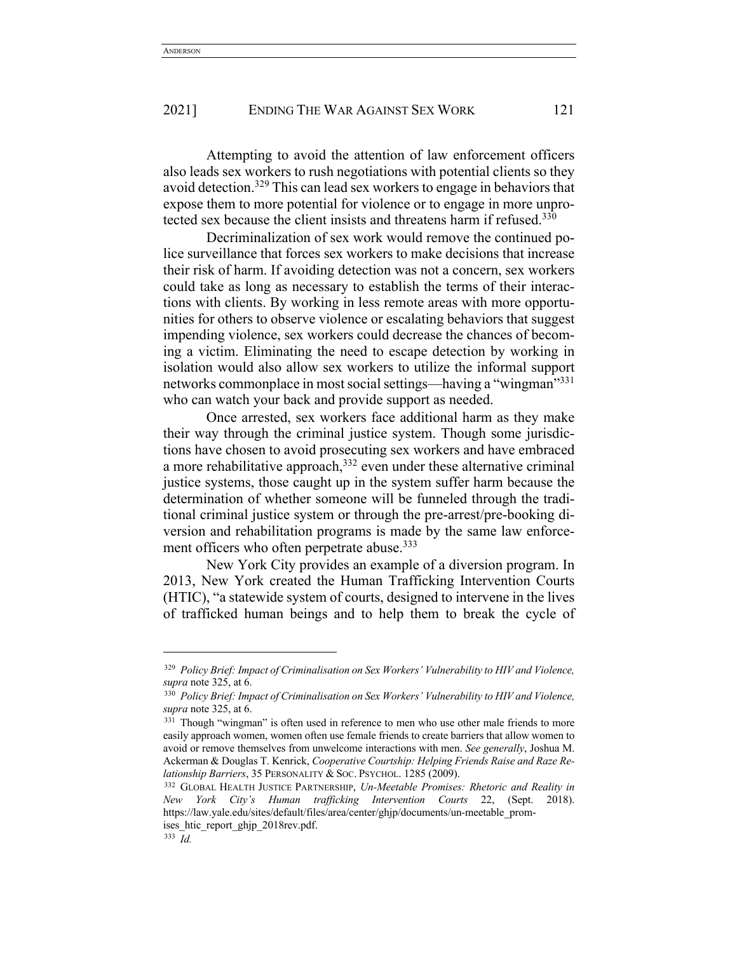Attempting to avoid the attention of law enforcement officers also leads sex workers to rush negotiations with potential clients so they avoid detection.329 This can lead sex workers to engage in behaviors that expose them to more potential for violence or to engage in more unprotected sex because the client insists and threatens harm if refused.<sup>330</sup>

Decriminalization of sex work would remove the continued police surveillance that forces sex workers to make decisions that increase their risk of harm. If avoiding detection was not a concern, sex workers could take as long as necessary to establish the terms of their interactions with clients. By working in less remote areas with more opportunities for others to observe violence or escalating behaviors that suggest impending violence, sex workers could decrease the chances of becoming a victim. Eliminating the need to escape detection by working in isolation would also allow sex workers to utilize the informal support networks commonplace in most social settings—having a "wingman"331 who can watch your back and provide support as needed.

Once arrested, sex workers face additional harm as they make their way through the criminal justice system. Though some jurisdictions have chosen to avoid prosecuting sex workers and have embraced a more rehabilitative approach,  $332$  even under these alternative criminal justice systems, those caught up in the system suffer harm because the determination of whether someone will be funneled through the traditional criminal justice system or through the pre-arrest/pre-booking diversion and rehabilitation programs is made by the same law enforcement officers who often perpetrate abuse.<sup>333</sup>

New York City provides an example of a diversion program. In 2013, New York created the Human Trafficking Intervention Courts (HTIC), "a statewide system of courts, designed to intervene in the lives of trafficked human beings and to help them to break the cycle of

<sup>329</sup> *Policy Brief: Impact of Criminalisation on Sex Workers' Vulnerability to HIV and Violence, supra* note 325, at 6.

<sup>330</sup> *Policy Brief: Impact of Criminalisation on Sex Workers' Vulnerability to HIV and Violence, supra* note 325, at 6.

<sup>&</sup>lt;sup>331</sup> Though "wingman" is often used in reference to men who use other male friends to more easily approach women, women often use female friends to create barriers that allow women to avoid or remove themselves from unwelcome interactions with men. *See generally*, Joshua M. Ackerman & Douglas T. Kenrick, *Cooperative Courtship: Helping Friends Raise and Raze Relationship Barriers*, 35 PERSONALITY & SOC. PSYCHOL. 1285 (2009).

<sup>332</sup> GLOBAL HEALTH JUSTICE PARTNERSHIP, *Un-Meetable Promises: Rhetoric and Reality in New York City's Human trafficking Intervention Courts* 22, (Sept. 2018). https://law.yale.edu/sites/default/files/area/center/ghjp/documents/un-meetable\_promises htic report ghjp 2018rev.pdf.

<sup>333</sup> *Id.*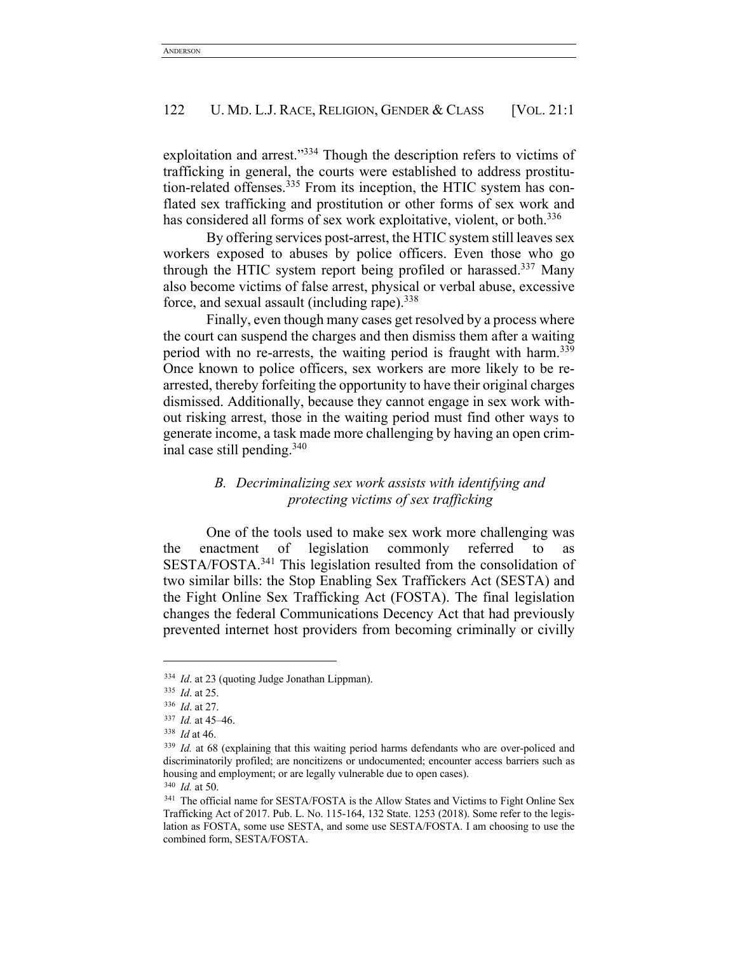exploitation and arrest."334 Though the description refers to victims of trafficking in general, the courts were established to address prostitution-related offenses.<sup>335</sup> From its inception, the HTIC system has conflated sex trafficking and prostitution or other forms of sex work and has considered all forms of sex work exploitative, violent, or both.<sup>336</sup>

By offering services post-arrest, the HTIC system still leaves sex workers exposed to abuses by police officers. Even those who go through the HTIC system report being profiled or harassed.337 Many also become victims of false arrest, physical or verbal abuse, excessive force, and sexual assault (including rape).<sup>338</sup>

Finally, even though many cases get resolved by a process where the court can suspend the charges and then dismiss them after a waiting period with no re-arrests, the waiting period is fraught with harm.<sup>339</sup> Once known to police officers, sex workers are more likely to be rearrested, thereby forfeiting the opportunity to have their original charges dismissed. Additionally, because they cannot engage in sex work without risking arrest, those in the waiting period must find other ways to generate income, a task made more challenging by having an open criminal case still pending.340

# *B. Decriminalizing sex work assists with identifying and protecting victims of sex trafficking*

One of the tools used to make sex work more challenging was the enactment of legislation commonly referred to SESTA/FOSTA.341 This legislation resulted from the consolidation of two similar bills: the Stop Enabling Sex Traffickers Act (SESTA) and the Fight Online Sex Trafficking Act (FOSTA). The final legislation changes the federal Communications Decency Act that had previously prevented internet host providers from becoming criminally or civilly

<sup>334</sup> *Id*. at 23 (quoting Judge Jonathan Lippman).

<sup>335</sup> *Id*. at 25.

<sup>336</sup> *Id*. at 27.

<sup>337</sup> *Id.* at 45–46.

<sup>338</sup> *Id* at 46.

<sup>&</sup>lt;sup>339</sup> *Id.* at 68 (explaining that this waiting period harms defendants who are over-policed and discriminatorily profiled; are noncitizens or undocumented; encounter access barriers such as housing and employment; or are legally vulnerable due to open cases). <sup>340</sup> *Id.* at 50.

<sup>&</sup>lt;sup>341</sup> The official name for SESTA/FOSTA is the Allow States and Victims to Fight Online Sex Trafficking Act of 2017. Pub. L. No. 115-164, 132 State. 1253 (2018). Some refer to the legislation as FOSTA, some use SESTA, and some use SESTA/FOSTA. I am choosing to use the combined form, SESTA/FOSTA.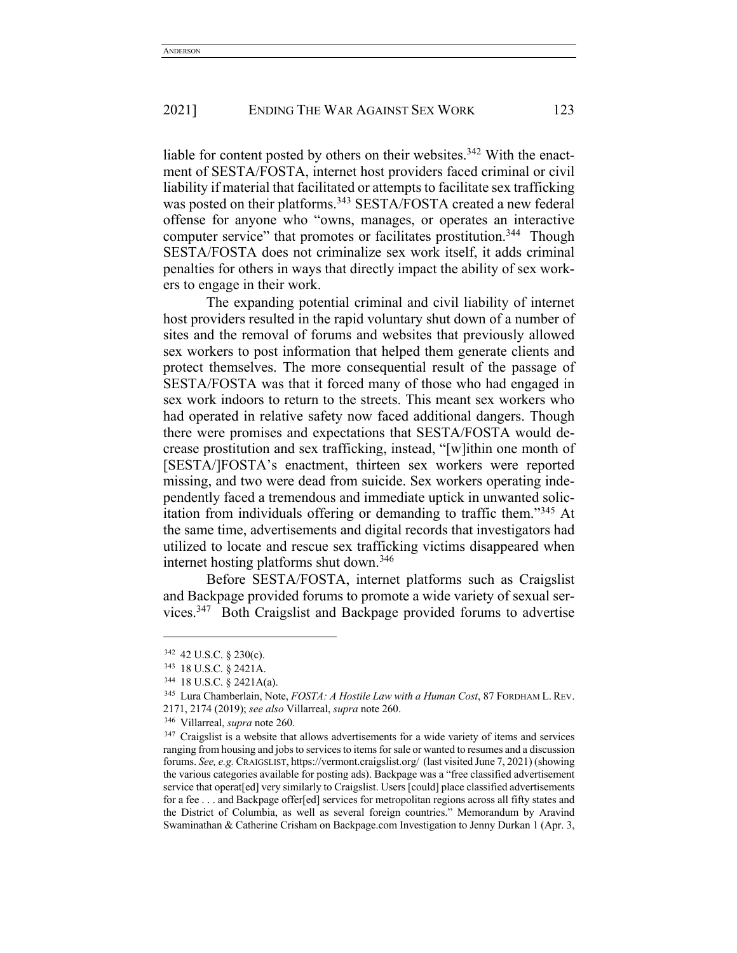liable for content posted by others on their websites.<sup>342</sup> With the enactment of SESTA/FOSTA, internet host providers faced criminal or civil liability if material that facilitated or attempts to facilitate sex trafficking was posted on their platforms.<sup>343</sup> SESTA/FOSTA created a new federal offense for anyone who "owns, manages, or operates an interactive computer service" that promotes or facilitates prostitution.<sup>344</sup> Though SESTA/FOSTA does not criminalize sex work itself, it adds criminal penalties for others in ways that directly impact the ability of sex workers to engage in their work.

The expanding potential criminal and civil liability of internet host providers resulted in the rapid voluntary shut down of a number of sites and the removal of forums and websites that previously allowed sex workers to post information that helped them generate clients and protect themselves. The more consequential result of the passage of SESTA/FOSTA was that it forced many of those who had engaged in sex work indoors to return to the streets. This meant sex workers who had operated in relative safety now faced additional dangers. Though there were promises and expectations that SESTA/FOSTA would decrease prostitution and sex trafficking, instead, "[w]ithin one month of [SESTA/]FOSTA's enactment, thirteen sex workers were reported missing, and two were dead from suicide. Sex workers operating independently faced a tremendous and immediate uptick in unwanted solicitation from individuals offering or demanding to traffic them."345 At the same time, advertisements and digital records that investigators had utilized to locate and rescue sex trafficking victims disappeared when internet hosting platforms shut down.<sup>346</sup>

Before SESTA/FOSTA, internet platforms such as Craigslist and Backpage provided forums to promote a wide variety of sexual services. 347 Both Craigslist and Backpage provided forums to advertise

<sup>342</sup> 42 U.S.C. § 230(c).

<sup>343</sup> 18 U.S.C. § 2421A.

<sup>&</sup>lt;sup>344</sup> 18 U.S.C. § 2421A(a).<br><sup>345</sup> Lura Chamberlain, Note, *FOSTA: A Hostile Law with a Human Cost*, 87 FORDHAM L. REV. 2171, 2174 (2019); *see also* Villarreal, *supra* note 260.

<sup>346</sup> Villarreal, *supra* note 260.

<sup>&</sup>lt;sup>347</sup> Craigslist is a website that allows advertisements for a wide variety of items and services ranging from housing and jobs to services to items for sale or wanted to resumes and a discussion forums. *See, e.g.* CRAIGSLIST, https://vermont.craigslist.org/ (last visited June 7, 2021) (showing the various categories available for posting ads). Backpage was a "free classified advertisement service that operat[ed] very similarly to Craigslist. Users [could] place classified advertisements for a fee . . . and Backpage offer[ed] services for metropolitan regions across all fifty states and the District of Columbia, as well as several foreign countries." Memorandum by Aravind Swaminathan & Catherine Crisham on Backpage.com Investigation to Jenny Durkan 1 (Apr. 3,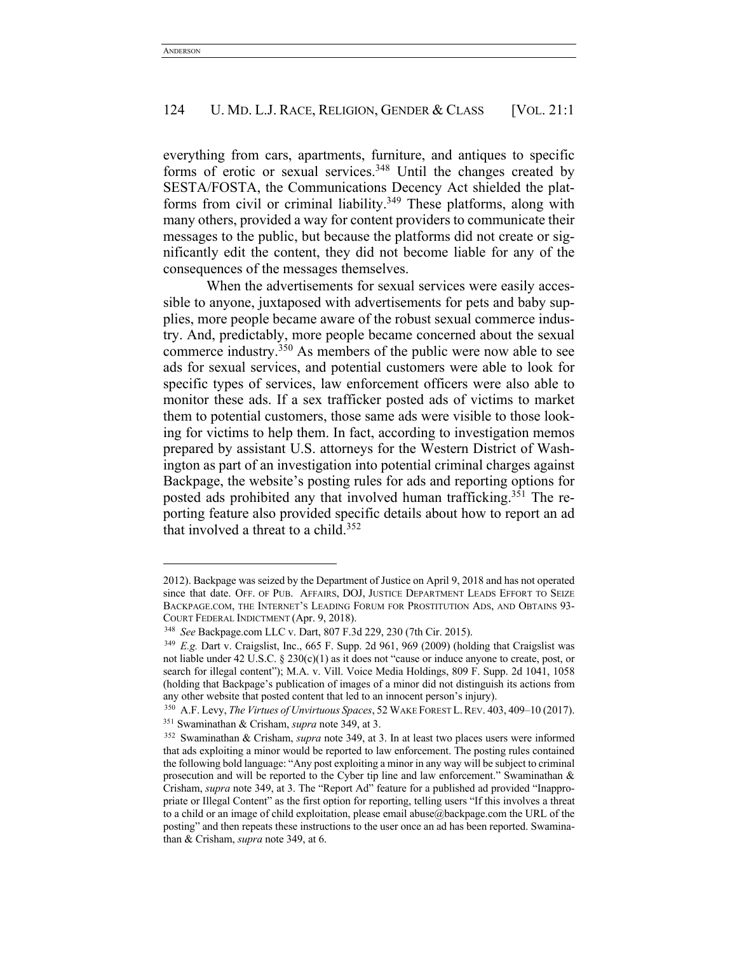everything from cars, apartments, furniture, and antiques to specific forms of erotic or sexual services.<sup>348</sup> Until the changes created by SESTA/FOSTA, the Communications Decency Act shielded the platforms from civil or criminal liability.<sup>349</sup> These platforms, along with many others, provided a way for content providers to communicate their messages to the public, but because the platforms did not create or significantly edit the content, they did not become liable for any of the consequences of the messages themselves.

When the advertisements for sexual services were easily accessible to anyone, juxtaposed with advertisements for pets and baby supplies, more people became aware of the robust sexual commerce industry. And, predictably, more people became concerned about the sexual commerce industry.350 As members of the public were now able to see ads for sexual services, and potential customers were able to look for specific types of services, law enforcement officers were also able to monitor these ads. If a sex trafficker posted ads of victims to market them to potential customers, those same ads were visible to those looking for victims to help them. In fact, according to investigation memos prepared by assistant U.S. attorneys for the Western District of Washington as part of an investigation into potential criminal charges against Backpage, the website's posting rules for ads and reporting options for posted ads prohibited any that involved human trafficking.351 The reporting feature also provided specific details about how to report an ad that involved a threat to a child. $352$ 

<sup>2012).</sup> Backpage was seized by the Department of Justice on April 9, 2018 and has not operated since that date. OFF. OF PUB. AFFAIRS, DOJ, JUSTICE DEPARTMENT LEADS EFFORT TO SEIZE BACKPAGE.COM, THE INTERNET'S LEADING FORUM FOR PROSTITUTION ADS, AND OBTAINS 93- COURT FEDERAL INDICTMENT (Apr. 9, 2018).

<sup>348</sup> *See* Backpage.com LLC v. Dart, 807 F.3d 229, 230 (7th Cir. 2015).

<sup>349</sup> *E.g.* Dart v. Craigslist, Inc., 665 F. Supp. 2d 961, 969 (2009) (holding that Craigslist was not liable under 42 U.S.C. § 230(c)(1) as it does not "cause or induce anyone to create, post, or search for illegal content"); M.A. v. Vill. Voice Media Holdings, 809 F. Supp. 2d 1041, 1058 (holding that Backpage's publication of images of a minor did not distinguish its actions from any other website that posted content that led to an innocent person's injury).

<sup>350</sup> A.F. Levy, *The Virtues of Unvirtuous Spaces*, 52 WAKE FOREST L.REV. 403, 409–10 (2017). <sup>351</sup> Swaminathan & Crisham, *supra* note 349, at 3.

<sup>352</sup> Swaminathan & Crisham, *supra* note 349, at 3. In at least two places users were informed that ads exploiting a minor would be reported to law enforcement. The posting rules contained the following bold language: "Any post exploiting a minor in any way will be subject to criminal prosecution and will be reported to the Cyber tip line and law enforcement." Swaminathan & Crisham, *supra* note 349, at 3. The "Report Ad" feature for a published ad provided "Inappropriate or Illegal Content" as the first option for reporting, telling users "If this involves a threat to a child or an image of child exploitation, please email abuse@backpage.com the URL of the posting" and then repeats these instructions to the user once an ad has been reported. Swaminathan & Crisham, *supra* note 349, at 6.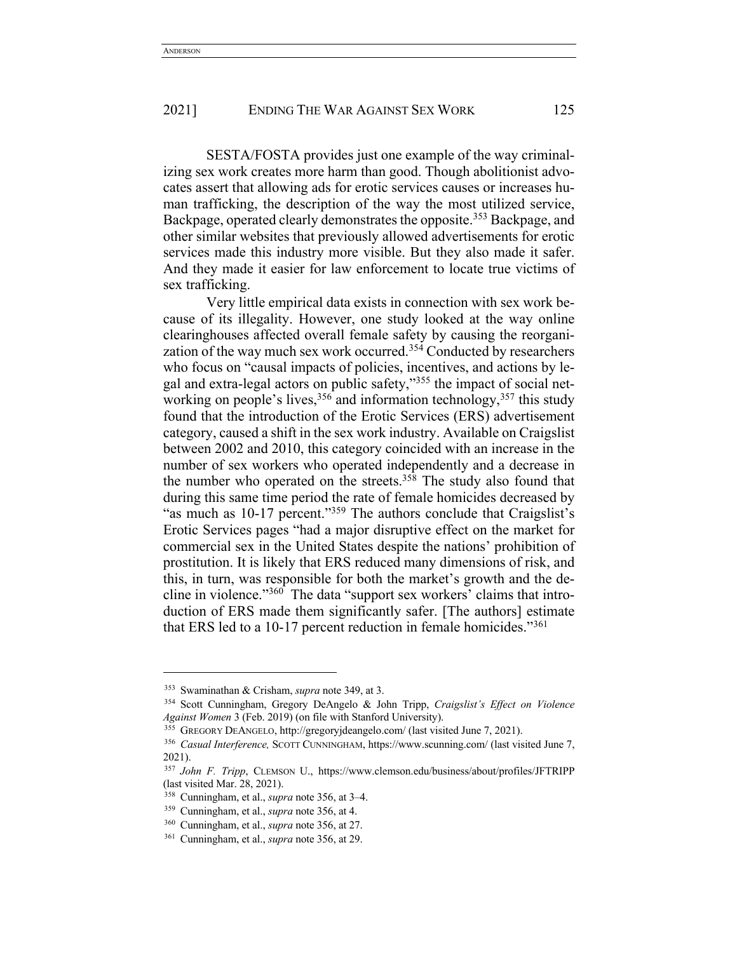SESTA/FOSTA provides just one example of the way criminalizing sex work creates more harm than good. Though abolitionist advocates assert that allowing ads for erotic services causes or increases human trafficking, the description of the way the most utilized service, Backpage, operated clearly demonstrates the opposite.<sup>353</sup> Backpage, and other similar websites that previously allowed advertisements for erotic services made this industry more visible. But they also made it safer. And they made it easier for law enforcement to locate true victims of sex trafficking.

Very little empirical data exists in connection with sex work because of its illegality. However, one study looked at the way online clearinghouses affected overall female safety by causing the reorganization of the way much sex work occurred.354 Conducted by researchers who focus on "causal impacts of policies, incentives, and actions by legal and extra-legal actors on public safety,"355 the impact of social networking on people's lives,  $356$  and information technology,  $357$  this study found that the introduction of the Erotic Services (ERS) advertisement category, caused a shift in the sex work industry. Available on Craigslist between 2002 and 2010, this category coincided with an increase in the number of sex workers who operated independently and a decrease in the number who operated on the streets.<sup>358</sup> The study also found that during this same time period the rate of female homicides decreased by "as much as 10-17 percent."359 The authors conclude that Craigslist's Erotic Services pages "had a major disruptive effect on the market for commercial sex in the United States despite the nations' prohibition of prostitution. It is likely that ERS reduced many dimensions of risk, and this, in turn, was responsible for both the market's growth and the decline in violence."360 The data "support sex workers' claims that introduction of ERS made them significantly safer. [The authors] estimate that ERS led to a 10-17 percent reduction in female homicides."361

<sup>353</sup> Swaminathan & Crisham, *supra* note 349, at 3.

<sup>354</sup> Scott Cunningham, Gregory DeAngelo & John Tripp, *Craigslist's Effect on Violence Against Women* 3 (Feb. 2019) (on file with Stanford University).

<sup>355</sup> GREGORY DEANGELO, http://gregoryjdeangelo.com/ (last visited June 7, 2021).

<sup>356</sup> *Casual Interference,* SCOTT CUNNINGHAM, https://www.scunning.com/ (last visited June 7, 2021).

<sup>357</sup> *John F. Tripp*, CLEMSON U., https://www.clemson.edu/business/about/profiles/JFTRIPP (last visited Mar. 28, 2021).

<sup>358</sup> Cunningham, et al., *supra* note 356, at 3–4.

<sup>359</sup> Cunningham, et al., *supra* note 356, at 4.

<sup>360</sup> Cunningham, et al., *supra* note 356, at 27.

<sup>361</sup> Cunningham, et al., *supra* note 356, at 29.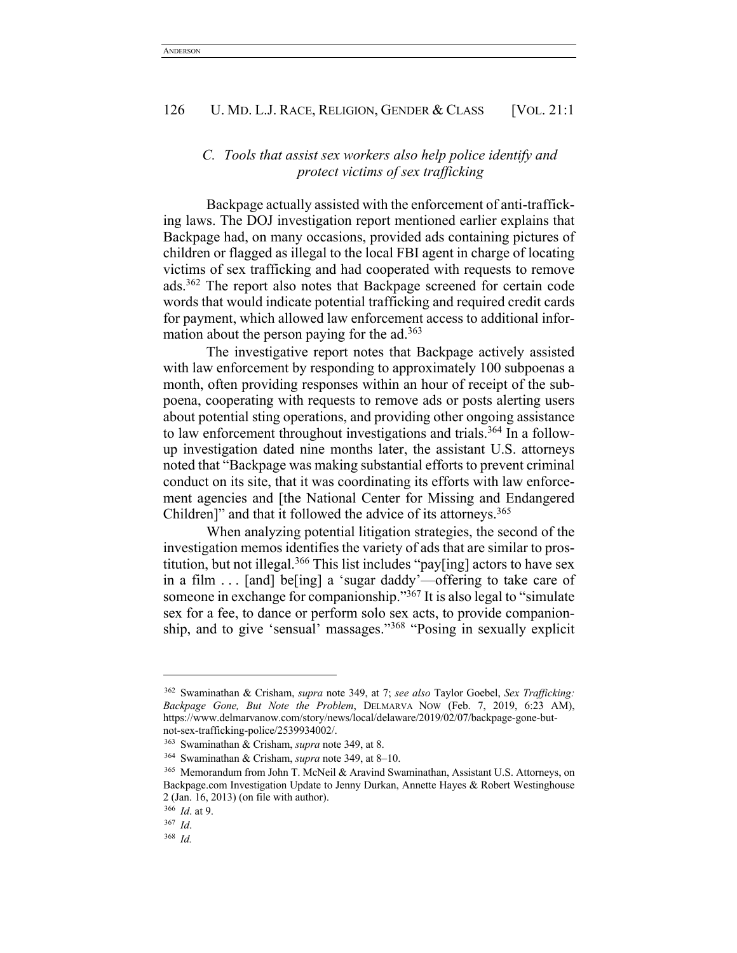# *C. Tools that assist sex workers also help police identify and protect victims of sex trafficking*

Backpage actually assisted with the enforcement of anti-trafficking laws. The DOJ investigation report mentioned earlier explains that Backpage had, on many occasions, provided ads containing pictures of children or flagged as illegal to the local FBI agent in charge of locating victims of sex trafficking and had cooperated with requests to remove ads.362 The report also notes that Backpage screened for certain code words that would indicate potential trafficking and required credit cards for payment, which allowed law enforcement access to additional information about the person paying for the ad.<sup>363</sup>

The investigative report notes that Backpage actively assisted with law enforcement by responding to approximately 100 subpoenas a month, often providing responses within an hour of receipt of the subpoena, cooperating with requests to remove ads or posts alerting users about potential sting operations, and providing other ongoing assistance to law enforcement throughout investigations and trials.364 In a followup investigation dated nine months later, the assistant U.S. attorneys noted that "Backpage was making substantial efforts to prevent criminal conduct on its site, that it was coordinating its efforts with law enforcement agencies and [the National Center for Missing and Endangered Children]" and that it followed the advice of its attorneys.<sup>365</sup>

When analyzing potential litigation strategies, the second of the investigation memos identifies the variety of ads that are similar to prostitution, but not illegal.366 This list includes "pay[ing] actors to have sex in a film . . . [and] be[ing] a 'sugar daddy'—offering to take care of someone in exchange for companionship."<sup>367</sup> It is also legal to "simulate sex for a fee, to dance or perform solo sex acts, to provide companionship, and to give 'sensual' massages."368 "Posing in sexually explicit

<sup>362</sup> Swaminathan & Crisham, *supra* note 349, at 7; *see also* Taylor Goebel, *Sex Trafficking: Backpage Gone, But Note the Problem*, DELMARVA NOW (Feb. 7, 2019, 6:23 AM), https://www.delmarvanow.com/story/news/local/delaware/2019/02/07/backpage-gone-butnot-sex-trafficking-police/2539934002/.

<sup>363</sup> Swaminathan & Crisham, *supra* note 349, at 8.

<sup>364</sup> Swaminathan & Crisham, *supra* note 349, at 8–10.

<sup>365</sup> Memorandum from John T. McNeil & Aravind Swaminathan, Assistant U.S. Attorneys, on Backpage.com Investigation Update to Jenny Durkan, Annette Hayes & Robert Westinghouse 2 (Jan. 16, 2013) (on file with author).

<sup>366</sup> *Id*. at 9.

<sup>367</sup> *Id*. 368 *Id.*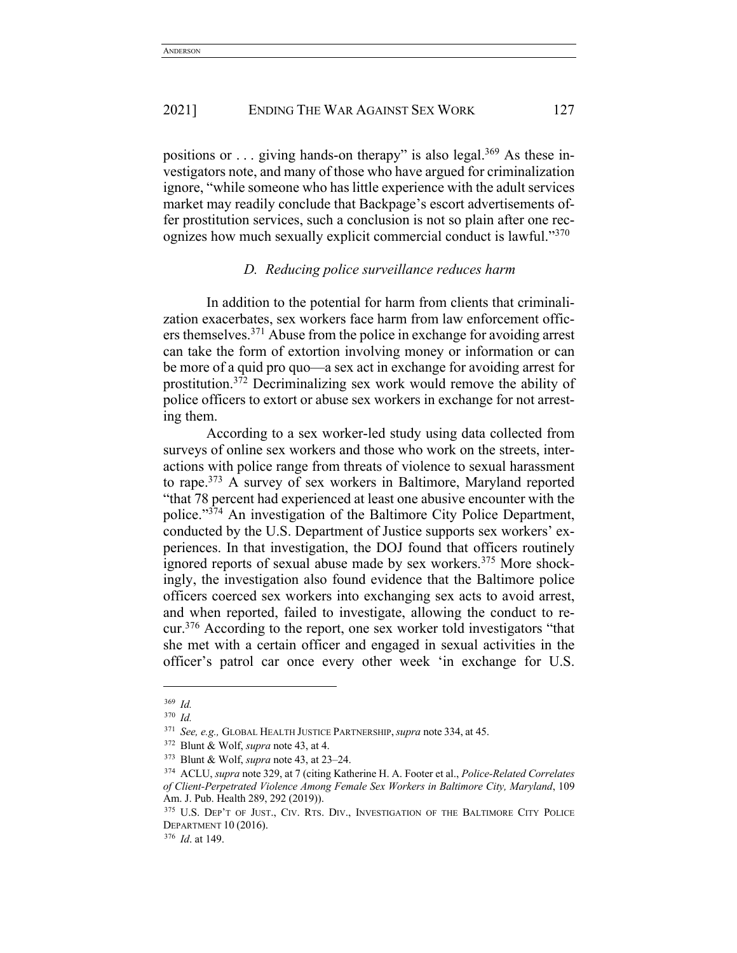positions or  $\ldots$  giving hands-on therapy" is also legal.<sup>369</sup> As these investigators note, and many of those who have argued for criminalization ignore, "while someone who has little experience with the adult services market may readily conclude that Backpage's escort advertisements offer prostitution services, such a conclusion is not so plain after one recognizes how much sexually explicit commercial conduct is lawful."<sup>370</sup>

## *D. Reducing police surveillance reduces harm*

In addition to the potential for harm from clients that criminalization exacerbates, sex workers face harm from law enforcement officers themselves.371 Abuse from the police in exchange for avoiding arrest can take the form of extortion involving money or information or can be more of a quid pro quo—a sex act in exchange for avoiding arrest for prostitution.372 Decriminalizing sex work would remove the ability of police officers to extort or abuse sex workers in exchange for not arresting them.

According to a sex worker-led study using data collected from surveys of online sex workers and those who work on the streets, interactions with police range from threats of violence to sexual harassment to rape.373 A survey of sex workers in Baltimore, Maryland reported "that 78 percent had experienced at least one abusive encounter with the police."<sup>374</sup> An investigation of the Baltimore City Police Department, conducted by the U.S. Department of Justice supports sex workers' experiences. In that investigation, the DOJ found that officers routinely ignored reports of sexual abuse made by sex workers.<sup>375</sup> More shockingly, the investigation also found evidence that the Baltimore police officers coerced sex workers into exchanging sex acts to avoid arrest, and when reported, failed to investigate, allowing the conduct to recur.376 According to the report, one sex worker told investigators "that she met with a certain officer and engaged in sexual activities in the officer's patrol car once every other week 'in exchange for U.S.

<sup>369</sup> *Id.*

<sup>370</sup> *Id.*

<sup>371</sup> *See, e.g.,* GLOBAL HEALTH JUSTICE PARTNERSHIP,*supra* note 334, at 45.

<sup>372</sup> Blunt & Wolf, *supra* note 43, at 4.

<sup>373</sup> Blunt & Wolf, *supra* note 43, at 23–24.

<sup>374</sup> ACLU, *supra* note 329, at 7 (citing Katherine H. A. Footer et al., *Police-Related Correlates of Client-Perpetrated Violence Among Female Sex Workers in Baltimore City, Maryland*, 109 Am. J. Pub. Health 289, 292 (2019)).<br><sup>375</sup> U.S. Dep't of Just., Civ. Rts. Div., Investigation of the Baltimore City Police

DEPARTMENT 10 (2016).

<sup>376</sup> *Id*. at 149.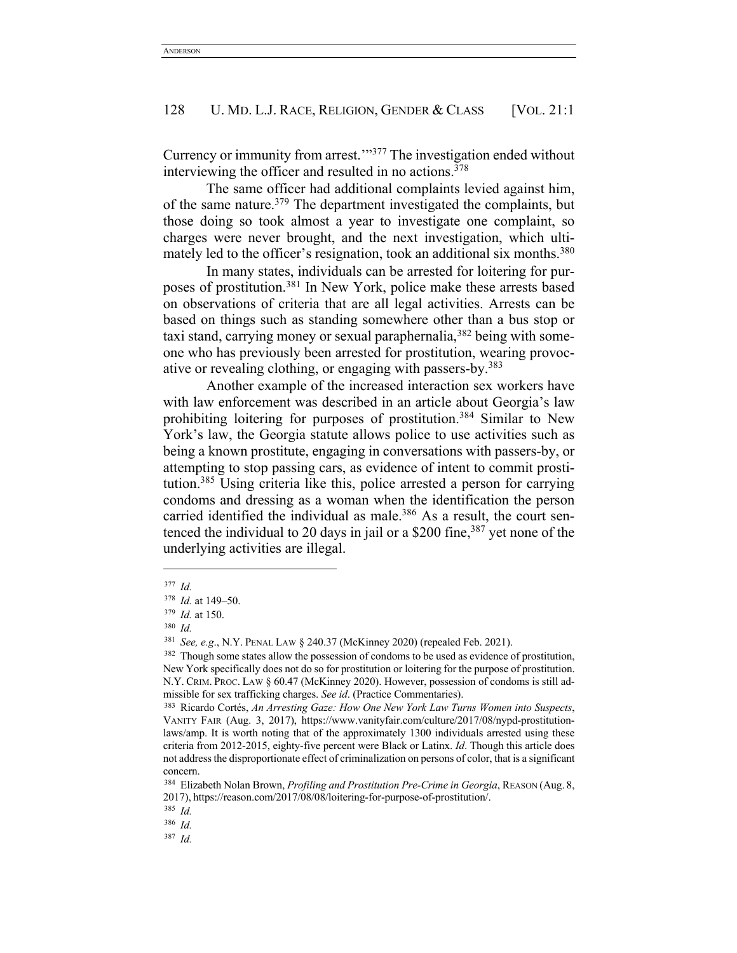Currency or immunity from arrest.'"377 The investigation ended without interviewing the officer and resulted in no actions.<sup>378</sup>

The same officer had additional complaints levied against him, of the same nature.379 The department investigated the complaints, but those doing so took almost a year to investigate one complaint, so charges were never brought, and the next investigation, which ultimately led to the officer's resignation, took an additional six months.<sup>380</sup>

In many states, individuals can be arrested for loitering for purposes of prostitution.381 In New York, police make these arrests based on observations of criteria that are all legal activities. Arrests can be based on things such as standing somewhere other than a bus stop or taxi stand, carrying money or sexual paraphernalia,  $382$  being with someone who has previously been arrested for prostitution, wearing provocative or revealing clothing, or engaging with passers-by.<sup>383</sup>

Another example of the increased interaction sex workers have with law enforcement was described in an article about Georgia's law prohibiting loitering for purposes of prostitution.384 Similar to New York's law, the Georgia statute allows police to use activities such as being a known prostitute, engaging in conversations with passers-by, or attempting to stop passing cars, as evidence of intent to commit prostitution.385 Using criteria like this, police arrested a person for carrying condoms and dressing as a woman when the identification the person carried identified the individual as male.<sup>386</sup> As a result, the court sentenced the individual to 20 days in jail or a \$200 fine,<sup>387</sup> yet none of the underlying activities are illegal.

<sup>377</sup> *Id.*

<sup>378</sup> *Id.* at 149–50.

<sup>379</sup> *Id.* at 150.

<sup>380</sup> *Id.*

<sup>381</sup> *See, e.g*., N.Y. PENAL LAW § 240.37 (McKinney 2020) (repealed Feb. 2021).

<sup>&</sup>lt;sup>382</sup> Though some states allow the possession of condoms to be used as evidence of prostitution, New York specifically does not do so for prostitution or loitering for the purpose of prostitution. N.Y. CRIM. PROC. LAW § 60.47 (McKinney 2020). However, possession of condoms is still admissible for sex trafficking charges. *See id*. (Practice Commentaries).

<sup>383</sup> Ricardo Cortés, *An Arresting Gaze: How One New York Law Turns Women into Suspects*, VANITY FAIR (Aug. 3, 2017), https://www.vanityfair.com/culture/2017/08/nypd-prostitutionlaws/amp. It is worth noting that of the approximately 1300 individuals arrested using these criteria from 2012-2015, eighty-five percent were Black or Latinx. *Id*. Though this article does not address the disproportionate effect of criminalization on persons of color, that is a significant concern.

<sup>384</sup> Elizabeth Nolan Brown, *Profiling and Prostitution Pre-Crime in Georgia*, REASON (Aug. 8, 2017), https://reason.com/2017/08/08/loitering-for-purpose-of-prostitution/.

<sup>385</sup> *Id.*

<sup>386</sup> *Id.*

<sup>387</sup> *Id.*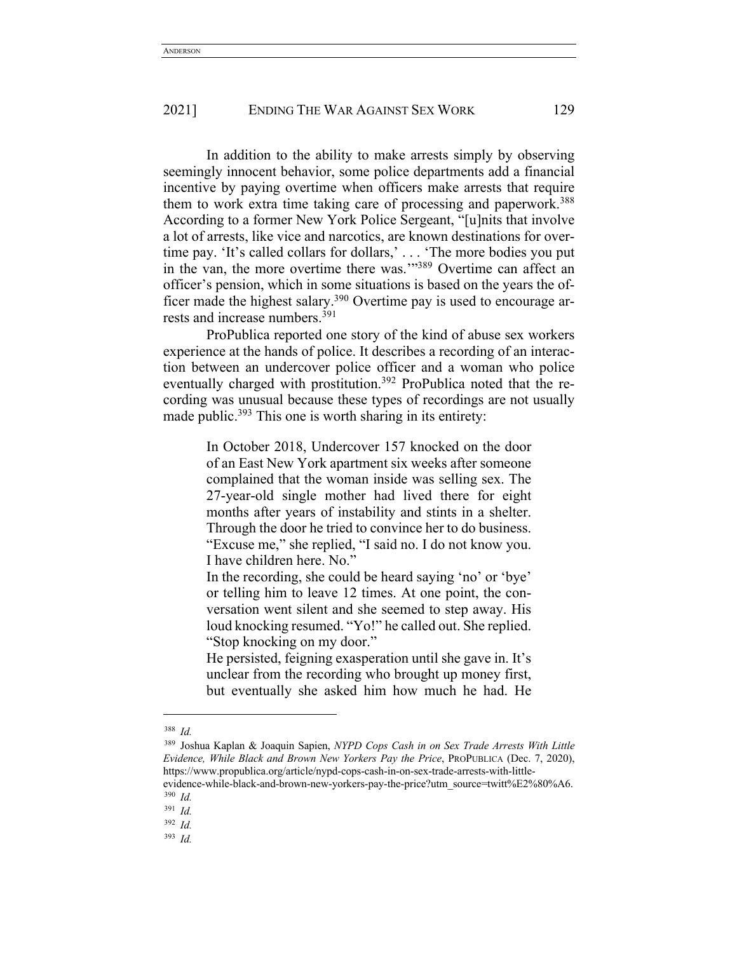In addition to the ability to make arrests simply by observing seemingly innocent behavior, some police departments add a financial incentive by paying overtime when officers make arrests that require them to work extra time taking care of processing and paperwork.<sup>388</sup> According to a former New York Police Sergeant, "[u]nits that involve a lot of arrests, like vice and narcotics, are known destinations for overtime pay. 'It's called collars for dollars,' . . . 'The more bodies you put in the van, the more overtime there was.'"389 Overtime can affect an officer's pension, which in some situations is based on the years the officer made the highest salary.<sup>390</sup> Overtime pay is used to encourage arrests and increase numbers.391

ProPublica reported one story of the kind of abuse sex workers experience at the hands of police. It describes a recording of an interaction between an undercover police officer and a woman who police eventually charged with prostitution.<sup>392</sup> ProPublica noted that the recording was unusual because these types of recordings are not usually made public.<sup>393</sup> This one is worth sharing in its entirety:

> In October 2018, Undercover 157 knocked on the door of an East New York apartment six weeks after someone complained that the woman inside was selling sex. The 27-year-old single mother had lived there for eight months after years of instability and stints in a shelter. Through the door he tried to convince her to do business. "Excuse me," she replied, "I said no. I do not know you. I have children here. No."

> In the recording, she could be heard saying 'no' or 'bye' or telling him to leave 12 times. At one point, the conversation went silent and she seemed to step away. His loud knocking resumed. "Yo!" he called out. She replied. "Stop knocking on my door."

> He persisted, feigning exasperation until she gave in. It's unclear from the recording who brought up money first, but eventually she asked him how much he had. He

<sup>389</sup> Joshua Kaplan & Joaquin Sapien, *NYPD Cops Cash in on Sex Trade Arrests With Little Evidence, While Black and Brown New Yorkers Pay the Price*, PROPUBLICA (Dec. 7, 2020), https://www.propublica.org/article/nypd-cops-cash-in-on-sex-trade-arrests-with-little-

evidence-while-black-and-brown-new-yorkers-pay-the-price?utm\_source=twitt%E2%80%A6. <sup>390</sup> *Id.*

<sup>388</sup> *Id.*

<sup>391</sup> *Id.*

<sup>392</sup> *Id.*

<sup>393</sup> *Id.*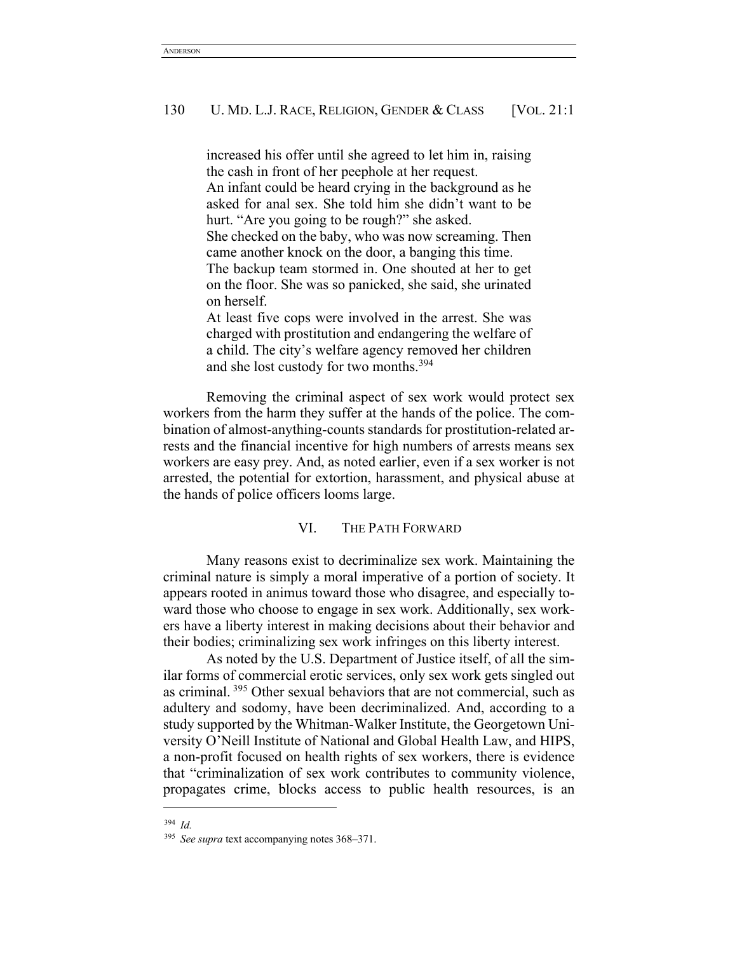increased his offer until she agreed to let him in, raising the cash in front of her peephole at her request. An infant could be heard crying in the background as he asked for anal sex. She told him she didn't want to be hurt. "Are you going to be rough?" she asked. She checked on the baby, who was now screaming. Then came another knock on the door, a banging this time. The backup team stormed in. One shouted at her to get on the floor. She was so panicked, she said, she urinated on herself. At least five cops were involved in the arrest. She was

charged with prostitution and endangering the welfare of a child. The city's welfare agency removed her children and she lost custody for two months.394

Removing the criminal aspect of sex work would protect sex workers from the harm they suffer at the hands of the police. The combination of almost-anything-counts standards for prostitution-related arrests and the financial incentive for high numbers of arrests means sex workers are easy prey. And, as noted earlier, even if a sex worker is not arrested, the potential for extortion, harassment, and physical abuse at the hands of police officers looms large.

## VI. THE PATH FORWARD

Many reasons exist to decriminalize sex work. Maintaining the criminal nature is simply a moral imperative of a portion of society. It appears rooted in animus toward those who disagree, and especially toward those who choose to engage in sex work. Additionally, sex workers have a liberty interest in making decisions about their behavior and their bodies; criminalizing sex work infringes on this liberty interest.

As noted by the U.S. Department of Justice itself, of all the similar forms of commercial erotic services, only sex work gets singled out as criminal. <sup>395</sup> Other sexual behaviors that are not commercial, such as adultery and sodomy, have been decriminalized. And, according to a study supported by the Whitman-Walker Institute, the Georgetown University O'Neill Institute of National and Global Health Law, and HIPS, a non-profit focused on health rights of sex workers, there is evidence that "criminalization of sex work contributes to community violence, propagates crime, blocks access to public health resources, is an

<sup>394</sup> *Id.*

<sup>395</sup> *See supra* text accompanying notes 368–371.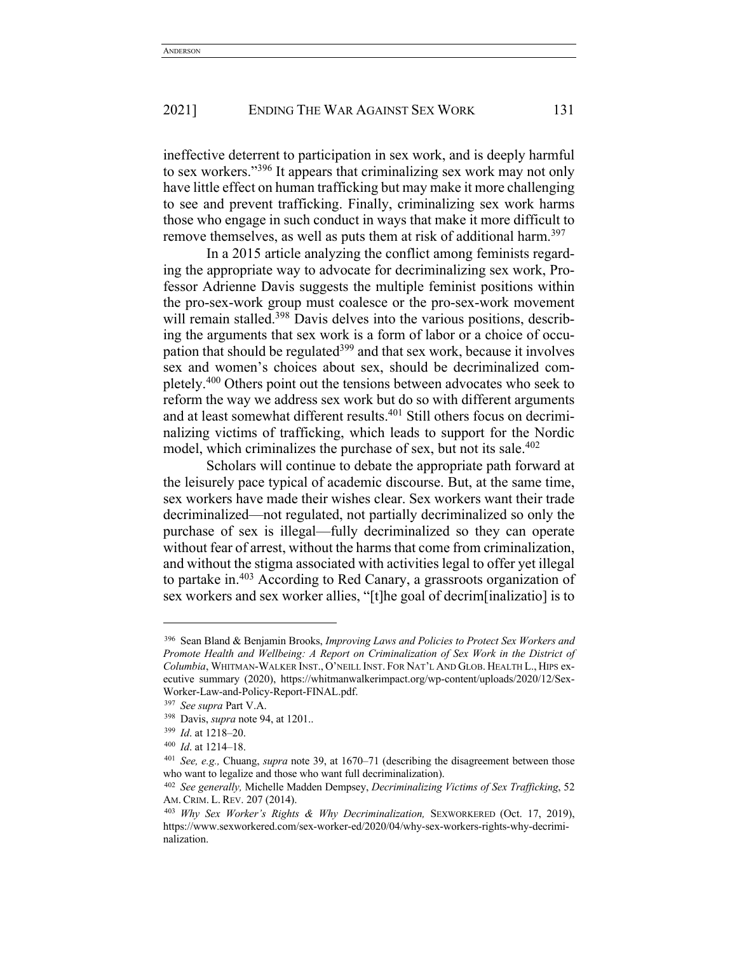ineffective deterrent to participation in sex work, and is deeply harmful to sex workers."396 It appears that criminalizing sex work may not only have little effect on human trafficking but may make it more challenging to see and prevent trafficking. Finally, criminalizing sex work harms those who engage in such conduct in ways that make it more difficult to remove themselves, as well as puts them at risk of additional harm.<sup>397</sup>

In a 2015 article analyzing the conflict among feminists regarding the appropriate way to advocate for decriminalizing sex work, Professor Adrienne Davis suggests the multiple feminist positions within the pro-sex-work group must coalesce or the pro-sex-work movement will remain stalled.<sup>398</sup> Davis delves into the various positions, describing the arguments that sex work is a form of labor or a choice of occupation that should be regulated<sup>399</sup> and that sex work, because it involves sex and women's choices about sex, should be decriminalized completely.400 Others point out the tensions between advocates who seek to reform the way we address sex work but do so with different arguments and at least somewhat different results.<sup>401</sup> Still others focus on decriminalizing victims of trafficking, which leads to support for the Nordic model, which criminalizes the purchase of sex, but not its sale.<sup> $402$ </sup>

Scholars will continue to debate the appropriate path forward at the leisurely pace typical of academic discourse. But, at the same time, sex workers have made their wishes clear. Sex workers want their trade decriminalized—not regulated, not partially decriminalized so only the purchase of sex is illegal—fully decriminalized so they can operate without fear of arrest, without the harms that come from criminalization, and without the stigma associated with activities legal to offer yet illegal to partake in.<sup>403</sup> According to Red Canary, a grassroots organization of sex workers and sex worker allies, "[t]he goal of decrim[inalizatio] is to

<sup>396</sup> Sean Bland & Benjamin Brooks, *Improving Laws and Policies to Protect Sex Workers and Promote Health and Wellbeing: A Report on Criminalization of Sex Work in the District of Columbia*, WHITMAN-WALKER INST., O'NEILL INST. FOR NAT'L AND GLOB. HEALTH L., HIPS executive summary (2020), https://whitmanwalkerimpact.org/wp-content/uploads/2020/12/Sex-Worker-Law-and-Policy-Report-FINAL.pdf. 397 *See supra* Part V.A.

<sup>398</sup> Davis, *supra* note 94, at 1201..

<sup>399</sup> *Id*. at 1218–20.

<sup>400</sup> *Id*. at 1214–18.

<sup>401</sup> *See, e.g.,* Chuang, *supra* note 39, at 1670–71 (describing the disagreement between those who want to legalize and those who want full decriminalization).

<sup>402</sup> *See generally,* Michelle Madden Dempsey, *Decriminalizing Victims of Sex Trafficking*, 52 AM. CRIM. L. REV. 207 (2014).

<sup>403</sup> *Why Sex Worker's Rights & Why Decriminalization,* SEXWORKERED (Oct. 17, 2019), https://www.sexworkered.com/sex-worker-ed/2020/04/why-sex-workers-rights-why-decriminalization.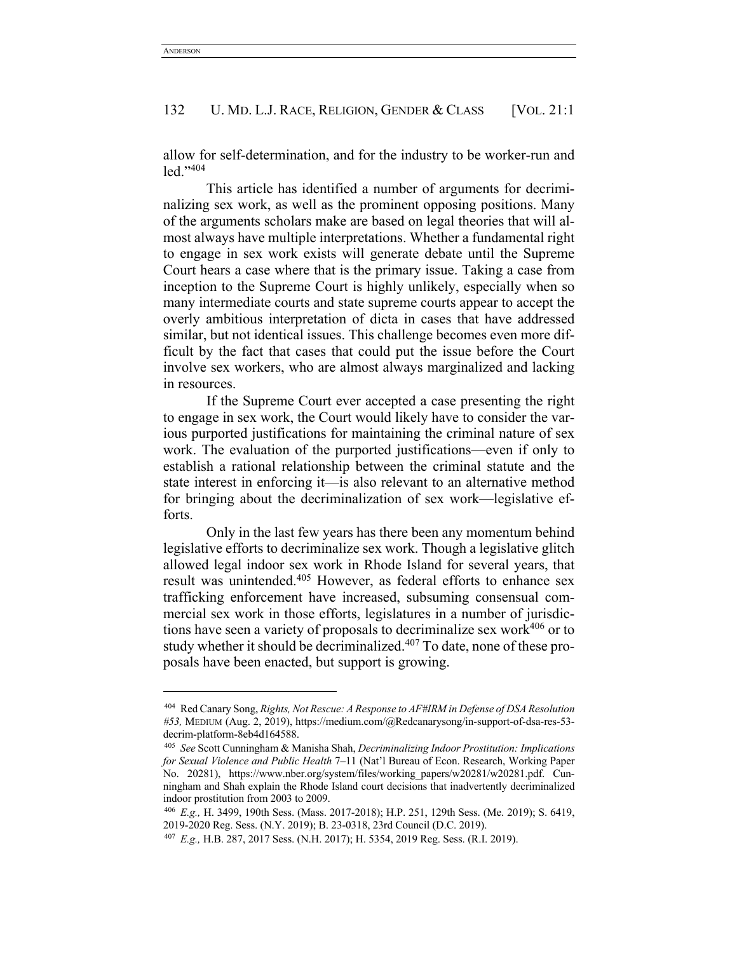allow for self-determination, and for the industry to be worker-run and led."404

This article has identified a number of arguments for decriminalizing sex work, as well as the prominent opposing positions. Many of the arguments scholars make are based on legal theories that will almost always have multiple interpretations. Whether a fundamental right to engage in sex work exists will generate debate until the Supreme Court hears a case where that is the primary issue. Taking a case from inception to the Supreme Court is highly unlikely, especially when so many intermediate courts and state supreme courts appear to accept the overly ambitious interpretation of dicta in cases that have addressed similar, but not identical issues. This challenge becomes even more difficult by the fact that cases that could put the issue before the Court involve sex workers, who are almost always marginalized and lacking in resources.

If the Supreme Court ever accepted a case presenting the right to engage in sex work, the Court would likely have to consider the various purported justifications for maintaining the criminal nature of sex work. The evaluation of the purported justifications—even if only to establish a rational relationship between the criminal statute and the state interest in enforcing it—is also relevant to an alternative method for bringing about the decriminalization of sex work—legislative efforts.

Only in the last few years has there been any momentum behind legislative efforts to decriminalize sex work. Though a legislative glitch allowed legal indoor sex work in Rhode Island for several years, that result was unintended.<sup>405</sup> However, as federal efforts to enhance sex trafficking enforcement have increased, subsuming consensual commercial sex work in those efforts, legislatures in a number of jurisdictions have seen a variety of proposals to decriminalize sex work $406$  or to study whether it should be decriminalized.<sup>407</sup> To date, none of these proposals have been enacted, but support is growing.

<sup>404</sup> Red Canary Song, *Rights, Not Rescue: A Response to AF#IRM in Defense of DSA Resolution #53,* MEDIUM (Aug. 2, 2019), https://medium.com/@Redcanarysong/in-support-of-dsa-res-53 decrim-platform-8eb4d164588.

<sup>405</sup> *See* Scott Cunningham & Manisha Shah, *Decriminalizing Indoor Prostitution: Implications for Sexual Violence and Public Health* 7–11 (Nat'l Bureau of Econ. Research, Working Paper No. 20281), https://www.nber.org/system/files/working\_papers/w20281/w20281.pdf. Cunningham and Shah explain the Rhode Island court decisions that inadvertently decriminalized indoor prostitution from 2003 to 2009.

<sup>406</sup> *E.g.,* H. 3499, 190th Sess. (Mass. 2017-2018); H.P. 251, 129th Sess. (Me. 2019); S. 6419, 2019-2020 Reg. Sess. (N.Y. 2019); B. 23-0318, 23rd Council (D.C. 2019).

<sup>407</sup> *E.g.,* H.B. 287, 2017 Sess. (N.H. 2017); H. 5354, 2019 Reg. Sess. (R.I. 2019).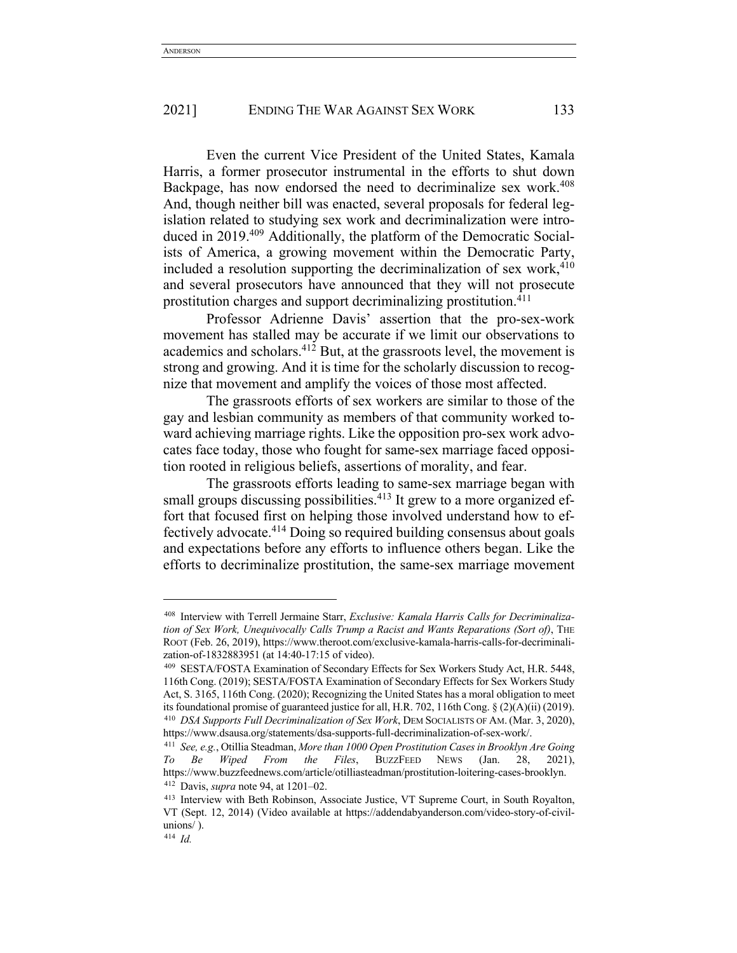Even the current Vice President of the United States, Kamala Harris, a former prosecutor instrumental in the efforts to shut down Backpage, has now endorsed the need to decriminalize sex work.<sup>408</sup> And, though neither bill was enacted, several proposals for federal legislation related to studying sex work and decriminalization were introduced in 2019.409 Additionally, the platform of the Democratic Socialists of America, a growing movement within the Democratic Party, included a resolution supporting the decriminalization of sex work,  $410$ and several prosecutors have announced that they will not prosecute prostitution charges and support decriminalizing prostitution.411

Professor Adrienne Davis' assertion that the pro-sex-work movement has stalled may be accurate if we limit our observations to academics and scholars.412 But, at the grassroots level, the movement is strong and growing. And it is time for the scholarly discussion to recognize that movement and amplify the voices of those most affected.

The grassroots efforts of sex workers are similar to those of the gay and lesbian community as members of that community worked toward achieving marriage rights. Like the opposition pro-sex work advocates face today, those who fought for same-sex marriage faced opposition rooted in religious beliefs, assertions of morality, and fear.

The grassroots efforts leading to same-sex marriage began with small groups discussing possibilities.<sup>413</sup> It grew to a more organized effort that focused first on helping those involved understand how to effectively advocate.414 Doing so required building consensus about goals and expectations before any efforts to influence others began. Like the efforts to decriminalize prostitution, the same-sex marriage movement

<sup>408</sup> Interview with Terrell Jermaine Starr, *Exclusive: Kamala Harris Calls for Decriminalization of Sex Work, Unequivocally Calls Trump a Racist and Wants Reparations (Sort of)*, THE ROOT (Feb. 26, 2019), https://www.theroot.com/exclusive-kamala-harris-calls-for-decriminalization-of-1832883951 (at 14:40-17:15 of video).

<sup>409</sup> SESTA/FOSTA Examination of Secondary Effects for Sex Workers Study Act, H.R. 5448, 116th Cong. (2019); SESTA/FOSTA Examination of Secondary Effects for Sex Workers Study Act, S. 3165, 116th Cong. (2020); Recognizing the United States has a moral obligation to meet its foundational promise of guaranteed justice for all, H.R. 702, 116th Cong. § (2)(A)(ii) (2019). <sup>410</sup> *DSA Supports Full Decriminalization of Sex Work*, DEM SOCIALISTS OF AM. (Mar. 3, 2020), https://www.dsausa.org/statements/dsa-supports-full-decriminalization-of-sex-work/.

<sup>411</sup> *See, e.g.*, Otillia Steadman, *More than 1000 Open Prostitution Cases in Brooklyn Are Going To Be Wiped From the Files*, BUZZFEED NEWS (Jan. 28, 2021), https://www.buzzfeednews.com/article/otilliasteadman/prostitution-loitering-cases-brooklyn. <sup>412</sup> Davis, *supra* note 94, at 1201–02.

<sup>413</sup> Interview with Beth Robinson, Associate Justice, VT Supreme Court, in South Royalton, VT (Sept. 12, 2014) (Video available at https://addendabyanderson.com/video-story-of-civilunions/ ).

<sup>414</sup> *Id.*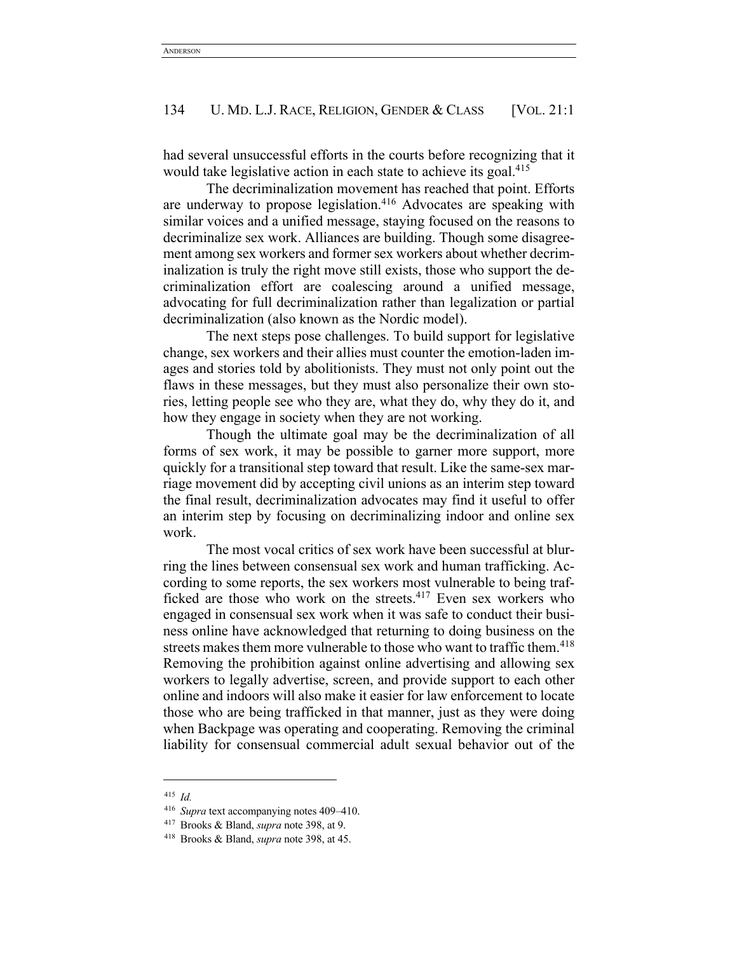had several unsuccessful efforts in the courts before recognizing that it would take legislative action in each state to achieve its goal.<sup>415</sup>

The decriminalization movement has reached that point. Efforts are underway to propose legislation.<sup>416</sup> Advocates are speaking with similar voices and a unified message, staying focused on the reasons to decriminalize sex work. Alliances are building. Though some disagreement among sex workers and former sex workers about whether decriminalization is truly the right move still exists, those who support the decriminalization effort are coalescing around a unified message, advocating for full decriminalization rather than legalization or partial decriminalization (also known as the Nordic model).

The next steps pose challenges. To build support for legislative change, sex workers and their allies must counter the emotion-laden images and stories told by abolitionists. They must not only point out the flaws in these messages, but they must also personalize their own stories, letting people see who they are, what they do, why they do it, and how they engage in society when they are not working.

Though the ultimate goal may be the decriminalization of all forms of sex work, it may be possible to garner more support, more quickly for a transitional step toward that result. Like the same-sex marriage movement did by accepting civil unions as an interim step toward the final result, decriminalization advocates may find it useful to offer an interim step by focusing on decriminalizing indoor and online sex work.

The most vocal critics of sex work have been successful at blurring the lines between consensual sex work and human trafficking. According to some reports, the sex workers most vulnerable to being trafficked are those who work on the streets.417 Even sex workers who engaged in consensual sex work when it was safe to conduct their business online have acknowledged that returning to doing business on the streets makes them more vulnerable to those who want to traffic them.<sup>418</sup> Removing the prohibition against online advertising and allowing sex workers to legally advertise, screen, and provide support to each other online and indoors will also make it easier for law enforcement to locate those who are being trafficked in that manner, just as they were doing when Backpage was operating and cooperating. Removing the criminal liability for consensual commercial adult sexual behavior out of the

<sup>415</sup> *Id.*

<sup>416</sup> *Supra* text accompanying notes 409–410.

<sup>417</sup> Brooks & Bland, *supra* note 398, at 9.

<sup>418</sup> Brooks & Bland, *supra* note 398, at 45.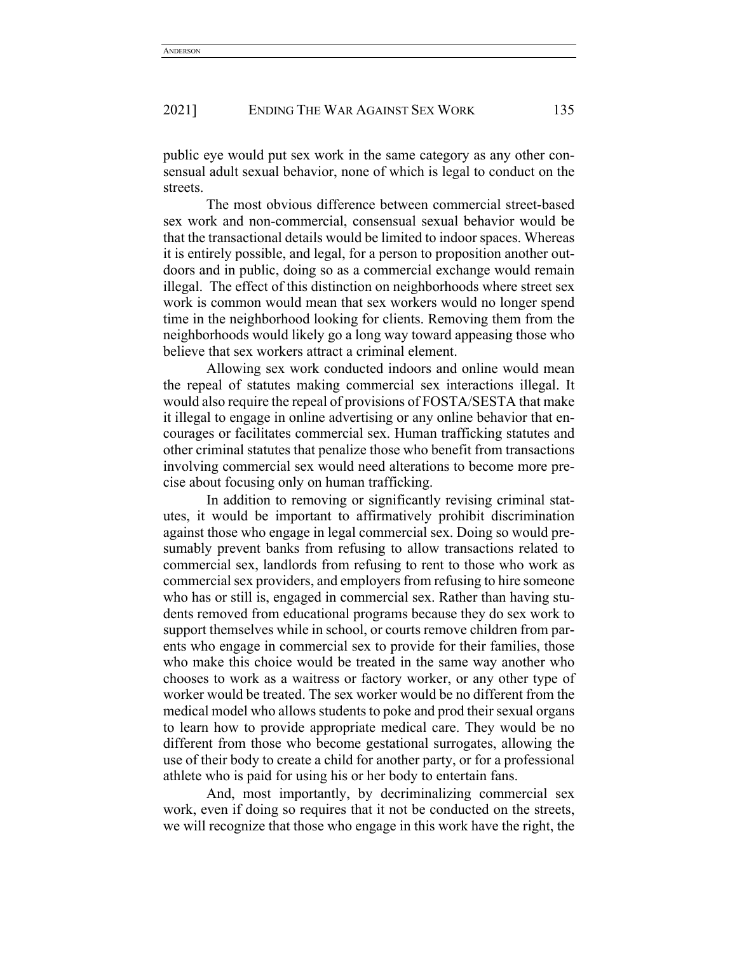public eye would put sex work in the same category as any other consensual adult sexual behavior, none of which is legal to conduct on the streets.

The most obvious difference between commercial street-based sex work and non-commercial, consensual sexual behavior would be that the transactional details would be limited to indoor spaces. Whereas it is entirely possible, and legal, for a person to proposition another outdoors and in public, doing so as a commercial exchange would remain illegal. The effect of this distinction on neighborhoods where street sex work is common would mean that sex workers would no longer spend time in the neighborhood looking for clients. Removing them from the neighborhoods would likely go a long way toward appeasing those who believe that sex workers attract a criminal element.

Allowing sex work conducted indoors and online would mean the repeal of statutes making commercial sex interactions illegal. It would also require the repeal of provisions of FOSTA/SESTA that make it illegal to engage in online advertising or any online behavior that encourages or facilitates commercial sex. Human trafficking statutes and other criminal statutes that penalize those who benefit from transactions involving commercial sex would need alterations to become more precise about focusing only on human trafficking.

In addition to removing or significantly revising criminal statutes, it would be important to affirmatively prohibit discrimination against those who engage in legal commercial sex. Doing so would presumably prevent banks from refusing to allow transactions related to commercial sex, landlords from refusing to rent to those who work as commercial sex providers, and employers from refusing to hire someone who has or still is, engaged in commercial sex. Rather than having students removed from educational programs because they do sex work to support themselves while in school, or courts remove children from parents who engage in commercial sex to provide for their families, those who make this choice would be treated in the same way another who chooses to work as a waitress or factory worker, or any other type of worker would be treated. The sex worker would be no different from the medical model who allows students to poke and prod their sexual organs to learn how to provide appropriate medical care. They would be no different from those who become gestational surrogates, allowing the use of their body to create a child for another party, or for a professional athlete who is paid for using his or her body to entertain fans.

And, most importantly, by decriminalizing commercial sex work, even if doing so requires that it not be conducted on the streets, we will recognize that those who engage in this work have the right, the